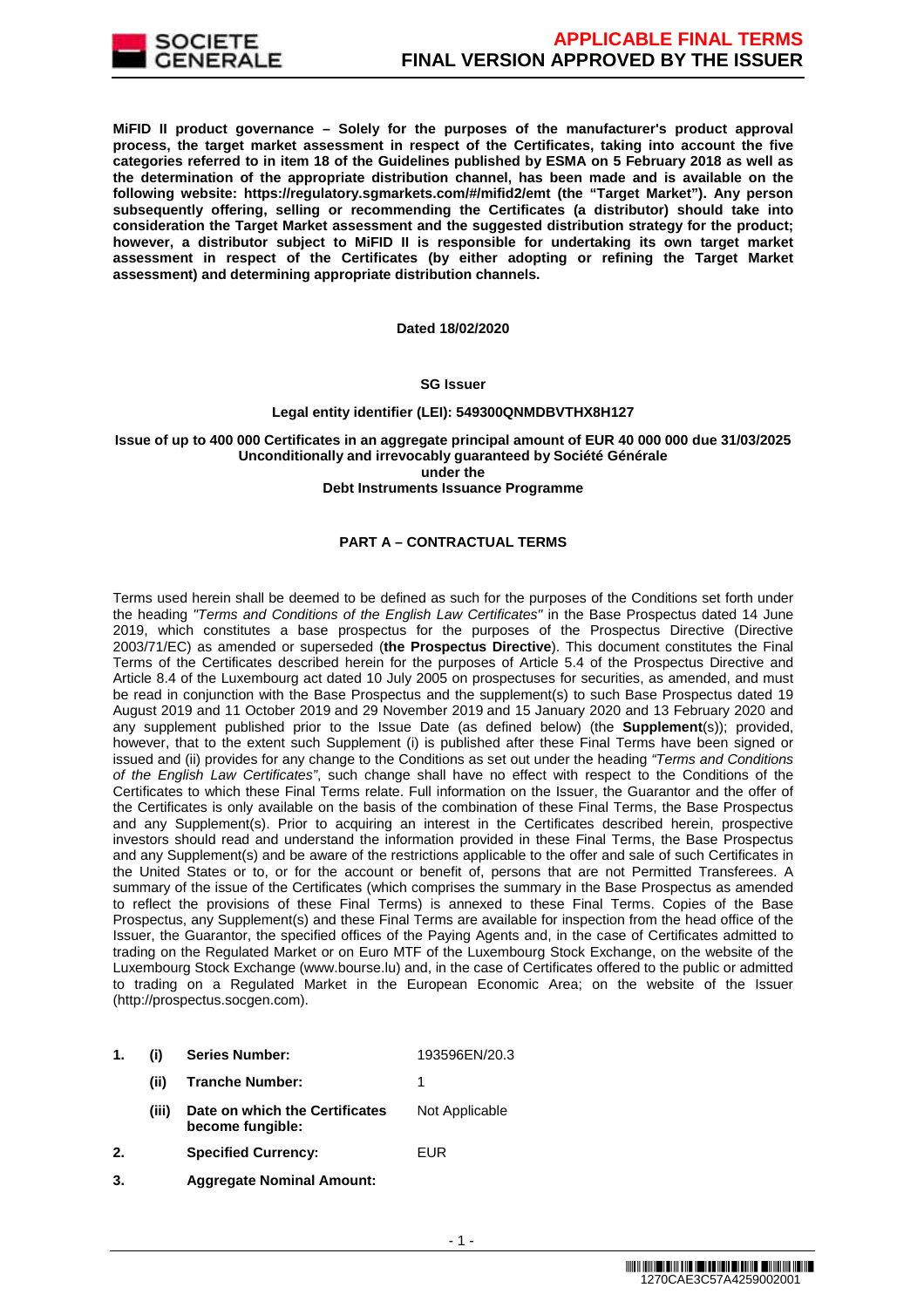

**MiFID II product governance – Solely for the purposes of the manufacturer's product approval process, the target market assessment in respect of the Certificates, taking into account the five categories referred to in item 18 of the Guidelines published by ESMA on 5 February 2018 as well as the determination of the appropriate distribution channel, has been made and is available on the following website: https://regulatory.sgmarkets.com/#/mifid2/emt (the "Target Market"). Any person subsequently offering, selling or recommending the Certificates (a distributor) should take into consideration the Target Market assessment and the suggested distribution strategy for the product; however, a distributor subject to MiFID II is responsible for undertaking its own target market assessment in respect of the Certificates (by either adopting or refining the Target Market assessment) and determining appropriate distribution channels.**

#### **Dated 18/02/2020**

#### **SG Issuer**

## **Legal entity identifier (LEI): 549300QNMDBVTHX8H127**

### **Issue of up to 400 000 Certificates in an aggregate principal amount of EUR 40 000 000 due 31/03/2025 Unconditionally and irrevocably guaranteed by Société Générale under the**

#### **Debt Instruments Issuance Programme**

## **PART A – CONTRACTUAL TERMS**

Terms used herein shall be deemed to be defined as such for the purposes of the Conditions set forth under the heading "Terms and Conditions of the English Law Certificates" in the Base Prospectus dated 14 June 2019, which constitutes a base prospectus for the purposes of the Prospectus Directive (Directive 2003/71/EC) as amended or superseded (**the Prospectus Directive**). This document constitutes the Final Terms of the Certificates described herein for the purposes of Article 5.4 of the Prospectus Directive and Article 8.4 of the Luxembourg act dated 10 July 2005 on prospectuses for securities, as amended, and must be read in conjunction with the Base Prospectus and the supplement(s) to such Base Prospectus dated 19 August 2019 and 11 October 2019 and 29 November 2019 and 15 January 2020 and 13 February 2020 and any supplement published prior to the Issue Date (as defined below) (the **Supplement**(s)); provided, however, that to the extent such Supplement (i) is published after these Final Terms have been signed or issued and (ii) provides for any change to the Conditions as set out under the heading "Terms and Conditions of the English Law Certificates", such change shall have no effect with respect to the Conditions of the Certificates to which these Final Terms relate. Full information on the Issuer, the Guarantor and the offer of the Certificates is only available on the basis of the combination of these Final Terms, the Base Prospectus and any Supplement(s). Prior to acquiring an interest in the Certificates described herein, prospective investors should read and understand the information provided in these Final Terms, the Base Prospectus and any Supplement(s) and be aware of the restrictions applicable to the offer and sale of such Certificates in the United States or to, or for the account or benefit of, persons that are not Permitted Transferees. A summary of the issue of the Certificates (which comprises the summary in the Base Prospectus as amended to reflect the provisions of these Final Terms) is annexed to these Final Terms. Copies of the Base Prospectus, any Supplement(s) and these Final Terms are available for inspection from the head office of the Issuer, the Guarantor, the specified offices of the Paying Agents and, in the case of Certificates admitted to trading on the Regulated Market or on Euro MTF of the Luxembourg Stock Exchange, on the website of the Luxembourg Stock Exchange (www.bourse.lu) and, in the case of Certificates offered to the public or admitted to trading on a Regulated Market in the European Economic Area; on the website of the Issuer (http://prospectus.socgen.com).

- **1. (i) Series Number:** 193596EN/20.3
	- **(ii) Tranche Number:** 1
		- **(iii) Date on which the Certificates become fungible:** Not Applicable
- **2. Specified Currency:** EUR
- **3. Aggregate Nominal Amount:**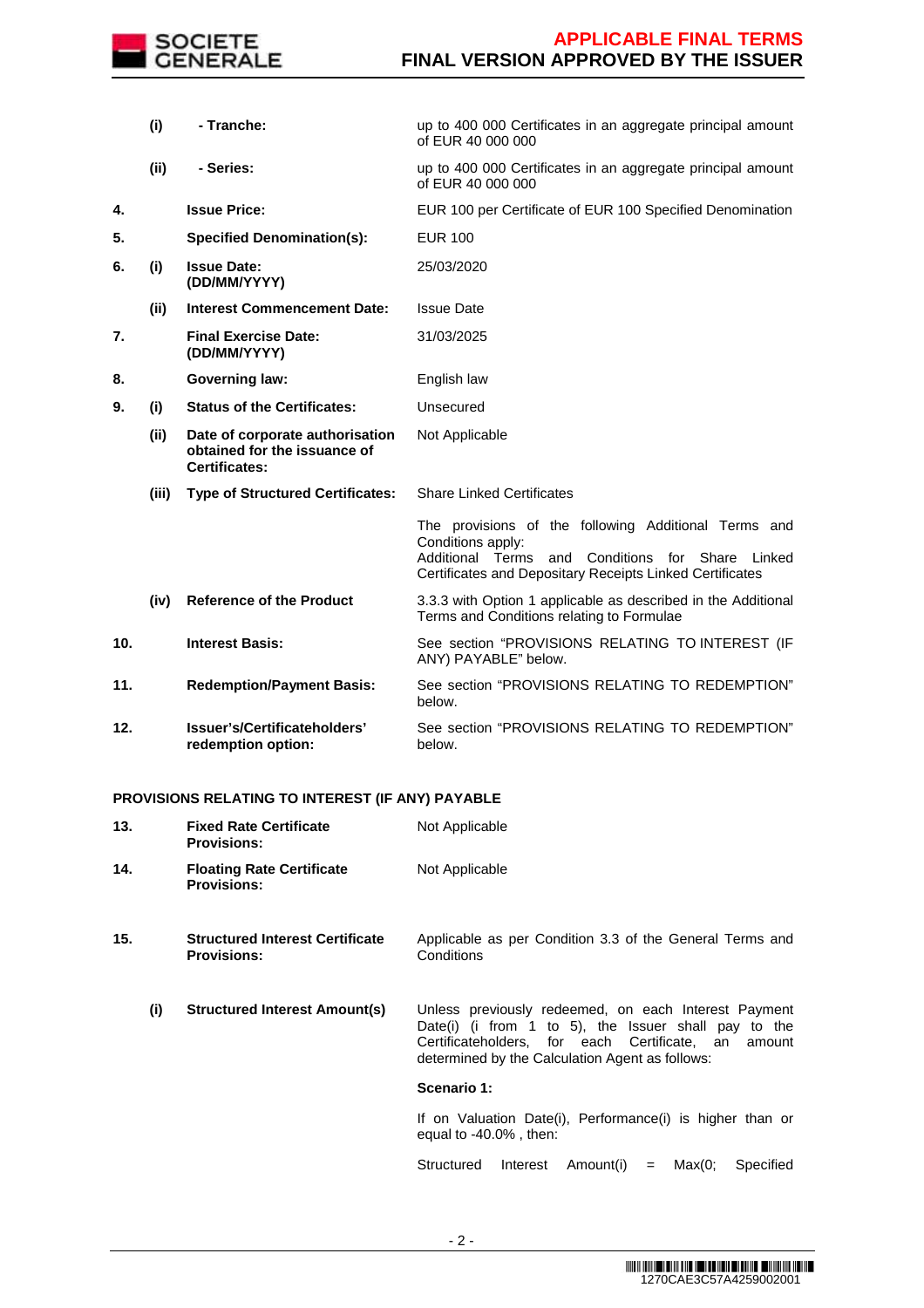

|     | (i)   | - Tranche:                                                                              | up to 400 000 Certificates in an aggregate principal amount<br>of EUR 40 000 000                                                                                                                   |
|-----|-------|-----------------------------------------------------------------------------------------|----------------------------------------------------------------------------------------------------------------------------------------------------------------------------------------------------|
|     | (ii)  | - Series:                                                                               | up to 400 000 Certificates in an aggregate principal amount<br>of EUR 40 000 000                                                                                                                   |
| 4.  |       | <b>Issue Price:</b>                                                                     | EUR 100 per Certificate of EUR 100 Specified Denomination                                                                                                                                          |
| 5.  |       | <b>Specified Denomination(s):</b>                                                       | <b>EUR 100</b>                                                                                                                                                                                     |
| 6.  | (i)   | <b>Issue Date:</b><br>(DD/MM/YYYY)                                                      | 25/03/2020                                                                                                                                                                                         |
|     | (ii)  | <b>Interest Commencement Date:</b>                                                      | <b>Issue Date</b>                                                                                                                                                                                  |
| 7.  |       | <b>Final Exercise Date:</b><br>(DD/MM/YYYY)                                             | 31/03/2025                                                                                                                                                                                         |
| 8.  |       | <b>Governing law:</b>                                                                   | English law                                                                                                                                                                                        |
| 9.  | (i)   | <b>Status of the Certificates:</b>                                                      | Unsecured                                                                                                                                                                                          |
|     | (ii)  | Date of corporate authorisation<br>obtained for the issuance of<br><b>Certificates:</b> | Not Applicable                                                                                                                                                                                     |
|     | (iii) | <b>Type of Structured Certificates:</b>                                                 | <b>Share Linked Certificates</b>                                                                                                                                                                   |
|     |       |                                                                                         | The provisions of the following Additional Terms and<br>Conditions apply:<br>Additional Terms<br>Conditions for Share<br>and<br>Linked<br>Certificates and Depositary Receipts Linked Certificates |
|     | (iv)  | <b>Reference of the Product</b>                                                         | 3.3.3 with Option 1 applicable as described in the Additional<br>Terms and Conditions relating to Formulae                                                                                         |
| 10. |       | <b>Interest Basis:</b>                                                                  | See section "PROVISIONS RELATING TO INTEREST (IF<br>ANY) PAYABLE" below.                                                                                                                           |
| 11. |       | <b>Redemption/Payment Basis:</b>                                                        | See section "PROVISIONS RELATING TO REDEMPTION"<br>below.                                                                                                                                          |
| 12. |       | Issuer's/Certificateholders'<br>redemption option:                                      | See section "PROVISIONS RELATING TO REDEMPTION"<br>below.                                                                                                                                          |

# **PROVISIONS RELATING TO INTEREST (IF ANY) PAYABLE**

| 13. | <b>Fixed Rate Certificate</b><br><b>Provisions:</b>          | Not Applicable                                                                                                                                                                                                            |
|-----|--------------------------------------------------------------|---------------------------------------------------------------------------------------------------------------------------------------------------------------------------------------------------------------------------|
| 14. | <b>Floating Rate Certificate</b><br><b>Provisions:</b>       | Not Applicable                                                                                                                                                                                                            |
| 15. | <b>Structured Interest Certificate</b><br><b>Provisions:</b> | Applicable as per Condition 3.3 of the General Terms and<br>Conditions                                                                                                                                                    |
| (i) | <b>Structured Interest Amount(s)</b>                         | Unless previously redeemed, on each Interest Payment<br>Date(i) (i from 1 to 5), the Issuer shall pay to the<br>Certificateholders, for each Certificate, an<br>amount<br>determined by the Calculation Agent as follows: |
|     |                                                              | Scenario 1:                                                                                                                                                                                                               |
|     |                                                              | If on Valuation Date(i), Performance(i) is higher than or<br>equal to $-40.0\%$ , then:                                                                                                                                   |
|     |                                                              | Structured<br>Amount(i)<br>Interest<br>Max(0;<br>Specified<br>$=$                                                                                                                                                         |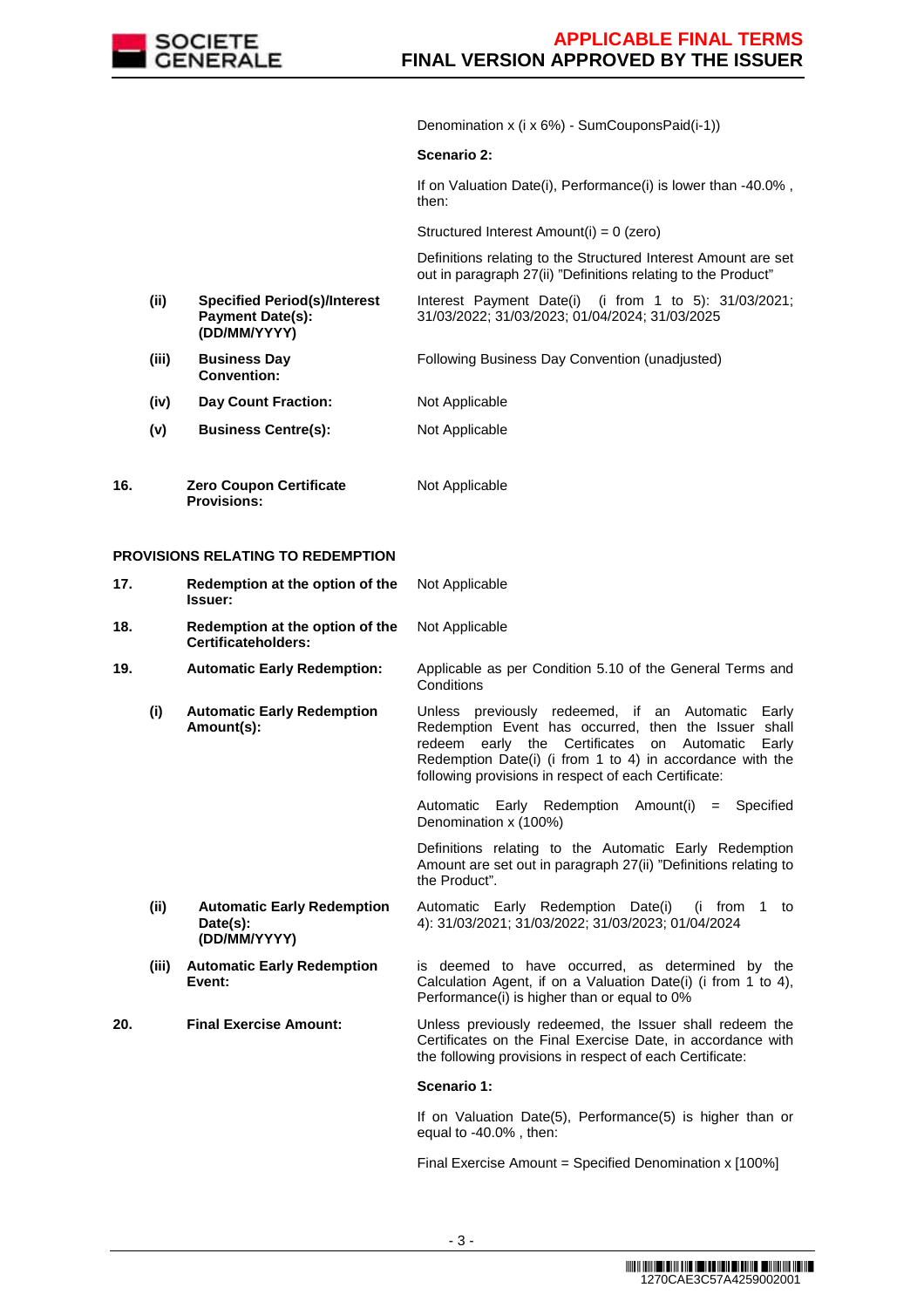

Denomination x (i x 6%) - SumCouponsPaid(i-1))

#### **Scenario 2:**

If on Valuation Date(i), Performance(i) is lower than -40.0% , then:

Structured Interest Amount(i) = 0 (zero)

 Definitions relating to the Structured Interest Amount are set out in paragraph 27(ii) "Definitions relating to the Product"

- **(ii) Specified Period(s)/Interest Payment Date(s): (DD/MM/YYYY)** Interest Payment Date(i) (i from 1 to 5): 31/03/2021; 31/03/2022; 31/03/2023; 01/04/2024; 31/03/2025
- **(iii) Business Day Convention:** Following Business Day Convention (unadjusted)
- **(iv) Day Count Fraction:** Not Applicable
- **(v) Business Centre(s):** Not Applicable
- **16. Zero Coupon Certificate Provisions:** Not Applicable

## **PROVISIONS RELATING TO REDEMPTION**

| 17.   | Redemption at the option of the<br>Issuer:                    | Not Applicable                                                                                                                                                                                                                                                                                 |
|-------|---------------------------------------------------------------|------------------------------------------------------------------------------------------------------------------------------------------------------------------------------------------------------------------------------------------------------------------------------------------------|
| 18.   | Redemption at the option of the<br>Certificateholders:        | Not Applicable                                                                                                                                                                                                                                                                                 |
| 19.   | <b>Automatic Early Redemption:</b>                            | Applicable as per Condition 5.10 of the General Terms and<br>Conditions                                                                                                                                                                                                                        |
| (i)   | <b>Automatic Early Redemption</b><br>Amount(s):               | Unless previously redeemed, if an Automatic<br>Early<br>Redemption Event has occurred, then the Issuer shall<br>redeem early the Certificates<br>on<br>Automatic<br>Early<br>Redemption Date(i) (i from 1 to 4) in accordance with the<br>following provisions in respect of each Certificate: |
|       |                                                               | Automatic Early Redemption Amount(i) = Specified<br>Denomination x (100%)                                                                                                                                                                                                                      |
|       |                                                               | Definitions relating to the Automatic Early Redemption<br>Amount are set out in paragraph 27(ii) "Definitions relating to<br>the Product".                                                                                                                                                     |
| (ii)  | <b>Automatic Early Redemption</b><br>Date(s):<br>(DD/MM/YYYY) | Automatic Early Redemption Date(i)<br>(i from 1 to<br>4): 31/03/2021; 31/03/2022; 31/03/2023; 01/04/2024                                                                                                                                                                                       |
| (iii) | <b>Automatic Early Redemption</b><br>Event:                   | is deemed to have occurred, as determined by the<br>Calculation Agent, if on a Valuation Date(i) (i from 1 to 4),<br>Performance(i) is higher than or equal to 0%                                                                                                                              |
| 20.   | <b>Final Exercise Amount:</b>                                 | Unless previously redeemed, the Issuer shall redeem the<br>Certificates on the Final Exercise Date, in accordance with<br>the following provisions in respect of each Certificate:                                                                                                             |
|       |                                                               | Scenario 1:                                                                                                                                                                                                                                                                                    |
|       |                                                               | If on Valuation Date(5), Performance(5) is higher than or<br>equal to $-40.0\%$ , then:                                                                                                                                                                                                        |

Final Exercise Amount = Specified Denomination x [100%]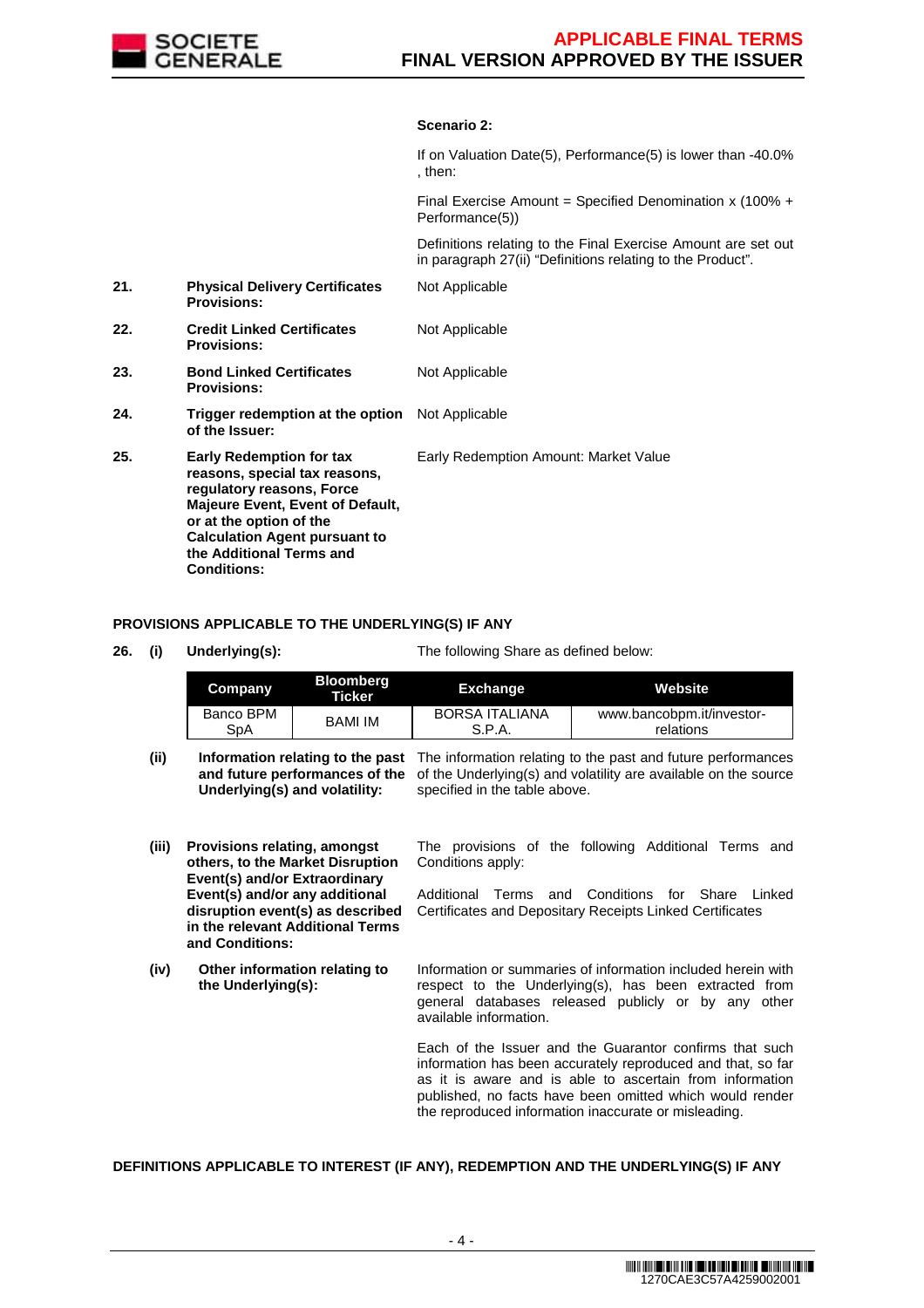

## **Scenario 2:**

|     |                                                                                                                                                                                                                                                               | If on Valuation Date(5), Performance(5) is lower than -40.0%<br>. then:                                                     |
|-----|---------------------------------------------------------------------------------------------------------------------------------------------------------------------------------------------------------------------------------------------------------------|-----------------------------------------------------------------------------------------------------------------------------|
|     |                                                                                                                                                                                                                                                               | Final Exercise Amount = Specified Denomination x (100% +<br>Performance(5))                                                 |
|     |                                                                                                                                                                                                                                                               | Definitions relating to the Final Exercise Amount are set out<br>in paragraph 27(ii) "Definitions relating to the Product". |
| 21. | <b>Physical Delivery Certificates</b><br><b>Provisions:</b>                                                                                                                                                                                                   | Not Applicable                                                                                                              |
| 22. | <b>Credit Linked Certificates</b><br><b>Provisions:</b>                                                                                                                                                                                                       | Not Applicable                                                                                                              |
| 23. | <b>Bond Linked Certificates</b><br><b>Provisions:</b>                                                                                                                                                                                                         | Not Applicable                                                                                                              |
| 24. | <b>Trigger redemption at the option</b> Not Applicable<br>of the Issuer:                                                                                                                                                                                      |                                                                                                                             |
| 25. | <b>Early Redemption for tax</b><br>reasons, special tax reasons,<br>regulatory reasons, Force<br><b>Majeure Event, Event of Default,</b><br>or at the option of the<br><b>Calculation Agent pursuant to</b><br>the Additional Terms and<br><b>Conditions:</b> | Early Redemption Amount: Market Value                                                                                       |

#### **PROVISIONS APPLICABLE TO THE UNDERLYING(S) IF ANY**

**Event(s) and/or any additional disruption event(s) as described in the relevant Additional Terms** 

**and Conditions:**

**26. (i) Underlying(s):** The following Share as defined below:

| <b>Company</b> | <b>Bloomberg</b><br><b>Ticker</b> | <b>Exchange</b>       | <b>Website</b>            |
|----------------|-----------------------------------|-----------------------|---------------------------|
| Banco BPM      | <b>BAMI IM</b>                    | <b>BORSA ITALIANA</b> | www.bancobpm.it/investor- |
| SpA            |                                   | S.P.A.                | relations                 |

(ii) **Information relating to the past** The information relating to the past and future performances and future performances of the of the Underlying(s) and volatility are available on the source **Underlying(s) and volatility:** specified in the table above.

**(iii) Provisions relating, amongst others, to the Market Disruption Event(s) and/or Extraordinary**  The provisions of the following Additional Terms and Conditions apply:

Additional Terms and Conditions for Share Linked Certificates and Depositary Receipts Linked Certificates

**(iv) Other information relating to the Underlying(s):** Information or summaries of information included herein with respect to the Underlying(s), has been extracted from general databases released publicly or by any other available information.

> Each of the Issuer and the Guarantor confirms that such information has been accurately reproduced and that, so far as it is aware and is able to ascertain from information published, no facts have been omitted which would render the reproduced information inaccurate or misleading.

# **DEFINITIONS APPLICABLE TO INTEREST (IF ANY), REDEMPTION AND THE UNDERLYING(S) IF ANY**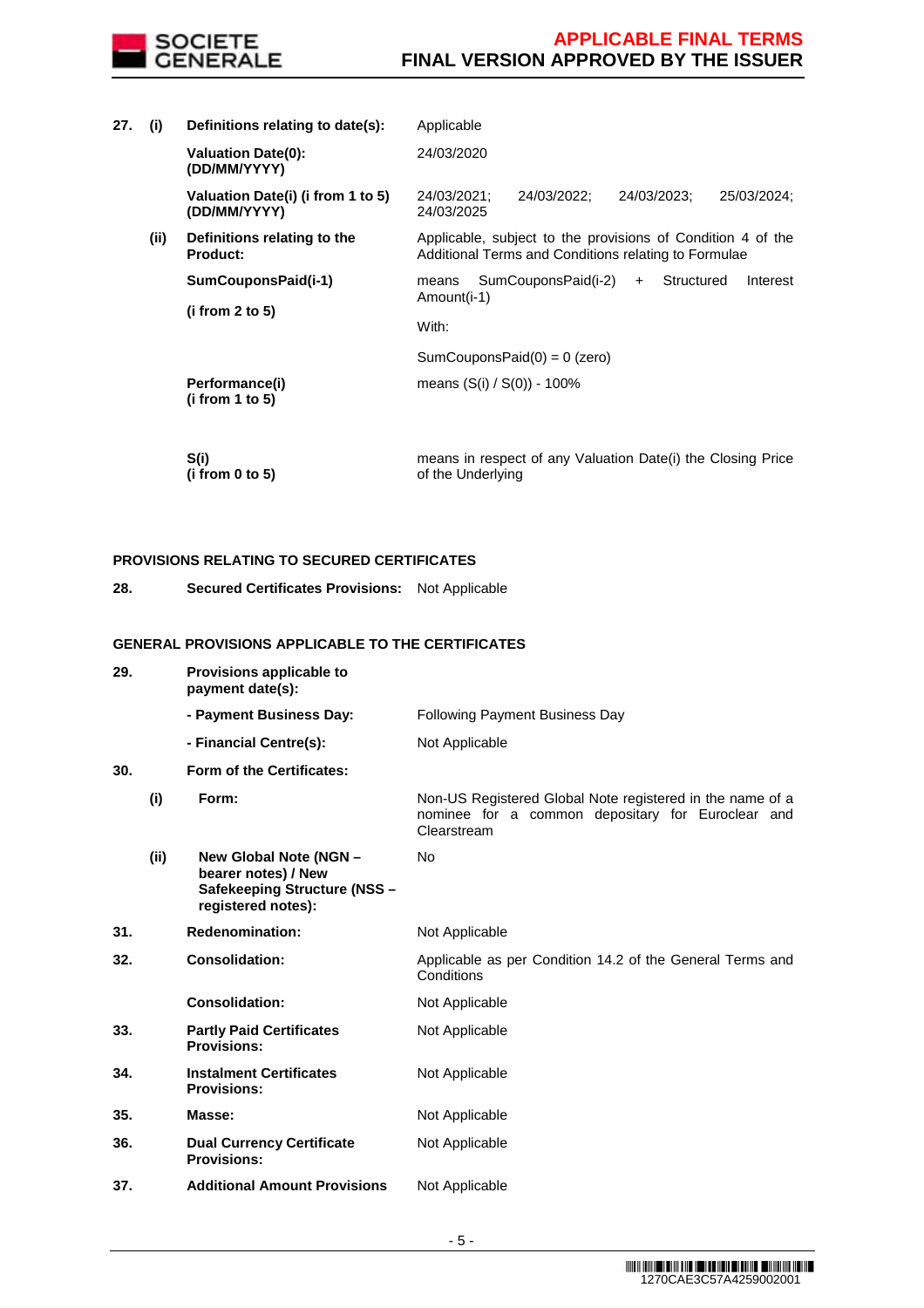

24/03/2021; 24/03/2022; 24/03/2023; 25/03/2024;

Applicable, subject to the provisions of Condition 4 of the Additional Terms and Conditions relating to Formulae

means SumCouponsPaid(i-2) + Structured Interest

**27. (i) Definitions relating to date(s):** Applicable **Valuation Date(0): (DD/MM/YYYY)** 24/03/2020

> **Valuation Date(i) (i from 1 to 5) (DD/MM/YYYY)**

**(ii) Definitions relating to the Product: SumCouponsPaid(i-1)**

**(i from 2 to 5)**

SumCouponsPaid(0) = 0 (zero)

With:

24/03/2025

Amount(i-1)

 **Performance(i) (i from 1 to 5)** 

 **S(i) (i from 0 to 5)**  means in respect of any Valuation Date(i) the Closing Price of the Underlying

means (S(i) / S(0)) - 100%

# **PROVISIONS RELATING TO SECURED CERTIFICATES**

**28. Secured Certificates Provisions:** Not Applicable

## **GENERAL PROVISIONS APPLICABLE TO THE CERTIFICATES**

| 29. |      | Provisions applicable to<br>payment date(s):                                                        |                                                                                                                               |
|-----|------|-----------------------------------------------------------------------------------------------------|-------------------------------------------------------------------------------------------------------------------------------|
|     |      | - Payment Business Day:                                                                             | <b>Following Payment Business Day</b>                                                                                         |
|     |      | - Financial Centre(s):                                                                              | Not Applicable                                                                                                                |
| 30. |      | Form of the Certificates:                                                                           |                                                                                                                               |
|     | (i)  | Form:                                                                                               | Non-US Registered Global Note registered in the name of a<br>nominee for a common depositary for Euroclear and<br>Clearstream |
|     | (ii) | New Global Note (NGN -<br>bearer notes) / New<br>Safekeeping Structure (NSS -<br>registered notes): | No                                                                                                                            |
| 31. |      | <b>Redenomination:</b>                                                                              | Not Applicable                                                                                                                |
| 32. |      | <b>Consolidation:</b>                                                                               | Applicable as per Condition 14.2 of the General Terms and<br>Conditions                                                       |
|     |      | <b>Consolidation:</b>                                                                               | Not Applicable                                                                                                                |
| 33. |      | <b>Partly Paid Certificates</b><br><b>Provisions:</b>                                               | Not Applicable                                                                                                                |
| 34. |      | <b>Instalment Certificates</b><br><b>Provisions:</b>                                                | Not Applicable                                                                                                                |
| 35. |      | Masse:                                                                                              | Not Applicable                                                                                                                |
| 36. |      | <b>Dual Currency Certificate</b><br><b>Provisions:</b>                                              | Not Applicable                                                                                                                |
| 37. |      | <b>Additional Amount Provisions</b>                                                                 | Not Applicable                                                                                                                |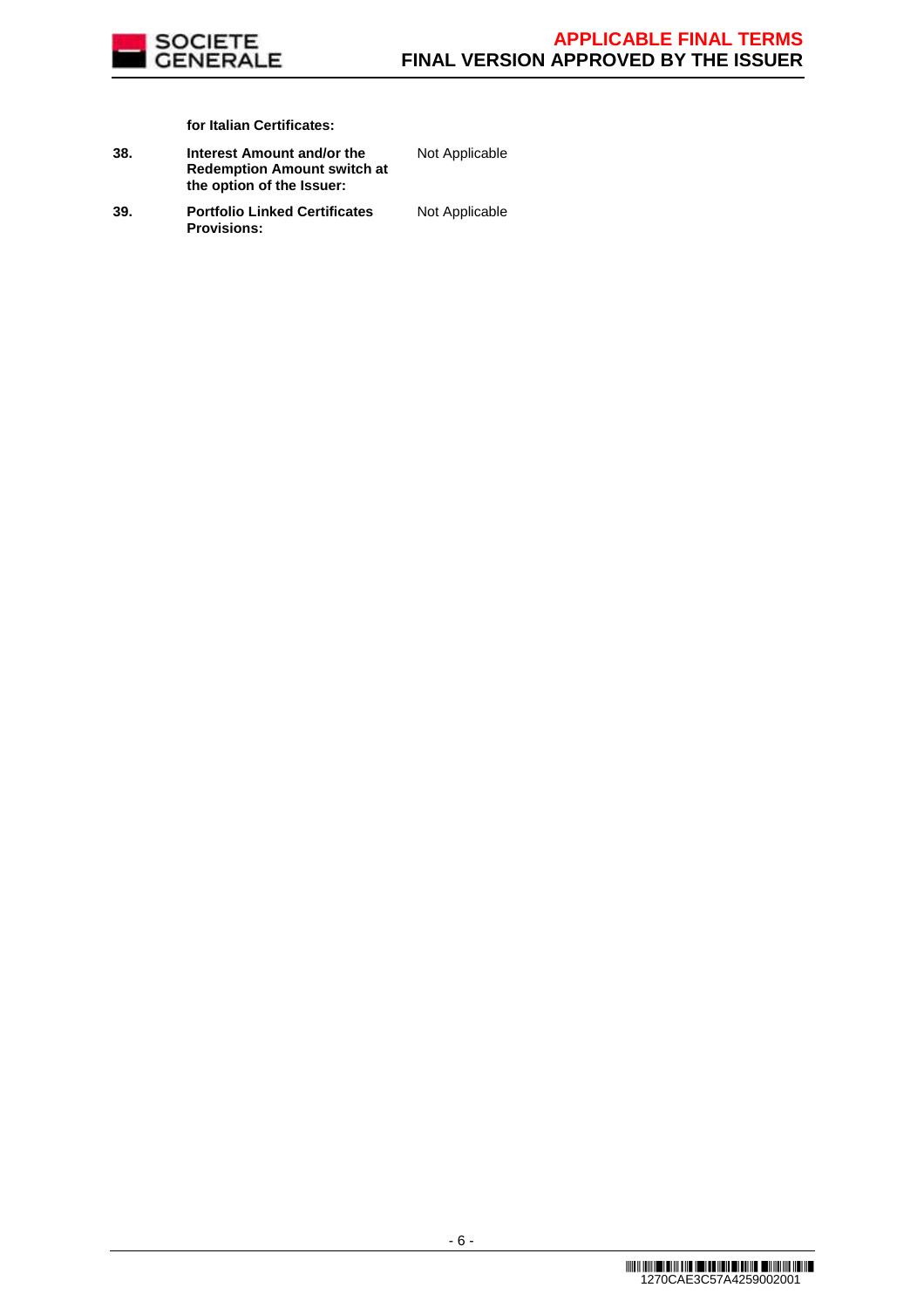

**for Italian Certificates:**

**38. Interest Amount and/or the Redemption Amount switch at the option of the Issuer:**

Not Applicable

**39. Portfolio Linked Certificates Provisions:**

Not Applicable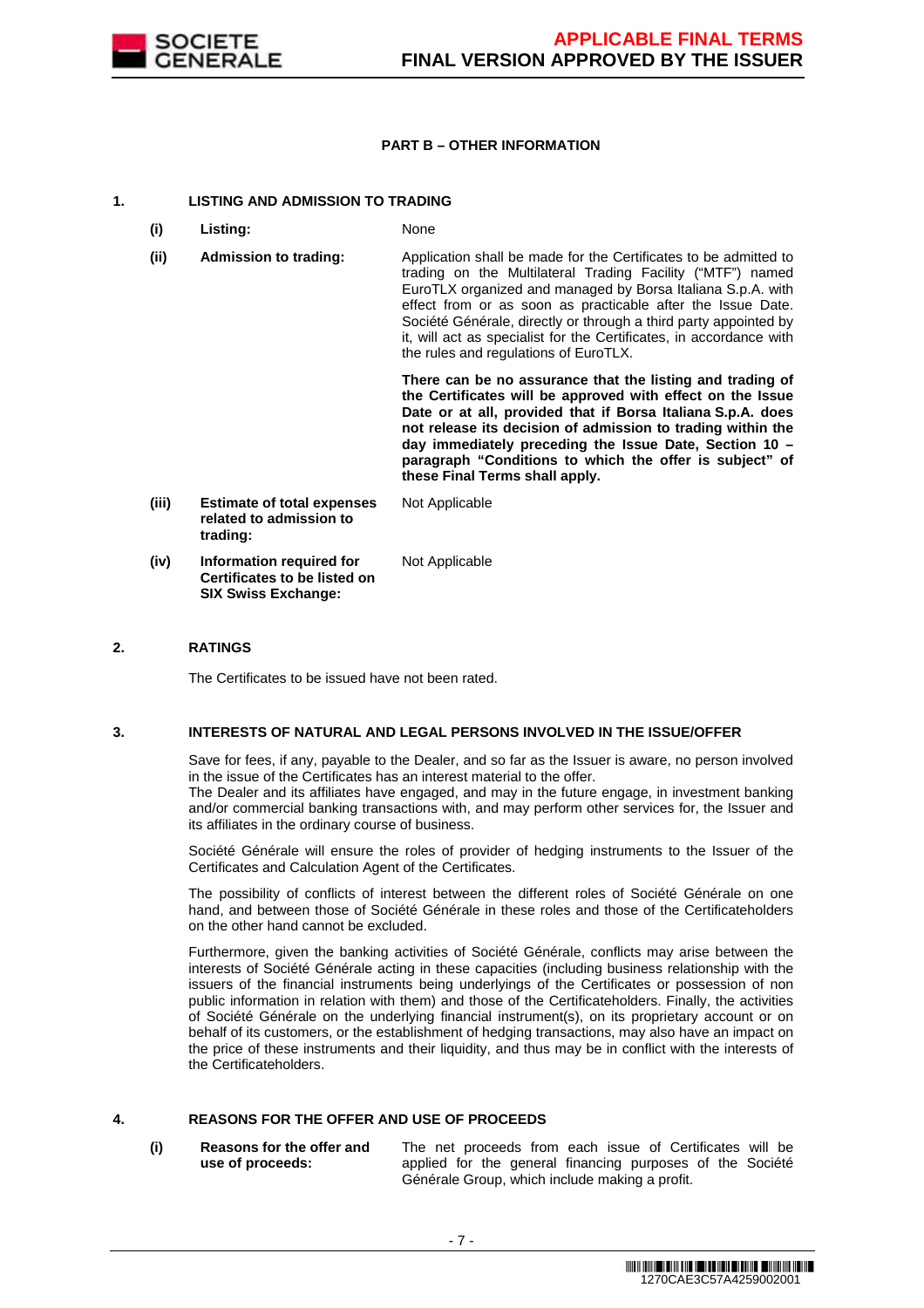

### **PART B – OTHER INFORMATION**

#### **1. LISTING AND ADMISSION TO TRADING**

- **(i) Listing:** None
- **(ii) Admission to trading:** Application shall be made for the Certificates to be admitted to trading on the Multilateral Trading Facility ("MTF") named EuroTLX organized and managed by Borsa Italiana S.p.A. with effect from or as soon as practicable after the Issue Date. Société Générale, directly or through a third party appointed by it, will act as specialist for the Certificates, in accordance with the rules and regulations of EuroTLX.

 **There can be no assurance that the listing and trading of the Certificates will be approved with effect on the Issue Date or at all, provided that if Borsa Italiana S.p.A. does not release its decision of admission to trading within the day immediately preceding the Issue Date, Section 10 – paragraph "Conditions to which the offer is subject" of these Final Terms shall apply.**

**(iii) Estimate of total expenses related to admission to trading:** Not Applicable **(iv) Information required for Certificates to be listed on SIX Swiss Exchange:** Not Applicable

### **2. RATINGS**

The Certificates to be issued have not been rated.

#### **3. INTERESTS OF NATURAL AND LEGAL PERSONS INVOLVED IN THE ISSUE/OFFER**

 Save for fees, if any, payable to the Dealer, and so far as the Issuer is aware, no person involved in the issue of the Certificates has an interest material to the offer.

The Dealer and its affiliates have engaged, and may in the future engage, in investment banking and/or commercial banking transactions with, and may perform other services for, the Issuer and its affiliates in the ordinary course of business.

 Société Générale will ensure the roles of provider of hedging instruments to the Issuer of the Certificates and Calculation Agent of the Certificates.

 The possibility of conflicts of interest between the different roles of Société Générale on one hand, and between those of Société Générale in these roles and those of the Certificateholders on the other hand cannot be excluded.

 Furthermore, given the banking activities of Société Générale, conflicts may arise between the interests of Société Générale acting in these capacities (including business relationship with the issuers of the financial instruments being underlyings of the Certificates or possession of non public information in relation with them) and those of the Certificateholders. Finally, the activities of Société Générale on the underlying financial instrument(s), on its proprietary account or on behalf of its customers, or the establishment of hedging transactions, may also have an impact on the price of these instruments and their liquidity, and thus may be in conflict with the interests of the Certificateholders.

## **4. REASONS FOR THE OFFER AND USE OF PROCEEDS**

**(i) Reasons for the offer and use of proceeds:**

The net proceeds from each issue of Certificates will be applied for the general financing purposes of the Société Générale Group, which include making a profit.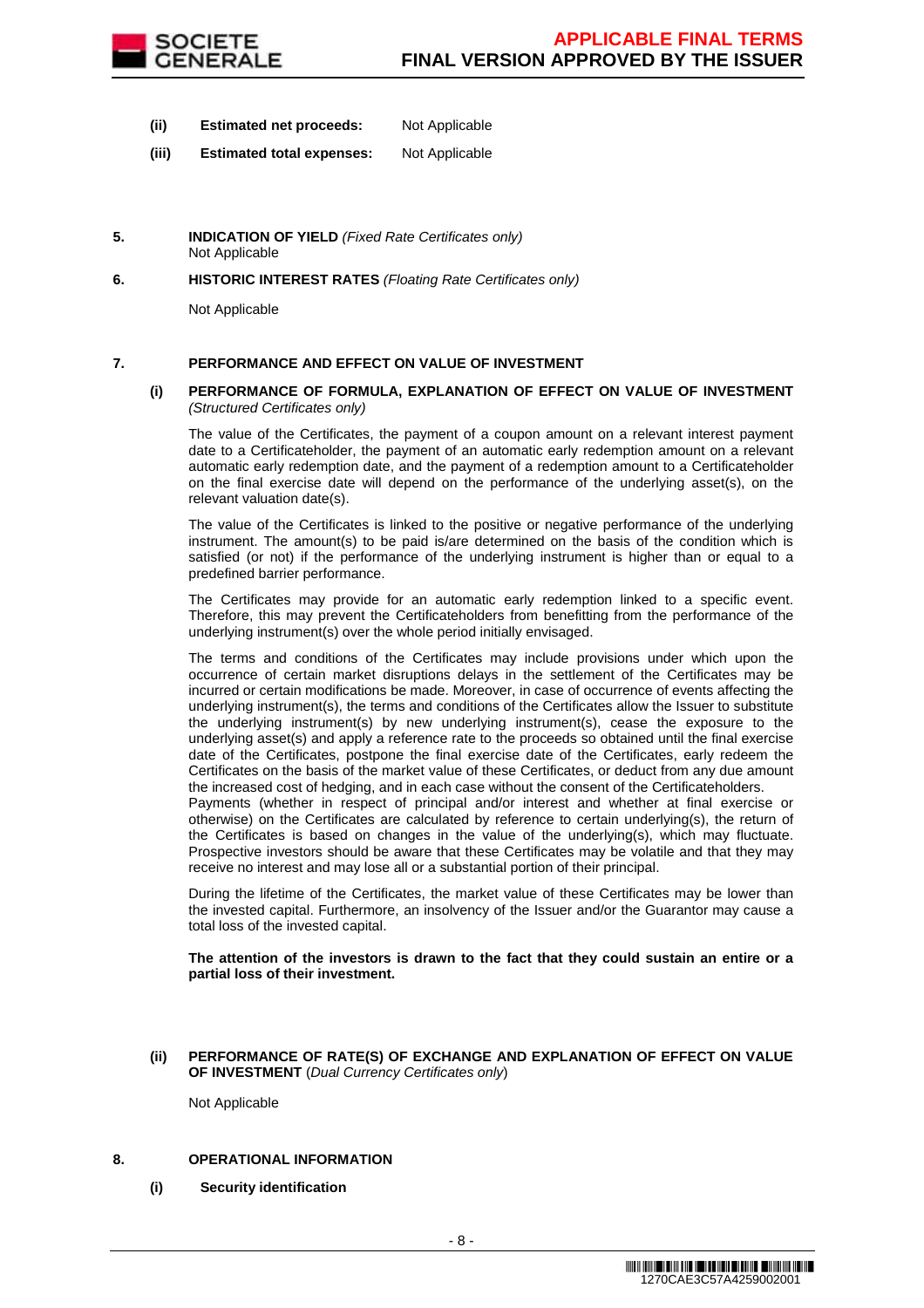

- **(ii) Estimated net proceeds:** Not Applicable
- **(iii) Estimated total expenses:** Not Applicable
- **5. INDICATION OF YIELD** (Fixed Rate Certificates only) Not Applicable
- **6. HISTORIC INTEREST RATES** (Floating Rate Certificates only)

Not Applicable

## **7. PERFORMANCE AND EFFECT ON VALUE OF INVESTMENT**

#### **(i) PERFORMANCE OF FORMULA, EXPLANATION OF EFFECT ON VALUE OF INVESTMENT**  (Structured Certificates only)

 The value of the Certificates, the payment of a coupon amount on a relevant interest payment date to a Certificateholder, the payment of an automatic early redemption amount on a relevant automatic early redemption date, and the payment of a redemption amount to a Certificateholder on the final exercise date will depend on the performance of the underlying asset(s), on the relevant valuation date(s).

 The value of the Certificates is linked to the positive or negative performance of the underlying instrument. The amount(s) to be paid is/are determined on the basis of the condition which is satisfied (or not) if the performance of the underlying instrument is higher than or equal to a predefined barrier performance.

 The Certificates may provide for an automatic early redemption linked to a specific event. Therefore, this may prevent the Certificateholders from benefitting from the performance of the underlying instrument(s) over the whole period initially envisaged.

 The terms and conditions of the Certificates may include provisions under which upon the occurrence of certain market disruptions delays in the settlement of the Certificates may be incurred or certain modifications be made. Moreover, in case of occurrence of events affecting the underlying instrument(s), the terms and conditions of the Certificates allow the Issuer to substitute the underlying instrument(s) by new underlying instrument(s), cease the exposure to the underlying asset(s) and apply a reference rate to the proceeds so obtained until the final exercise date of the Certificates, postpone the final exercise date of the Certificates, early redeem the Certificates on the basis of the market value of these Certificates, or deduct from any due amount the increased cost of hedging, and in each case without the consent of the Certificateholders.

Payments (whether in respect of principal and/or interest and whether at final exercise or otherwise) on the Certificates are calculated by reference to certain underlying(s), the return of the Certificates is based on changes in the value of the underlying(s), which may fluctuate. Prospective investors should be aware that these Certificates may be volatile and that they may receive no interest and may lose all or a substantial portion of their principal.

 During the lifetime of the Certificates, the market value of these Certificates may be lower than the invested capital. Furthermore, an insolvency of the Issuer and/or the Guarantor may cause a total loss of the invested capital.

**The attention of the investors is drawn to the fact that they could sustain an entire or a partial loss of their investment.**

**(ii) PERFORMANCE OF RATE(S) OF EXCHANGE AND EXPLANATION OF EFFECT ON VALUE OF INVESTMENT** (Dual Currency Certificates only)

Not Applicable

#### **8. OPERATIONAL INFORMATION**

**(i) Security identification**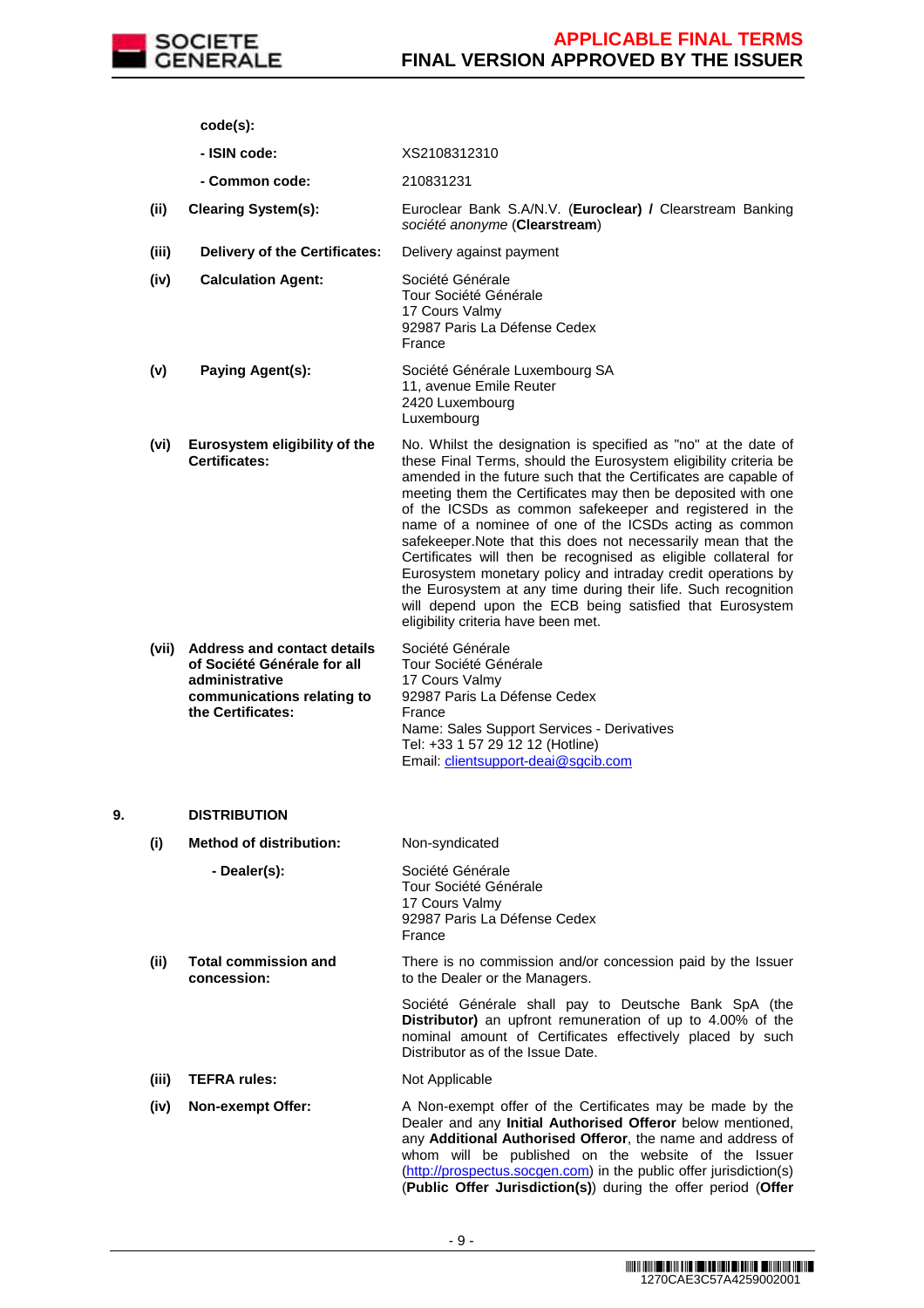

**code(s):**

- **ISIN code:** XS2108312310
- **Common code:** 210831231
- **(ii) Clearing System(s):** Euroclear Bank S.A/N.V. (**Euroclear) /** Clearstream Banking société anonyme (**Clearstream**)
- **(iii) Delivery of the Certificates:** Delivery against payment

**(iv) Calculation Agent:** Société Générale Tour Société Générale 17 Cours Valmy 92987 Paris La Défense Cedex France

- **(v) Paying Agent(s):** Société Générale Luxembourg SA 11, avenue Emile Reuter 2420 Luxembourg Luxembourg
- **(vi) Eurosystem eligibility of the Certificates:** No. Whilst the designation is specified as "no" at the date of these Final Terms, should the Eurosystem eligibility criteria be amended in the future such that the Certificates are capable of meeting them the Certificates may then be deposited with one of the ICSDs as common safekeeper and registered in the name of a nominee of one of the ICSDs acting as common safekeeper.Note that this does not necessarily mean that the Certificates will then be recognised as eligible collateral for Eurosystem monetary policy and intraday credit operations by the Eurosystem at any time during their life. Such recognition will depend upon the ECB being satisfied that Eurosystem eligibility criteria have been met.

| Société Générale                           |
|--------------------------------------------|
| Tour Société Générale                      |
| 17 Cours Valmy                             |
| 92987 Paris La Défense Cedex               |
| France                                     |
| Name: Sales Support Services - Derivatives |
| Tel: +33 1 57 29 12 12 (Hotline)           |
| Email: clientsupport-deai@sgcib.com        |
|                                            |

## **9. DISTRIBUTION**

**(i) Method of distribution:** Non-syndicated **- Dealer(s):** Société Générale Tour Société Générale 17 Cours Valmy 92987 Paris La Défense Cedex France **(ii) Total commission and concession:** There is no commission and/or concession paid by the Issuer to the Dealer or the Managers. Société Générale shall pay to Deutsche Bank SpA (the **Distributor)** an upfront remuneration of up to 4.00% of the nominal amount of Certificates effectively placed by such Distributor as of the Issue Date. **(iii) TEFRA rules:** Not Applicable **(iv) Non-exempt Offer:** A Non-exempt offer of the Certificates may be made by the Dealer and any **Initial Authorised Offeror** below mentioned, any **Additional Authorised Offeror**, the name and address of whom will be published on the website of the Issuer (http://prospectus.socgen.com) in the public offer jurisdiction(s) (**Public Offer Jurisdiction(s)**) during the offer period (**Offer**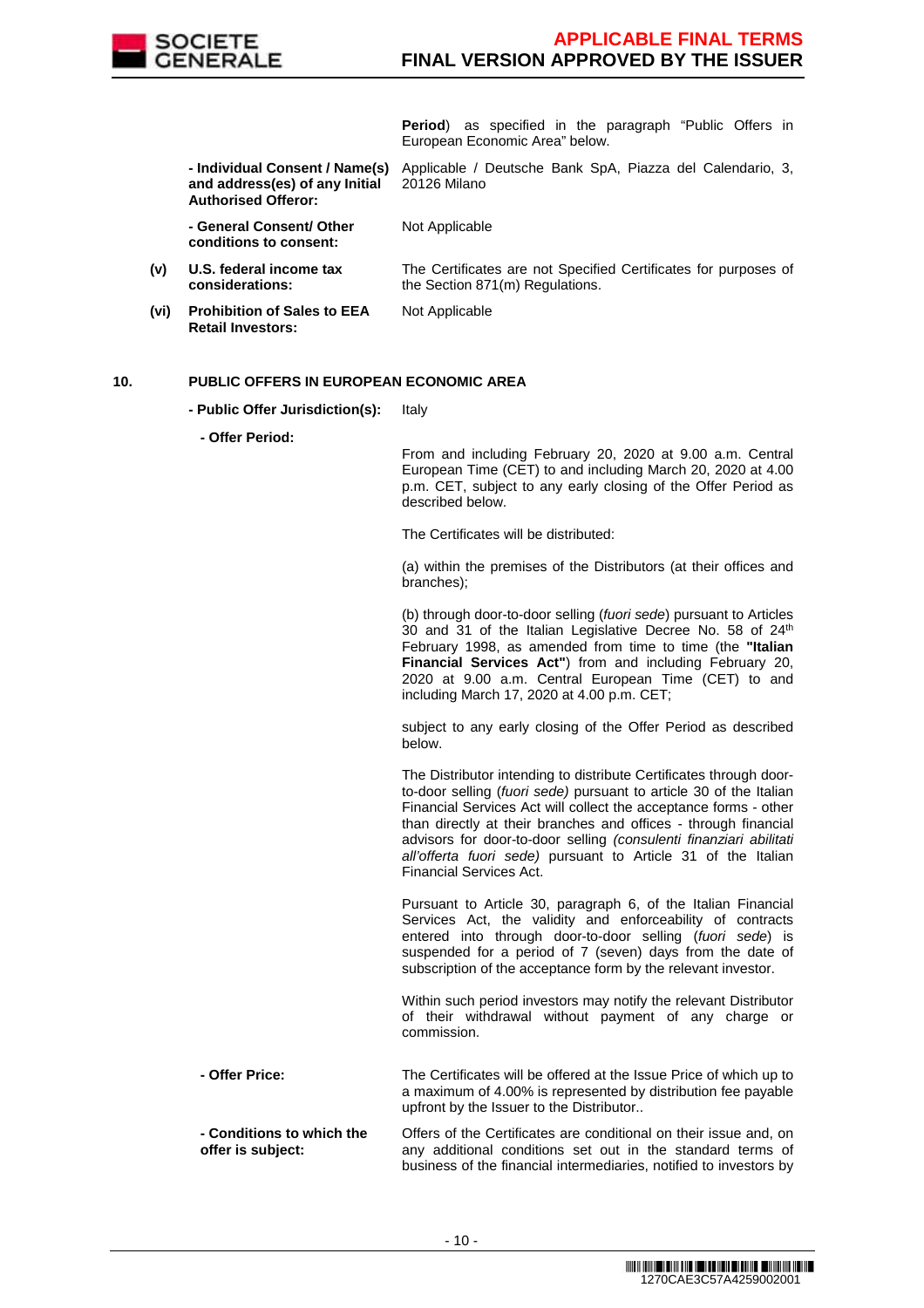

**Period**) as specified in the paragraph "Public Offers in European Economic Area" below.

The Certificates are not Specified Certificates for purposes of

 **- Individual Consent / Name(s) and address(es) of any Initial Authorised Offeror:** Applicable / Deutsche Bank SpA, Piazza del Calendario, 3, 20126 Milano

the Section 871(m) Regulations.

 **- General Consent/ Other conditions to consent:**

- **(v) U.S. federal income tax considerations:**
- **(vi) Prohibition of Sales to EEA Retail Investors:**

Not Applicable

Not Applicable

## **10. PUBLIC OFFERS IN EUROPEAN ECONOMIC AREA**

**- Public Offer Jurisdiction(s):** Italy

**- Offer Period:**

From and including February 20, 2020 at 9.00 a.m. Central European Time (CET) to and including March 20, 2020 at 4.00 p.m. CET, subject to any early closing of the Offer Period as described below.

The Certificates will be distributed:

(a) within the premises of the Distributors (at their offices and branches);

(b) through door-to-door selling (fuori sede) pursuant to Articles 30 and 31 of the Italian Legislative Decree No. 58 of 24<sup>th</sup> February 1998, as amended from time to time (the **"Italian Financial Services Act"**) from and including February 20, 2020 at 9.00 a.m. Central European Time (CET) to and including March 17, 2020 at 4.00 p.m. CET;

subject to any early closing of the Offer Period as described below.

The Distributor intending to distribute Certificates through doorto-door selling (fuori sede) pursuant to article 30 of the Italian Financial Services Act will collect the acceptance forms - other than directly at their branches and offices - through financial advisors for door-to-door selling (consulenti finanziari abilitati all'offerta fuori sede) pursuant to Article 31 of the Italian Financial Services Act.

Pursuant to Article 30, paragraph 6, of the Italian Financial Services Act, the validity and enforceability of contracts entered into through door-to-door selling (fuori sede) is suspended for a period of 7 (seven) days from the date of subscription of the acceptance form by the relevant investor.

Within such period investors may notify the relevant Distributor of their withdrawal without payment of any charge or commission.

 **- Offer Price:** The Certificates will be offered at the Issue Price of which up to a maximum of 4.00% is represented by distribution fee payable upfront by the Issuer to the Distributor.. **- Conditions to which the**  Offers of the Certificates are conditional on their issue and, on

**offer is subject:** any additional conditions set out in the standard terms of business of the financial intermediaries, notified to investors by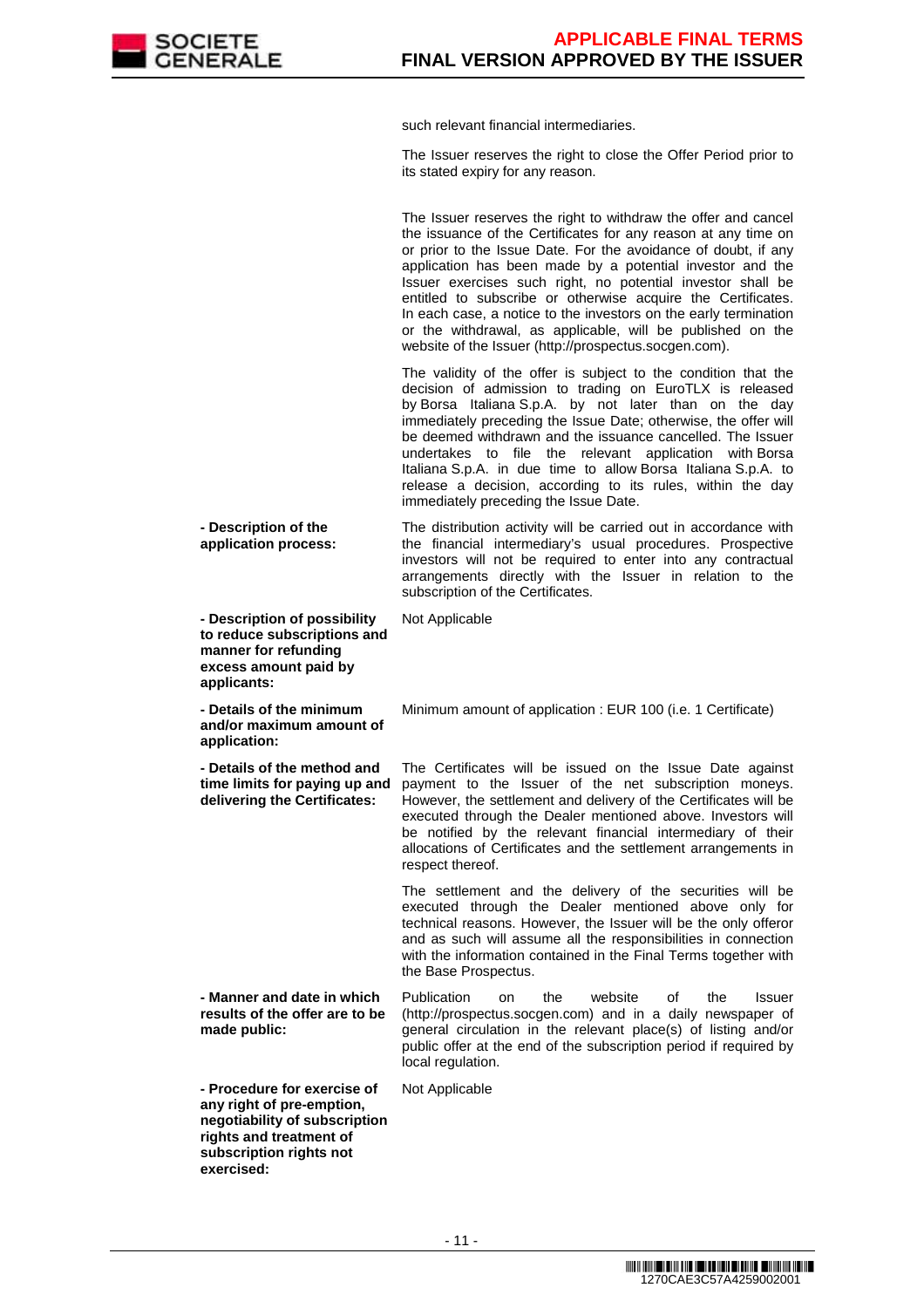

such relevant financial intermediaries.

The Issuer reserves the right to close the Offer Period prior to its stated expiry for any reason.

The Issuer reserves the right to withdraw the offer and cancel the issuance of the Certificates for any reason at any time on or prior to the Issue Date. For the avoidance of doubt, if any application has been made by a potential investor and the Issuer exercises such right, no potential investor shall be entitled to subscribe or otherwise acquire the Certificates. In each case, a notice to the investors on the early termination or the withdrawal, as applicable, will be published on the website of the Issuer (http://prospectus.socgen.com).

 The validity of the offer is subject to the condition that the decision of admission to trading on EuroTLX is released by Borsa Italiana S.p.A. by not later than on the day immediately preceding the Issue Date; otherwise, the offer will be deemed withdrawn and the issuance cancelled. The Issuer undertakes to file the relevant application with Borsa Italiana S.p.A. in due time to allow Borsa Italiana S.p.A. to release a decision, according to its rules, within the day immediately preceding the Issue Date.

 **- Description of the application process:**

 **- Description of possibility to reduce subscriptions and manner for refunding excess amount paid by applicants:**

 **- Details of the minimum and/or maximum amount of application:**

 **- Details of the method and time limits for paying up and delivering the Certificates:**

investors will not be required to enter into any contractual arrangements directly with the Issuer in relation to the subscription of the Certificates. Not Applicable

The distribution activity will be carried out in accordance with the financial intermediary's usual procedures. Prospective

Minimum amount of application : EUR 100 (i.e. 1 Certificate)

The Certificates will be issued on the Issue Date against payment to the Issuer of the net subscription moneys. However, the settlement and delivery of the Certificates will be executed through the Dealer mentioned above. Investors will be notified by the relevant financial intermediary of their allocations of Certificates and the settlement arrangements in respect thereof.

 The settlement and the delivery of the securities will be executed through the Dealer mentioned above only for technical reasons. However, the Issuer will be the only offeror and as such will assume all the responsibilities in connection with the information contained in the Final Terms together with the Base Prospectus.

 **- Manner and date in which results of the offer are to be made public:**

**negotiability of subscription rights and treatment of subscription rights not** 

**exercised:**

Publication on the website of the Issuer (http://prospectus.socgen.com) and in a daily newspaper of general circulation in the relevant place(s) of listing and/or public offer at the end of the subscription period if required by local regulation.

 **- Procedure for exercise of any right of pre-emption,**  Not Applicable

> <u> INITENTIAL DEN TANTE DEL TERMINE DEL TERMINE DEL INITIAT DE L'ENTRE DE L'ENTRE DE L'ENTRE DE L'ENTRE DE L'ENT</u> 1270CAE3C57A4259002001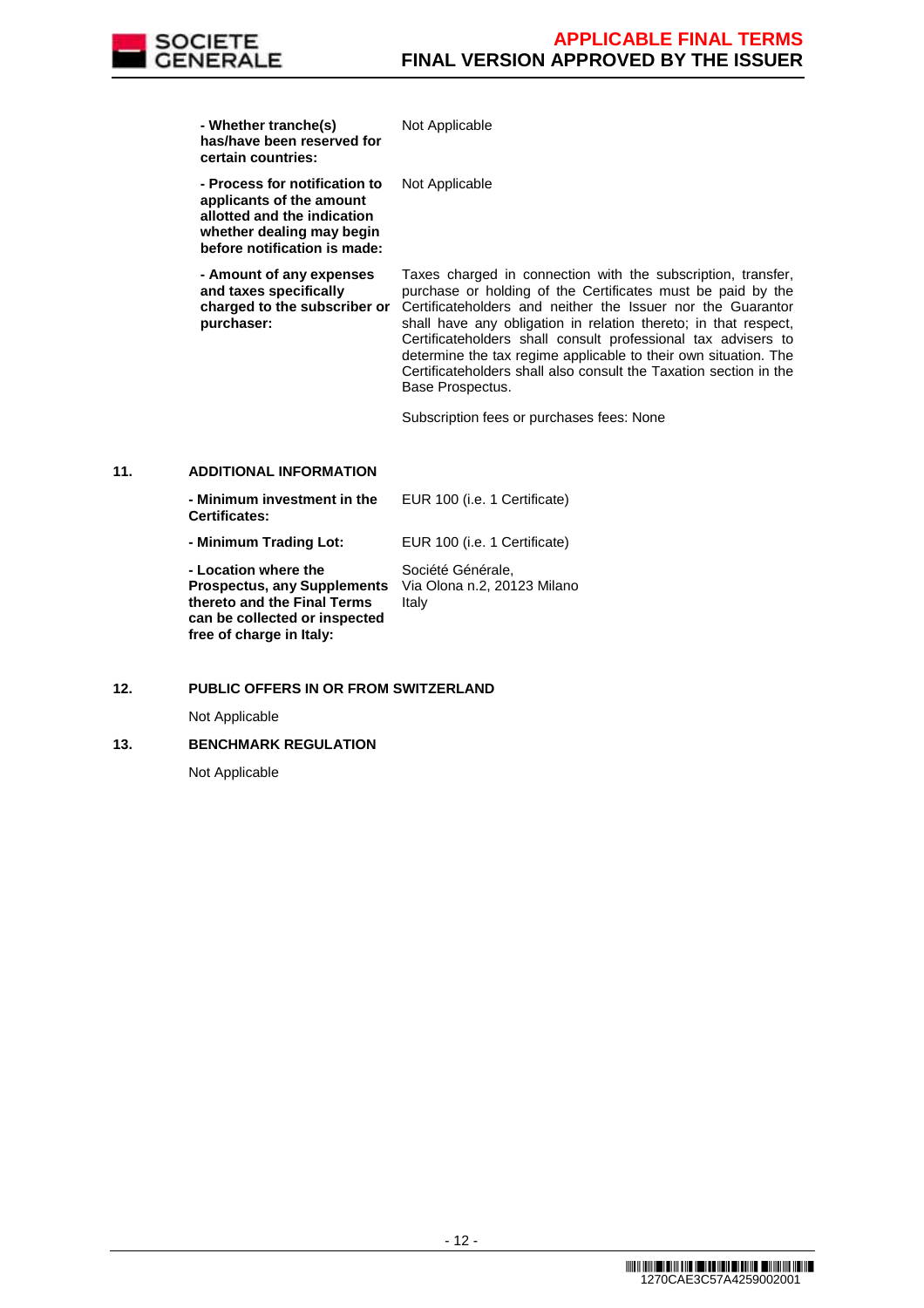**- Whether tranche(s) has/have been reserved for certain countries:**

 **- Process for notification to applicants of the amount allotted and the indication whether dealing may begin before notification is made:**

 **- Amount of any expenses and taxes specifically charged to the subscriber or purchaser:**

Taxes charged in connection with the subscription, transfer, purchase or holding of the Certificates must be paid by the Certificateholders and neither the Issuer nor the Guarantor shall have any obligation in relation thereto; in that respect, Certificateholders shall consult professional tax advisers to determine the tax regime applicable to their own situation. The Certificateholders shall also consult the Taxation section in the Base Prospectus.

Subscription fees or purchases fees: None

Not Applicable

Not Applicable

## **11. ADDITIONAL INFORMATION**

| - Minimum investment in the<br><b>Certificates:</b>                                                                        | EUR 100 (i.e. 1 Certificate)                              |
|----------------------------------------------------------------------------------------------------------------------------|-----------------------------------------------------------|
| - Minimum Trading Lot:                                                                                                     | EUR 100 (i.e. 1 Certificate)                              |
| - Location where the<br><b>Prospectus, any Supplements</b><br>thereto and the Final Terms<br>can be collected or inspected | Société Générale,<br>Via Olona n.2, 20123 Milano<br>Italy |

# **12. PUBLIC OFFERS IN OR FROM SWITZERLAND**

Not Applicable

## **13. BENCHMARK REGULATION**

**free of charge in Italy:**

Not Applicable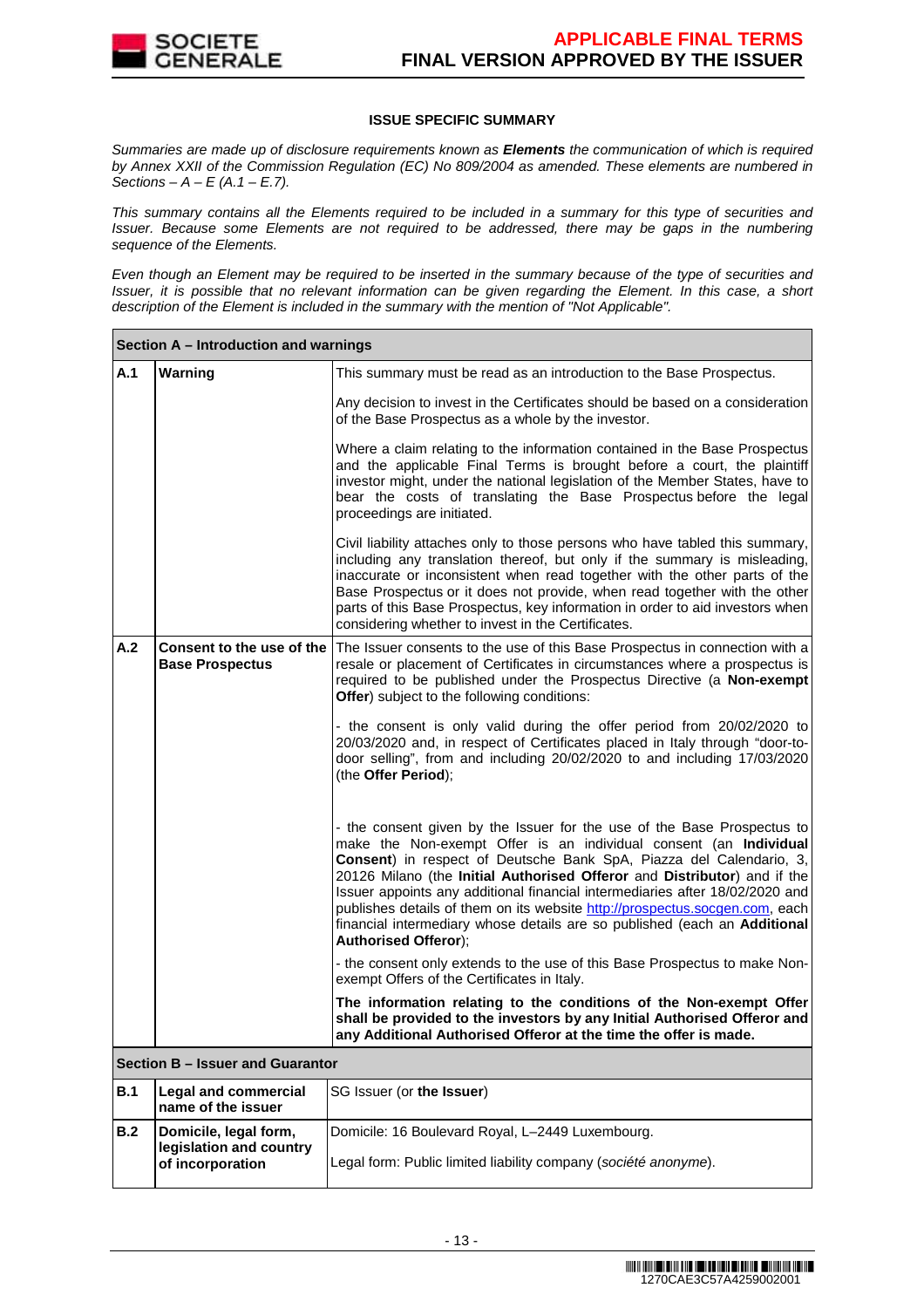

## **ISSUE SPECIFIC SUMMARY**

Summaries are made up of disclosure requirements known as **Elements** the communication of which is required by Annex XXII of the Commission Regulation (EC) No 809/2004 as amended. These elements are numbered in Sections –  $A - E(A.1 - E.7)$ .

This summary contains all the Elements required to be included in a summary for this type of securities and Issuer. Because some Elements are not required to be addressed, there may be gaps in the numbering sequence of the Elements.

Even though an Element may be required to be inserted in the summary because of the type of securities and Issuer, it is possible that no relevant information can be given regarding the Element. In this case, a short description of the Element is included in the summary with the mention of "Not Applicable".

|     | Section A – Introduction and warnings                                |                                                                                                                                                                                                                                                                                                                                                                                                                                                                                                                                                                            |  |  |  |
|-----|----------------------------------------------------------------------|----------------------------------------------------------------------------------------------------------------------------------------------------------------------------------------------------------------------------------------------------------------------------------------------------------------------------------------------------------------------------------------------------------------------------------------------------------------------------------------------------------------------------------------------------------------------------|--|--|--|
| A.1 | Warning                                                              | This summary must be read as an introduction to the Base Prospectus.                                                                                                                                                                                                                                                                                                                                                                                                                                                                                                       |  |  |  |
|     |                                                                      | Any decision to invest in the Certificates should be based on a consideration<br>of the Base Prospectus as a whole by the investor.                                                                                                                                                                                                                                                                                                                                                                                                                                        |  |  |  |
|     |                                                                      | Where a claim relating to the information contained in the Base Prospectus<br>and the applicable Final Terms is brought before a court, the plaintiff<br>investor might, under the national legislation of the Member States, have to<br>bear the costs of translating the Base Prospectus before the legal<br>proceedings are initiated.                                                                                                                                                                                                                                  |  |  |  |
|     |                                                                      | Civil liability attaches only to those persons who have tabled this summary,<br>including any translation thereof, but only if the summary is misleading,<br>inaccurate or inconsistent when read together with the other parts of the<br>Base Prospectus or it does not provide, when read together with the other<br>parts of this Base Prospectus, key information in order to aid investors when<br>considering whether to invest in the Certificates.                                                                                                                 |  |  |  |
| A.2 | Consent to the use of the<br><b>Base Prospectus</b>                  | The Issuer consents to the use of this Base Prospectus in connection with a<br>resale or placement of Certificates in circumstances where a prospectus is<br>required to be published under the Prospectus Directive (a Non-exempt<br>Offer) subject to the following conditions:                                                                                                                                                                                                                                                                                          |  |  |  |
|     |                                                                      | - the consent is only valid during the offer period from 20/02/2020 to<br>20/03/2020 and, in respect of Certificates placed in Italy through "door-to-<br>door selling", from and including 20/02/2020 to and including 17/03/2020<br>(the Offer Period);                                                                                                                                                                                                                                                                                                                  |  |  |  |
|     |                                                                      | - the consent given by the Issuer for the use of the Base Prospectus to<br>make the Non-exempt Offer is an individual consent (an Individual<br>Consent) in respect of Deutsche Bank SpA, Piazza del Calendario, 3,<br>20126 Milano (the Initial Authorised Offeror and Distributor) and if the<br>Issuer appoints any additional financial intermediaries after 18/02/2020 and<br>publishes details of them on its website http://prospectus.socgen.com, each<br>financial intermediary whose details are so published (each an Additional<br><b>Authorised Offeror);</b> |  |  |  |
|     |                                                                      | - the consent only extends to the use of this Base Prospectus to make Non-<br>exempt Offers of the Certificates in Italy.                                                                                                                                                                                                                                                                                                                                                                                                                                                  |  |  |  |
|     |                                                                      | The information relating to the conditions of the Non-exempt Offer<br>shall be provided to the investors by any Initial Authorised Offeror and<br>any Additional Authorised Offeror at the time the offer is made.                                                                                                                                                                                                                                                                                                                                                         |  |  |  |
|     | Section B - Issuer and Guarantor                                     |                                                                                                                                                                                                                                                                                                                                                                                                                                                                                                                                                                            |  |  |  |
| B.1 | <b>Legal and commercial</b><br>name of the issuer                    | SG Issuer (or the Issuer)                                                                                                                                                                                                                                                                                                                                                                                                                                                                                                                                                  |  |  |  |
| B.2 | Domicile, legal form,<br>legislation and country<br>of incorporation | Domicile: 16 Boulevard Royal, L-2449 Luxembourg.<br>Legal form: Public limited liability company (société anonyme).                                                                                                                                                                                                                                                                                                                                                                                                                                                        |  |  |  |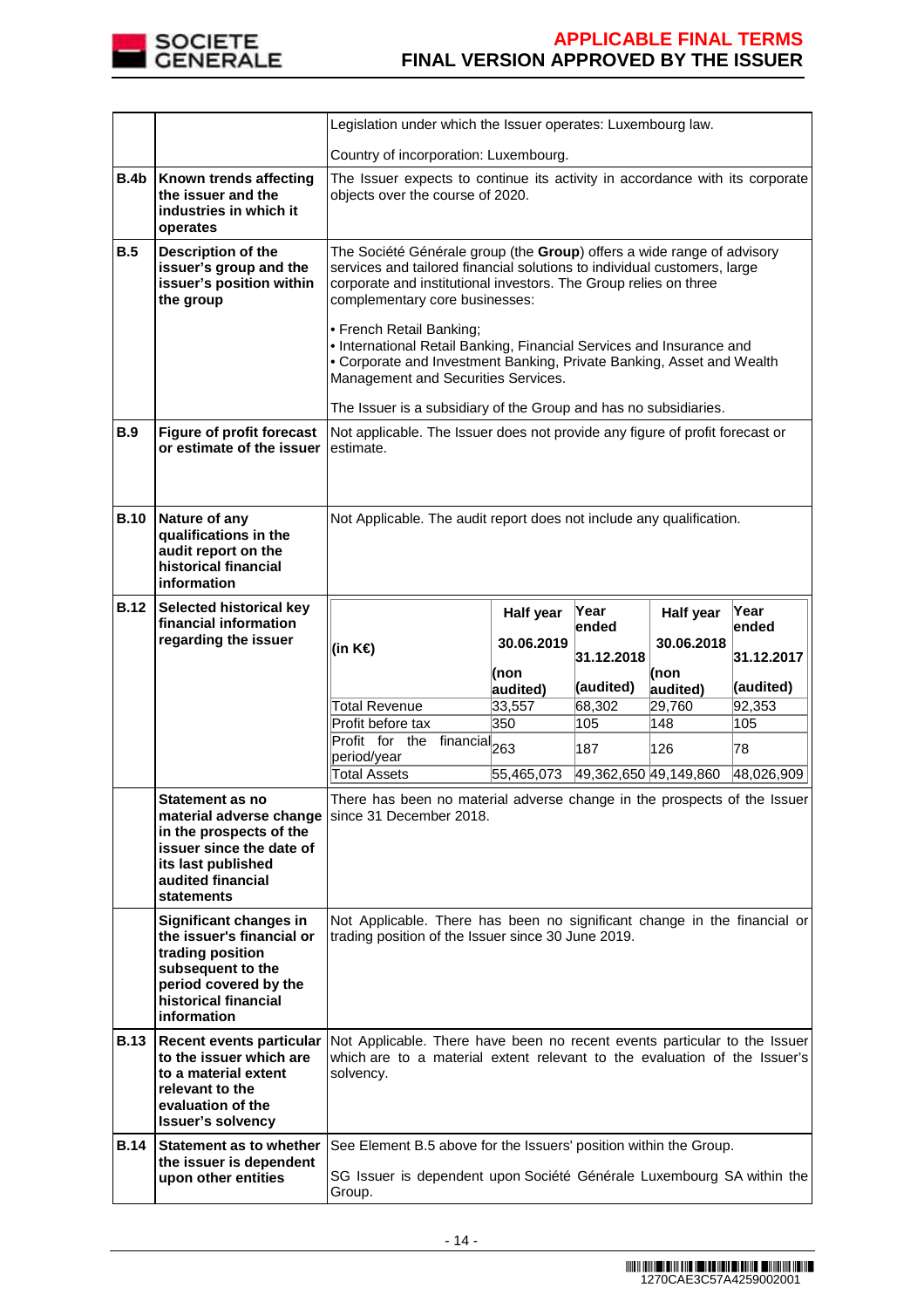

|             |                                                                                                                                                              | Legislation under which the Issuer operates: Luxembourg law.                                                                                                                                                                                                                                                                                                                                                                                                                                                                                     |            |                       |            |               |
|-------------|--------------------------------------------------------------------------------------------------------------------------------------------------------------|--------------------------------------------------------------------------------------------------------------------------------------------------------------------------------------------------------------------------------------------------------------------------------------------------------------------------------------------------------------------------------------------------------------------------------------------------------------------------------------------------------------------------------------------------|------------|-----------------------|------------|---------------|
|             |                                                                                                                                                              | Country of incorporation: Luxembourg.                                                                                                                                                                                                                                                                                                                                                                                                                                                                                                            |            |                       |            |               |
| <b>B.4b</b> | Known trends affecting<br>the issuer and the<br>industries in which it<br>operates                                                                           | The Issuer expects to continue its activity in accordance with its corporate<br>objects over the course of 2020.                                                                                                                                                                                                                                                                                                                                                                                                                                 |            |                       |            |               |
| B.5         | Description of the<br>issuer's group and the<br>issuer's position within<br>the group                                                                        | The Société Générale group (the Group) offers a wide range of advisory<br>services and tailored financial solutions to individual customers, large<br>corporate and institutional investors. The Group relies on three<br>complementary core businesses:<br>• French Retail Banking;<br>• International Retail Banking, Financial Services and Insurance and<br>• Corporate and Investment Banking, Private Banking, Asset and Wealth<br>Management and Securities Services.<br>The Issuer is a subsidiary of the Group and has no subsidiaries. |            |                       |            |               |
| <b>B.9</b>  | <b>Figure of profit forecast</b><br>or estimate of the issuer                                                                                                | Not applicable. The Issuer does not provide any figure of profit forecast or<br>estimate.                                                                                                                                                                                                                                                                                                                                                                                                                                                        |            |                       |            |               |
| <b>B.10</b> | Nature of any<br>qualifications in the<br>audit report on the<br>historical financial<br>information                                                         | Not Applicable. The audit report does not include any qualification.                                                                                                                                                                                                                                                                                                                                                                                                                                                                             |            |                       |            |               |
| <b>B.12</b> | Selected historical key<br>financial information                                                                                                             |                                                                                                                                                                                                                                                                                                                                                                                                                                                                                                                                                  | Half year  | Year                  | Half year  | Year<br>ended |
|             | regarding the issuer                                                                                                                                         | (in K€)                                                                                                                                                                                                                                                                                                                                                                                                                                                                                                                                          | 30.06.2019 | lended                | 30.06.2018 |               |
|             |                                                                                                                                                              |                                                                                                                                                                                                                                                                                                                                                                                                                                                                                                                                                  | (non       | 31.12.2018            | (non       | 31.12.2017    |
|             |                                                                                                                                                              |                                                                                                                                                                                                                                                                                                                                                                                                                                                                                                                                                  | audited)   | (audited)             | audited)   | (audited)     |
|             |                                                                                                                                                              | Total Revenue                                                                                                                                                                                                                                                                                                                                                                                                                                                                                                                                    | 33,557     | 68,302                | 29,760     | 92,353        |
|             |                                                                                                                                                              | Profit before tax                                                                                                                                                                                                                                                                                                                                                                                                                                                                                                                                | 350        | 105                   | 148        | 105           |
|             |                                                                                                                                                              | Profit for the financial <sub>263</sub>                                                                                                                                                                                                                                                                                                                                                                                                                                                                                                          |            | 187                   | 126        | 78            |
|             |                                                                                                                                                              | period/year                                                                                                                                                                                                                                                                                                                                                                                                                                                                                                                                      |            |                       |            |               |
|             |                                                                                                                                                              | <b>Total Assets</b>                                                                                                                                                                                                                                                                                                                                                                                                                                                                                                                              | 55,465,073 | 49,362,650 49,149,860 |            | 48,026,909    |
|             | Statement as no<br>in the prospects of the<br>issuer since the date of<br>its last published<br>audited financial<br><b>statements</b>                       | There has been no material adverse change in the prospects of the Issuer<br>material adverse change   since 31 December 2018.                                                                                                                                                                                                                                                                                                                                                                                                                    |            |                       |            |               |
|             | Significant changes in<br>the issuer's financial or<br>trading position<br>subsequent to the<br>period covered by the<br>historical financial<br>information | Not Applicable. There has been no significant change in the financial or<br>trading position of the Issuer since 30 June 2019.                                                                                                                                                                                                                                                                                                                                                                                                                   |            |                       |            |               |
| <b>B.13</b> | <b>Recent events particular</b><br>to the issuer which are<br>to a material extent                                                                           | Not Applicable. There have been no recent events particular to the Issuer<br>which are to a material extent relevant to the evaluation of the Issuer's<br>solvency.                                                                                                                                                                                                                                                                                                                                                                              |            |                       |            |               |
|             | relevant to the<br>evaluation of the<br><b>Issuer's solvency</b>                                                                                             |                                                                                                                                                                                                                                                                                                                                                                                                                                                                                                                                                  |            |                       |            |               |
| <b>B.14</b> | Statement as to whether<br>the issuer is dependent                                                                                                           | See Element B.5 above for the Issuers' position within the Group.                                                                                                                                                                                                                                                                                                                                                                                                                                                                                |            |                       |            |               |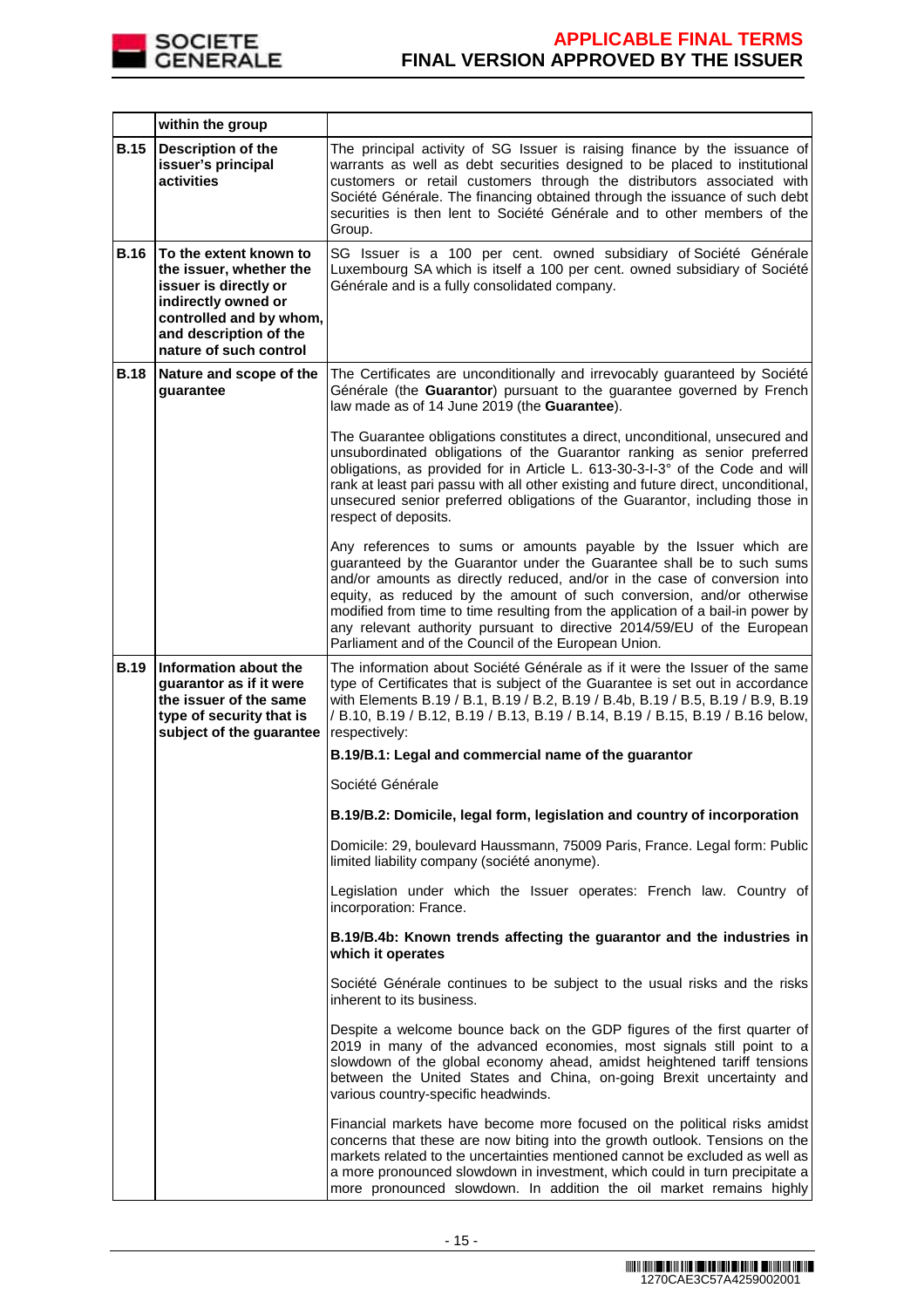

|             | within the group                                                                                                                                                                 |                                                                                                                                                                                                                                                                                                                                                                                                                                                                                                                        |
|-------------|----------------------------------------------------------------------------------------------------------------------------------------------------------------------------------|------------------------------------------------------------------------------------------------------------------------------------------------------------------------------------------------------------------------------------------------------------------------------------------------------------------------------------------------------------------------------------------------------------------------------------------------------------------------------------------------------------------------|
| <b>B.15</b> | <b>Description of the</b><br>issuer's principal<br>activities                                                                                                                    | The principal activity of SG Issuer is raising finance by the issuance of<br>warrants as well as debt securities designed to be placed to institutional<br>customers or retail customers through the distributors associated with<br>Société Générale. The financing obtained through the issuance of such debt<br>securities is then lent to Société Générale and to other members of the<br>Group.                                                                                                                   |
| <b>B.16</b> | To the extent known to<br>the issuer, whether the<br>issuer is directly or<br>indirectly owned or<br>controlled and by whom,<br>and description of the<br>nature of such control | SG Issuer is a 100 per cent. owned subsidiary of Société Générale<br>Luxembourg SA which is itself a 100 per cent. owned subsidiary of Société<br>Générale and is a fully consolidated company.                                                                                                                                                                                                                                                                                                                        |
| <b>B.18</b> | Nature and scope of the<br>guarantee                                                                                                                                             | The Certificates are unconditionally and irrevocably guaranteed by Société<br>Générale (the Guarantor) pursuant to the guarantee governed by French<br>law made as of 14 June 2019 (the Guarantee).                                                                                                                                                                                                                                                                                                                    |
|             |                                                                                                                                                                                  | The Guarantee obligations constitutes a direct, unconditional, unsecured and<br>unsubordinated obligations of the Guarantor ranking as senior preferred<br>obligations, as provided for in Article L. 613-30-3-I-3° of the Code and will<br>rank at least pari passu with all other existing and future direct, unconditional,<br>unsecured senior preferred obligations of the Guarantor, including those in<br>respect of deposits.                                                                                  |
|             |                                                                                                                                                                                  | Any references to sums or amounts payable by the Issuer which are<br>guaranteed by the Guarantor under the Guarantee shall be to such sums<br>and/or amounts as directly reduced, and/or in the case of conversion into<br>equity, as reduced by the amount of such conversion, and/or otherwise<br>modified from time to time resulting from the application of a bail-in power by<br>any relevant authority pursuant to directive 2014/59/EU of the European<br>Parliament and of the Council of the European Union. |
| <b>B.19</b> | Information about the<br>guarantor as if it were<br>the issuer of the same<br>type of security that is<br>subject of the guarantee                                               | The information about Société Générale as if it were the Issuer of the same<br>type of Certificates that is subject of the Guarantee is set out in accordance<br>with Elements B.19 / B.1, B.19 / B.2, B.19 / B.4b, B.19 / B.5, B.19 / B.9, B.19<br>/ B.10, B.19 / B.12, B.19 / B.13, B.19 / B.14, B.19 / B.15, B.19 / B.16 below,<br>respectively:                                                                                                                                                                    |
|             |                                                                                                                                                                                  | B.19/B.1: Legal and commercial name of the guarantor                                                                                                                                                                                                                                                                                                                                                                                                                                                                   |
|             |                                                                                                                                                                                  | Société Générale                                                                                                                                                                                                                                                                                                                                                                                                                                                                                                       |
|             |                                                                                                                                                                                  | B.19/B.2: Domicile, legal form, legislation and country of incorporation                                                                                                                                                                                                                                                                                                                                                                                                                                               |
|             |                                                                                                                                                                                  | Domicile: 29, boulevard Haussmann, 75009 Paris, France. Legal form: Public<br>limited liability company (société anonyme).                                                                                                                                                                                                                                                                                                                                                                                             |
|             |                                                                                                                                                                                  | Legislation under which the Issuer operates: French law. Country of<br>incorporation: France.                                                                                                                                                                                                                                                                                                                                                                                                                          |
|             |                                                                                                                                                                                  | B.19/B.4b: Known trends affecting the guarantor and the industries in<br>which it operates                                                                                                                                                                                                                                                                                                                                                                                                                             |
|             |                                                                                                                                                                                  | Société Générale continues to be subject to the usual risks and the risks<br>inherent to its business.                                                                                                                                                                                                                                                                                                                                                                                                                 |
|             |                                                                                                                                                                                  | Despite a welcome bounce back on the GDP figures of the first quarter of<br>2019 in many of the advanced economies, most signals still point to a<br>slowdown of the global economy ahead, amidst heightened tariff tensions<br>between the United States and China, on-going Brexit uncertainty and<br>various country-specific headwinds.                                                                                                                                                                            |
|             |                                                                                                                                                                                  | Financial markets have become more focused on the political risks amidst<br>concerns that these are now biting into the growth outlook. Tensions on the<br>markets related to the uncertainties mentioned cannot be excluded as well as<br>a more pronounced slowdown in investment, which could in turn precipitate a<br>more pronounced slowdown. In addition the oil market remains highly                                                                                                                          |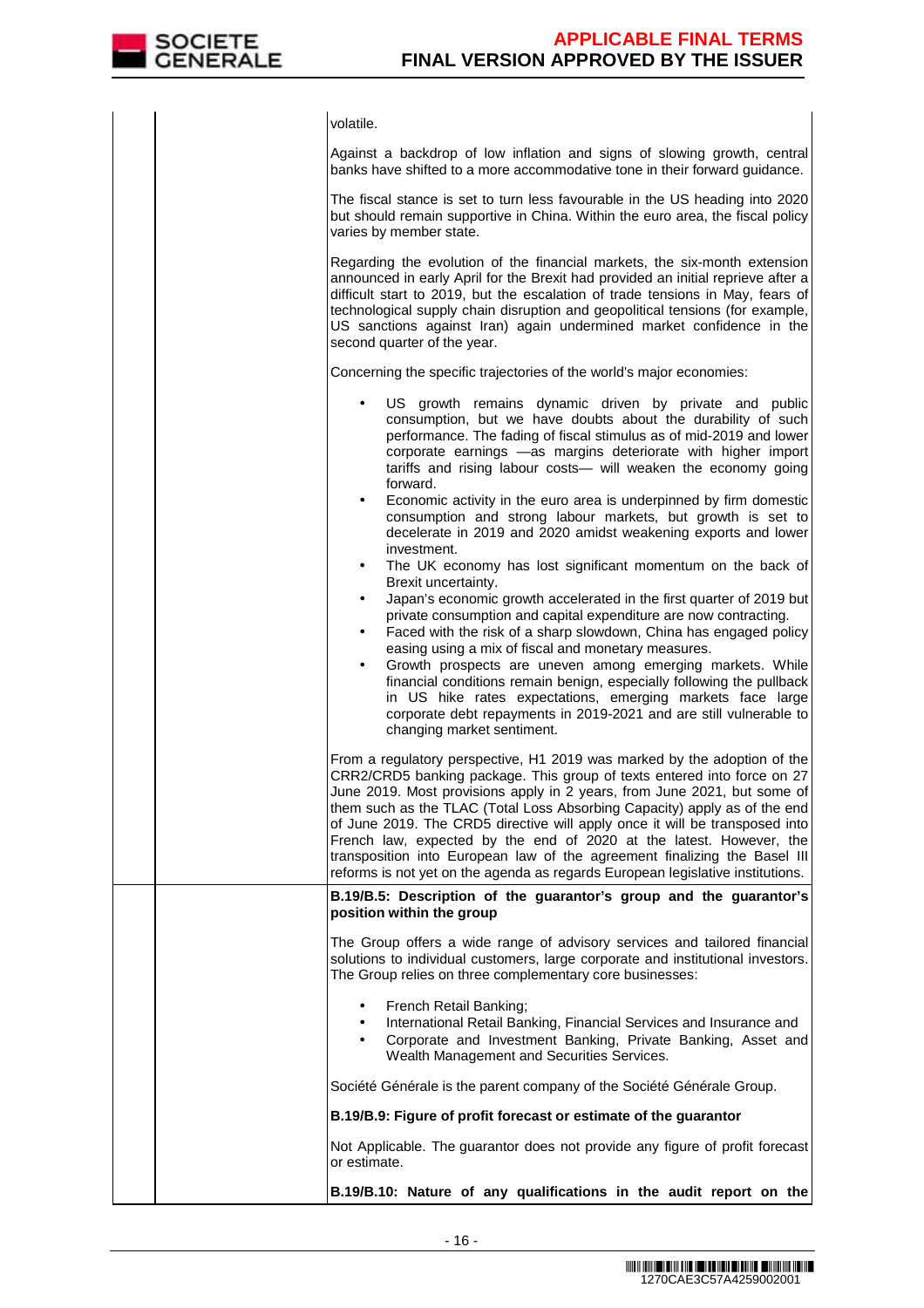

|  | volatile.                                                                                                                                                                                                                                                                                                                                                                                                                                                                                                                                                                                                                         |
|--|-----------------------------------------------------------------------------------------------------------------------------------------------------------------------------------------------------------------------------------------------------------------------------------------------------------------------------------------------------------------------------------------------------------------------------------------------------------------------------------------------------------------------------------------------------------------------------------------------------------------------------------|
|  | Against a backdrop of low inflation and signs of slowing growth, central<br>banks have shifted to a more accommodative tone in their forward guidance.                                                                                                                                                                                                                                                                                                                                                                                                                                                                            |
|  | The fiscal stance is set to turn less favourable in the US heading into 2020<br>but should remain supportive in China. Within the euro area, the fiscal policy<br>varies by member state.                                                                                                                                                                                                                                                                                                                                                                                                                                         |
|  | Regarding the evolution of the financial markets, the six-month extension<br>announced in early April for the Brexit had provided an initial reprieve after a<br>difficult start to 2019, but the escalation of trade tensions in May, fears of<br>technological supply chain disruption and geopolitical tensions (for example,<br>US sanctions against Iran) again undermined market confidence in the<br>second quarter of the year.                                                                                                                                                                                           |
|  | Concerning the specific trajectories of the world's major economies:                                                                                                                                                                                                                                                                                                                                                                                                                                                                                                                                                              |
|  | US growth remains dynamic driven by private and public<br>consumption, but we have doubts about the durability of such<br>performance. The fading of fiscal stimulus as of mid-2019 and lower<br>corporate earnings -as margins deteriorate with higher import<br>tariffs and rising labour costs- will weaken the economy going<br>forward.<br>Economic activity in the euro area is underpinned by firm domestic                                                                                                                                                                                                                |
|  | $\bullet$<br>consumption and strong labour markets, but growth is set to<br>decelerate in 2019 and 2020 amidst weakening exports and lower<br>investment.<br>The UK economy has lost significant momentum on the back of<br>$\bullet$                                                                                                                                                                                                                                                                                                                                                                                             |
|  | Brexit uncertainty.<br>Japan's economic growth accelerated in the first quarter of 2019 but<br>$\bullet$<br>private consumption and capital expenditure are now contracting.<br>Faced with the risk of a sharp slowdown, China has engaged policy<br>٠<br>easing using a mix of fiscal and monetary measures.<br>Growth prospects are uneven among emerging markets. While<br>$\bullet$<br>financial conditions remain benign, especially following the pullback<br>in US hike rates expectations, emerging markets face large                                                                                                    |
|  | corporate debt repayments in 2019-2021 and are still vulnerable to<br>changing market sentiment.                                                                                                                                                                                                                                                                                                                                                                                                                                                                                                                                  |
|  | From a regulatory perspective, H1 2019 was marked by the adoption of the<br>CRR2/CRD5 banking package. This group of texts entered into force on 27<br>June 2019. Most provisions apply in 2 years, from June 2021, but some of<br>them such as the TLAC (Total Loss Absorbing Capacity) apply as of the end<br>of June 2019. The CRD5 directive will apply once it will be transposed into<br>French law, expected by the end of 2020 at the latest. However, the<br>transposition into European law of the agreement finalizing the Basel III<br>reforms is not yet on the agenda as regards European legislative institutions. |
|  | B.19/B.5: Description of the guarantor's group and the guarantor's<br>position within the group                                                                                                                                                                                                                                                                                                                                                                                                                                                                                                                                   |
|  | The Group offers a wide range of advisory services and tailored financial<br>solutions to individual customers, large corporate and institutional investors.<br>The Group relies on three complementary core businesses:                                                                                                                                                                                                                                                                                                                                                                                                          |
|  | French Retail Banking;<br>International Retail Banking, Financial Services and Insurance and<br>$\bullet$<br>Corporate and Investment Banking, Private Banking, Asset and<br>$\bullet$<br>Wealth Management and Securities Services.                                                                                                                                                                                                                                                                                                                                                                                              |
|  | Société Générale is the parent company of the Société Générale Group.                                                                                                                                                                                                                                                                                                                                                                                                                                                                                                                                                             |
|  | B.19/B.9: Figure of profit forecast or estimate of the guarantor                                                                                                                                                                                                                                                                                                                                                                                                                                                                                                                                                                  |
|  | Not Applicable. The guarantor does not provide any figure of profit forecast<br>or estimate.                                                                                                                                                                                                                                                                                                                                                                                                                                                                                                                                      |
|  | B.19/B.10: Nature of any qualifications in the audit report on the                                                                                                                                                                                                                                                                                                                                                                                                                                                                                                                                                                |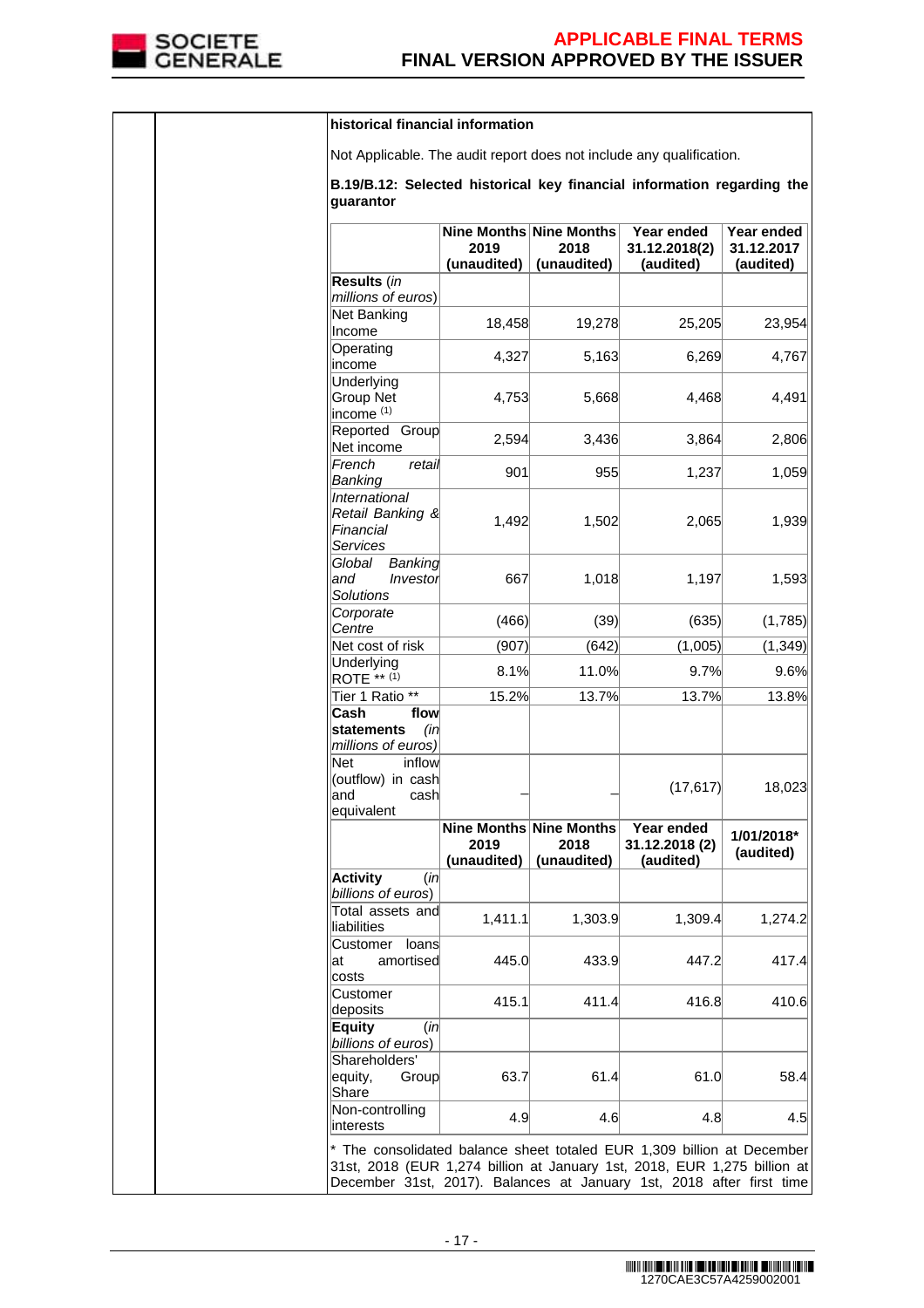

|  | historical financial information                                                                                                                                                                                           |                                                |                     |                                           |                                       |
|--|----------------------------------------------------------------------------------------------------------------------------------------------------------------------------------------------------------------------------|------------------------------------------------|---------------------|-------------------------------------------|---------------------------------------|
|  | Not Applicable. The audit report does not include any qualification.                                                                                                                                                       |                                                |                     |                                           |                                       |
|  | B.19/B.12: Selected historical key financial information regarding the<br>guarantor                                                                                                                                        |                                                |                     |                                           |                                       |
|  |                                                                                                                                                                                                                            | Nine Months Nine Months<br>2019<br>(unaudited) | 2018<br>(unaudited) | Year ended<br>31.12.2018(2)<br>(audited)  | Year ended<br>31.12.2017<br>(audited) |
|  | Results (in<br>millions of euros)                                                                                                                                                                                          |                                                |                     |                                           |                                       |
|  | Net Banking<br>Income                                                                                                                                                                                                      | 18,458                                         | 19,278              | 25,205                                    | 23,954                                |
|  | Operating<br>income                                                                                                                                                                                                        | 4,327                                          | 5,163               | 6,269                                     | 4,767                                 |
|  | Underlying<br>Group Net<br>income <sup>(1)</sup>                                                                                                                                                                           | 4,753                                          | 5,668               | 4,468                                     | 4,491                                 |
|  | Reported Group<br>Net income                                                                                                                                                                                               | 2,594                                          | 3,436               | 3,864                                     | 2,806                                 |
|  | French<br>retail<br>Banking                                                                                                                                                                                                | 901                                            | 955                 | 1,237                                     | 1,059                                 |
|  | International<br>Retail Banking &<br>Financial<br>Services                                                                                                                                                                 | 1,492                                          | 1,502               | 2,065                                     | 1,939                                 |
|  | Global<br>Banking<br>and<br>Investor<br><b>Solutions</b>                                                                                                                                                                   | 667                                            | 1,018               | 1,197                                     | 1,593                                 |
|  | Corporate<br>Centre                                                                                                                                                                                                        | (466)                                          | (39)                | (635)                                     | (1,785)                               |
|  | Net cost of risk                                                                                                                                                                                                           | (907)                                          | (642)               | (1,005)                                   | (1, 349)                              |
|  | Underlying<br>$ROTE$ ** (1)                                                                                                                                                                                                | 8.1%                                           | 11.0%               | 9.7%                                      | 9.6%                                  |
|  | Tier 1 Ratio **                                                                                                                                                                                                            | 15.2%                                          | 13.7%               | 13.7%                                     | 13.8%                                 |
|  | Cash<br>flow<br>statements<br>(in<br>millions of euros)<br><b>Net</b><br>inflow                                                                                                                                            |                                                |                     |                                           |                                       |
|  | (outflow) in cash<br>and<br>cash<br>equivalent                                                                                                                                                                             |                                                |                     | (17, 617)                                 | 18,023                                |
|  |                                                                                                                                                                                                                            | Nine Months Nine Months<br>2019<br>(unaudited) | 2018<br>(unaudited) | Year ended<br>31.12.2018 (2)<br>(audited) | 1/01/2018*<br>(audited)               |
|  | <b>Activity</b><br>(in<br>billions of euros)                                                                                                                                                                               |                                                |                     |                                           |                                       |
|  | Total assets and<br>liabilities                                                                                                                                                                                            | 1,411.1                                        | 1,303.9             | 1,309.4                                   | 1,274.2                               |
|  | loans<br>Customer<br>amortised<br>lat<br>costs                                                                                                                                                                             | 445.0                                          | 433.9               | 447.2                                     | 417.4                                 |
|  | Customer<br>deposits                                                                                                                                                                                                       | 415.1                                          | 411.4               | 416.8                                     | 410.6                                 |
|  | Equity<br>(in<br>billions of euros)                                                                                                                                                                                        |                                                |                     |                                           |                                       |
|  | Shareholders'<br>equity,<br>Group<br>Share                                                                                                                                                                                 | 63.7                                           | 61.4                | 61.0                                      | 58.4                                  |
|  | Non-controlling<br>interests                                                                                                                                                                                               | 4.9                                            | 4.6                 | 4.8                                       | 4.5                                   |
|  | * The consolidated balance sheet totaled EUR 1,309 billion at December<br>31st, 2018 (EUR 1,274 billion at January 1st, 2018, EUR 1,275 billion at<br>December 31st, 2017). Balances at January 1st, 2018 after first time |                                                |                     |                                           |                                       |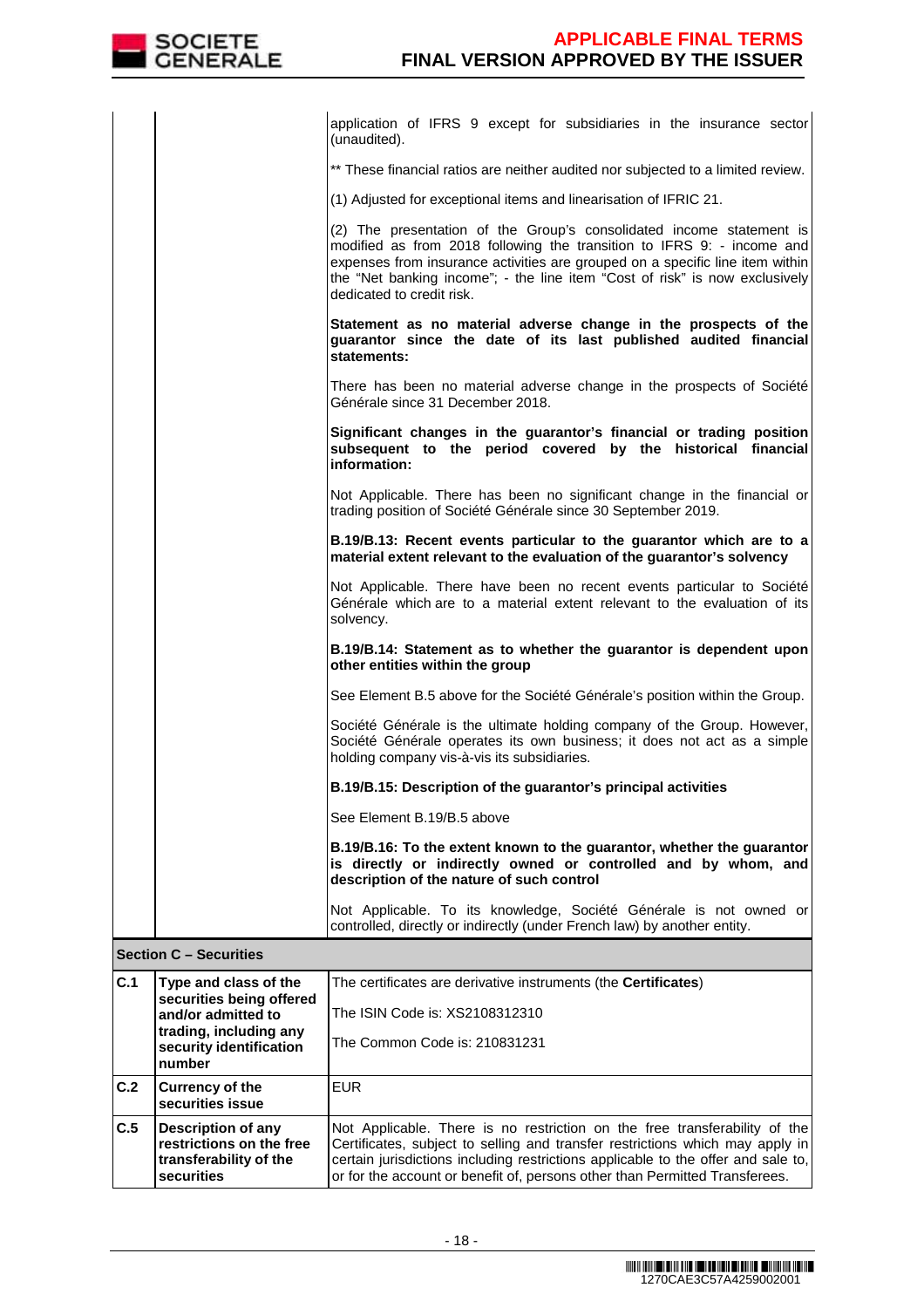|     |                                                                                        | application of IFRS 9 except for subsidiaries in the insurance sector<br>(unaudited).                                                                                                                                                                                                                                                       |
|-----|----------------------------------------------------------------------------------------|---------------------------------------------------------------------------------------------------------------------------------------------------------------------------------------------------------------------------------------------------------------------------------------------------------------------------------------------|
|     |                                                                                        | ** These financial ratios are neither audited nor subjected to a limited review.                                                                                                                                                                                                                                                            |
|     |                                                                                        | (1) Adjusted for exceptional items and linearisation of IFRIC 21.                                                                                                                                                                                                                                                                           |
|     |                                                                                        | (2) The presentation of the Group's consolidated income statement is<br>modified as from 2018 following the transition to IFRS 9: - income and<br>expenses from insurance activities are grouped on a specific line item within<br>the "Net banking income"; - the line item "Cost of risk" is now exclusively<br>dedicated to credit risk. |
|     |                                                                                        | Statement as no material adverse change in the prospects of the<br>guarantor since the date of its last published audited financial<br>statements:                                                                                                                                                                                          |
|     |                                                                                        | There has been no material adverse change in the prospects of Société<br>Générale since 31 December 2018.                                                                                                                                                                                                                                   |
|     |                                                                                        | Significant changes in the guarantor's financial or trading position<br>subsequent to the period covered by the historical financial<br>information:                                                                                                                                                                                        |
|     |                                                                                        | Not Applicable. There has been no significant change in the financial or<br>trading position of Société Générale since 30 September 2019.                                                                                                                                                                                                   |
|     |                                                                                        | B.19/B.13: Recent events particular to the guarantor which are to a<br>material extent relevant to the evaluation of the guarantor's solvency                                                                                                                                                                                               |
|     |                                                                                        | Not Applicable. There have been no recent events particular to Société<br>Générale which are to a material extent relevant to the evaluation of its<br>solvency.                                                                                                                                                                            |
|     |                                                                                        | B.19/B.14: Statement as to whether the guarantor is dependent upon<br>other entities within the group                                                                                                                                                                                                                                       |
|     |                                                                                        | See Element B.5 above for the Société Générale's position within the Group.                                                                                                                                                                                                                                                                 |
|     |                                                                                        | Société Générale is the ultimate holding company of the Group. However,<br>Société Générale operates its own business; it does not act as a simple<br>holding company vis-à-vis its subsidiaries.                                                                                                                                           |
|     |                                                                                        | B.19/B.15: Description of the guarantor's principal activities                                                                                                                                                                                                                                                                              |
|     |                                                                                        | See Element B.19/B.5 above                                                                                                                                                                                                                                                                                                                  |
|     |                                                                                        | B.19/B.16: To the extent known to the guarantor, whether the guarantor<br>is directly or indirectly owned or controlled and by whom, and<br>description of the nature of such control                                                                                                                                                       |
|     |                                                                                        | Not Applicable. To its knowledge, Société Générale is not owned or<br>controlled, directly or indirectly (under French law) by another entity.                                                                                                                                                                                              |
|     | <b>Section C - Securities</b>                                                          |                                                                                                                                                                                                                                                                                                                                             |
| C.1 | Type and class of the<br>securities being offered                                      | The certificates are derivative instruments (the <b>Certificates</b> )                                                                                                                                                                                                                                                                      |
|     | and/or admitted to                                                                     | The ISIN Code is: XS2108312310                                                                                                                                                                                                                                                                                                              |
|     | trading, including any<br>security identification<br>number                            | The Common Code is: 210831231                                                                                                                                                                                                                                                                                                               |
| C.2 | <b>Currency of the</b><br>securities issue                                             | <b>EUR</b>                                                                                                                                                                                                                                                                                                                                  |
| C.5 | Description of any<br>restrictions on the free<br>transferability of the<br>securities | Not Applicable. There is no restriction on the free transferability of the<br>Certificates, subject to selling and transfer restrictions which may apply in<br>certain jurisdictions including restrictions applicable to the offer and sale to,<br>or for the account or benefit of, persons other than Permitted Transferees.             |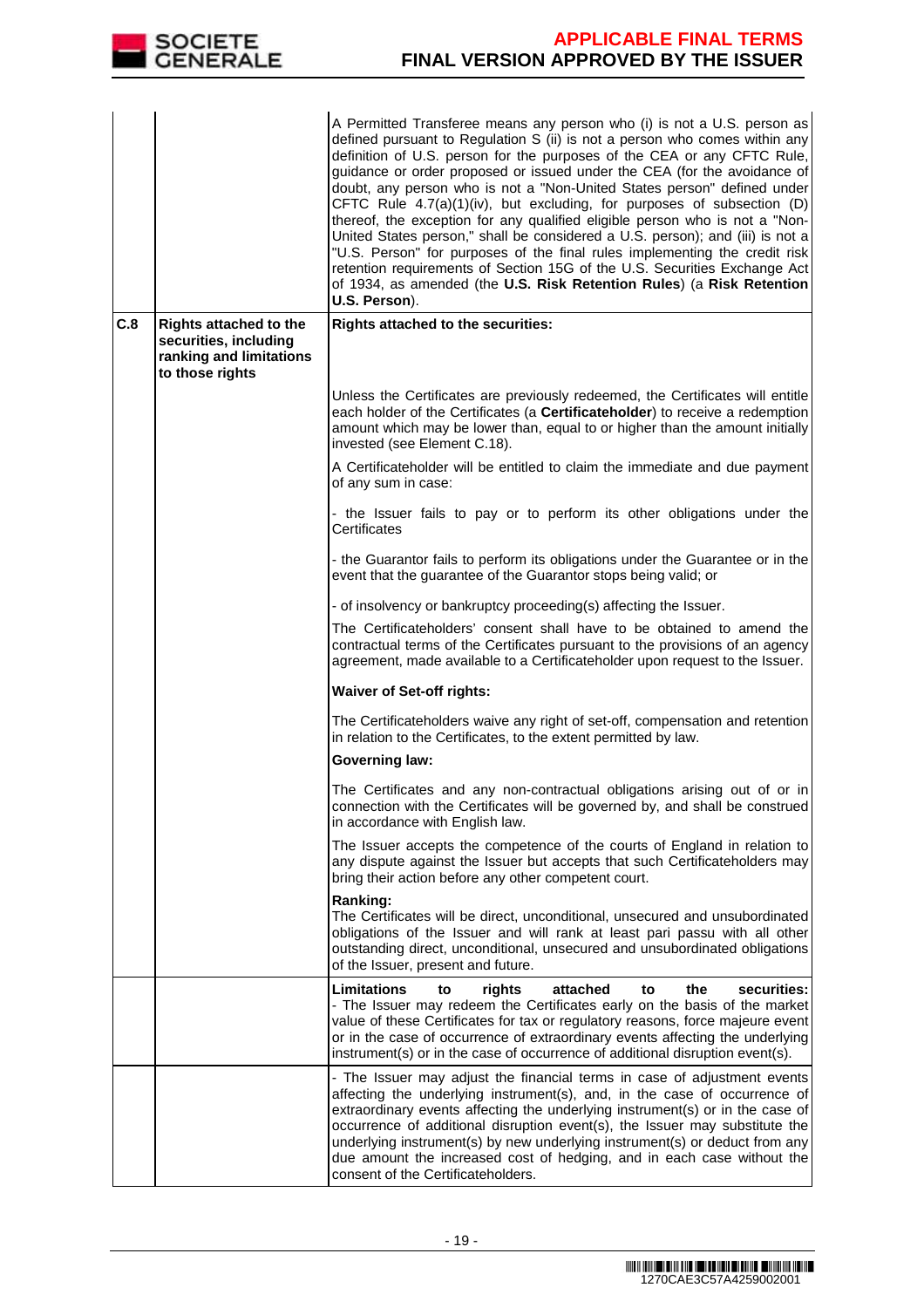

|     |                                                                                                      | A Permitted Transferee means any person who (i) is not a U.S. person as<br>defined pursuant to Regulation S (ii) is not a person who comes within any<br>definition of U.S. person for the purposes of the CEA or any CFTC Rule,<br>guidance or order proposed or issued under the CEA (for the avoidance of<br>doubt, any person who is not a "Non-United States person" defined under<br>CFTC Rule 4.7(a)(1)(iv), but excluding, for purposes of subsection (D)<br>thereof, the exception for any qualified eligible person who is not a "Non-<br>United States person," shall be considered a U.S. person); and (iii) is not a<br>"U.S. Person" for purposes of the final rules implementing the credit risk<br>retention requirements of Section 15G of the U.S. Securities Exchange Act<br>of 1934, as amended (the U.S. Risk Retention Rules) (a Risk Retention<br>U.S. Person). |
|-----|------------------------------------------------------------------------------------------------------|----------------------------------------------------------------------------------------------------------------------------------------------------------------------------------------------------------------------------------------------------------------------------------------------------------------------------------------------------------------------------------------------------------------------------------------------------------------------------------------------------------------------------------------------------------------------------------------------------------------------------------------------------------------------------------------------------------------------------------------------------------------------------------------------------------------------------------------------------------------------------------------|
| C.8 | <b>Rights attached to the</b><br>securities, including<br>ranking and limitations<br>to those rights | Rights attached to the securities:                                                                                                                                                                                                                                                                                                                                                                                                                                                                                                                                                                                                                                                                                                                                                                                                                                                     |
|     |                                                                                                      | Unless the Certificates are previously redeemed, the Certificates will entitle<br>each holder of the Certificates (a Certificateholder) to receive a redemption<br>amount which may be lower than, equal to or higher than the amount initially<br>invested (see Element C.18).                                                                                                                                                                                                                                                                                                                                                                                                                                                                                                                                                                                                        |
|     |                                                                                                      | A Certificateholder will be entitled to claim the immediate and due payment<br>of any sum in case:                                                                                                                                                                                                                                                                                                                                                                                                                                                                                                                                                                                                                                                                                                                                                                                     |
|     |                                                                                                      | - the Issuer fails to pay or to perform its other obligations under the<br>Certificates                                                                                                                                                                                                                                                                                                                                                                                                                                                                                                                                                                                                                                                                                                                                                                                                |
|     |                                                                                                      | - the Guarantor fails to perform its obligations under the Guarantee or in the<br>event that the guarantee of the Guarantor stops being valid; or                                                                                                                                                                                                                                                                                                                                                                                                                                                                                                                                                                                                                                                                                                                                      |
|     |                                                                                                      | - of insolvency or bankruptcy proceeding(s) affecting the Issuer.                                                                                                                                                                                                                                                                                                                                                                                                                                                                                                                                                                                                                                                                                                                                                                                                                      |
|     |                                                                                                      | The Certificateholders' consent shall have to be obtained to amend the<br>contractual terms of the Certificates pursuant to the provisions of an agency<br>agreement, made available to a Certificateholder upon request to the Issuer.                                                                                                                                                                                                                                                                                                                                                                                                                                                                                                                                                                                                                                                |
|     |                                                                                                      | <b>Waiver of Set-off rights:</b>                                                                                                                                                                                                                                                                                                                                                                                                                                                                                                                                                                                                                                                                                                                                                                                                                                                       |
|     |                                                                                                      | The Certificateholders waive any right of set-off, compensation and retention<br>in relation to the Certificates, to the extent permitted by law.                                                                                                                                                                                                                                                                                                                                                                                                                                                                                                                                                                                                                                                                                                                                      |
|     |                                                                                                      | <b>Governing law:</b>                                                                                                                                                                                                                                                                                                                                                                                                                                                                                                                                                                                                                                                                                                                                                                                                                                                                  |
|     |                                                                                                      | The Certificates and any non-contractual obligations arising out of or in<br>connection with the Certificates will be governed by, and shall be construed<br>in accordance with English law.                                                                                                                                                                                                                                                                                                                                                                                                                                                                                                                                                                                                                                                                                           |
|     |                                                                                                      | The Issuer accepts the competence of the courts of England in relation to<br>any dispute against the Issuer but accepts that such Certificateholders may<br>bring their action before any other competent court.                                                                                                                                                                                                                                                                                                                                                                                                                                                                                                                                                                                                                                                                       |
|     |                                                                                                      | Ranking:<br>The Certificates will be direct, unconditional, unsecured and unsubordinated<br>obligations of the Issuer and will rank at least pari passu with all other<br>outstanding direct, unconditional, unsecured and unsubordinated obligations<br>of the Issuer, present and future.                                                                                                                                                                                                                                                                                                                                                                                                                                                                                                                                                                                            |
|     |                                                                                                      | Limitations<br>securities:<br>rights<br>attached<br>the<br>to<br>to                                                                                                                                                                                                                                                                                                                                                                                                                                                                                                                                                                                                                                                                                                                                                                                                                    |
|     |                                                                                                      | - The Issuer may redeem the Certificates early on the basis of the market<br>value of these Certificates for tax or regulatory reasons, force majeure event<br>or in the case of occurrence of extraordinary events affecting the underlying<br>instrument(s) or in the case of occurrence of additional disruption event(s).                                                                                                                                                                                                                                                                                                                                                                                                                                                                                                                                                          |
|     |                                                                                                      | - The Issuer may adjust the financial terms in case of adjustment events<br>affecting the underlying instrument(s), and, in the case of occurrence of<br>extraordinary events affecting the underlying instrument(s) or in the case of<br>occurrence of additional disruption event(s), the Issuer may substitute the<br>underlying instrument(s) by new underlying instrument(s) or deduct from any<br>due amount the increased cost of hedging, and in each case without the<br>consent of the Certificateholders.                                                                                                                                                                                                                                                                                                                                                                   |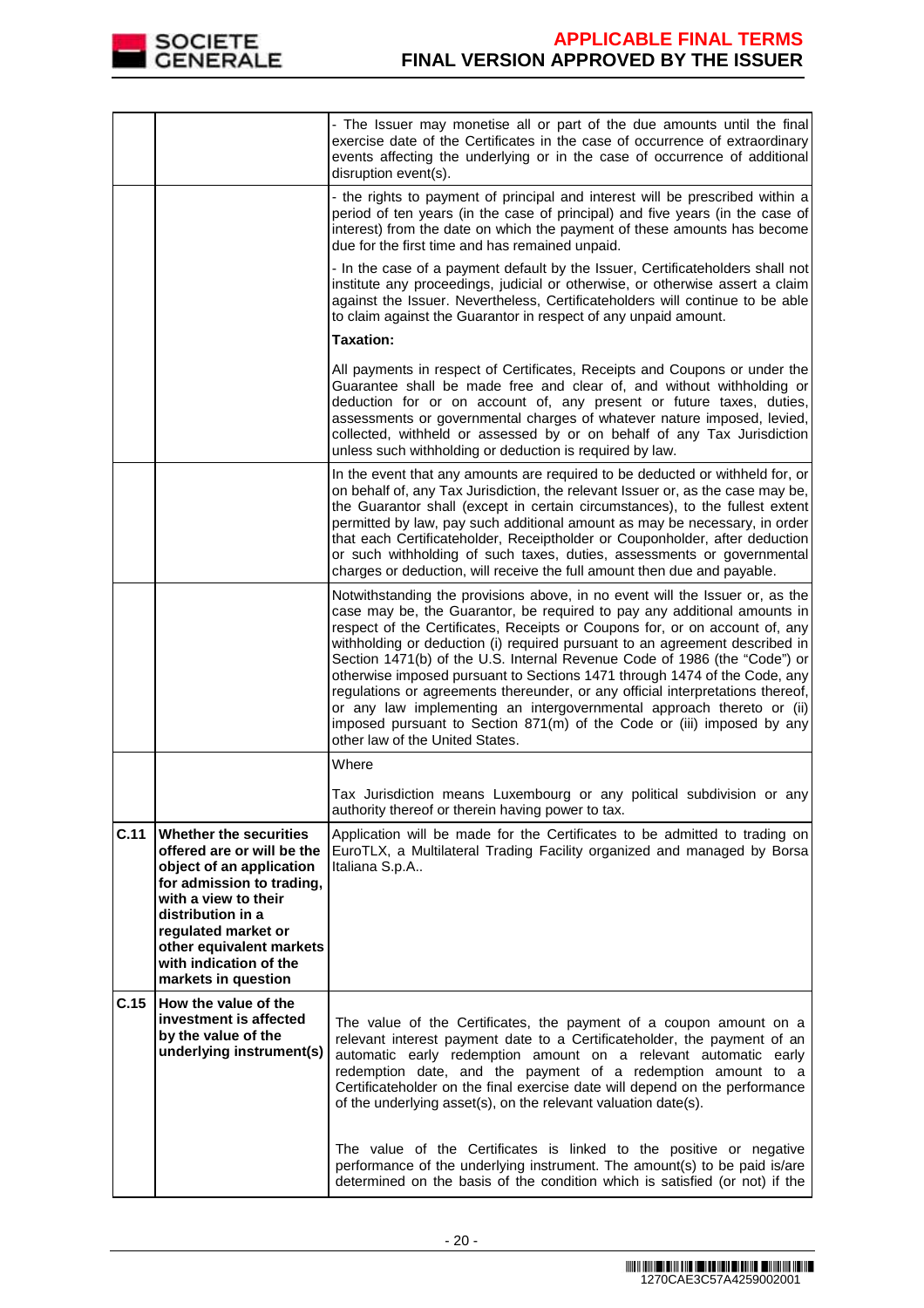

|      |                                                                                                                                                                                                                                                                | - The Issuer may monetise all or part of the due amounts until the final<br>exercise date of the Certificates in the case of occurrence of extraordinary<br>events affecting the underlying or in the case of occurrence of additional<br>disruption event(s).                                                                                                                                                                                                                                                                                                                                                                                                                                                                                           |
|------|----------------------------------------------------------------------------------------------------------------------------------------------------------------------------------------------------------------------------------------------------------------|----------------------------------------------------------------------------------------------------------------------------------------------------------------------------------------------------------------------------------------------------------------------------------------------------------------------------------------------------------------------------------------------------------------------------------------------------------------------------------------------------------------------------------------------------------------------------------------------------------------------------------------------------------------------------------------------------------------------------------------------------------|
|      |                                                                                                                                                                                                                                                                | - the rights to payment of principal and interest will be prescribed within a<br>period of ten years (in the case of principal) and five years (in the case of<br>interest) from the date on which the payment of these amounts has become<br>due for the first time and has remained unpaid.                                                                                                                                                                                                                                                                                                                                                                                                                                                            |
|      |                                                                                                                                                                                                                                                                | - In the case of a payment default by the Issuer, Certificateholders shall not<br>institute any proceedings, judicial or otherwise, or otherwise assert a claim<br>against the Issuer. Nevertheless, Certificateholders will continue to be able<br>to claim against the Guarantor in respect of any unpaid amount.                                                                                                                                                                                                                                                                                                                                                                                                                                      |
|      |                                                                                                                                                                                                                                                                | <b>Taxation:</b>                                                                                                                                                                                                                                                                                                                                                                                                                                                                                                                                                                                                                                                                                                                                         |
|      |                                                                                                                                                                                                                                                                | All payments in respect of Certificates, Receipts and Coupons or under the<br>Guarantee shall be made free and clear of, and without withholding or<br>deduction for or on account of, any present or future taxes, duties,<br>assessments or governmental charges of whatever nature imposed, levied,<br>collected, withheld or assessed by or on behalf of any Tax Jurisdiction<br>unless such withholding or deduction is required by law.                                                                                                                                                                                                                                                                                                            |
|      |                                                                                                                                                                                                                                                                | In the event that any amounts are required to be deducted or withheld for, or<br>on behalf of, any Tax Jurisdiction, the relevant Issuer or, as the case may be,<br>the Guarantor shall (except in certain circumstances), to the fullest extent<br>permitted by law, pay such additional amount as may be necessary, in order<br>that each Certificateholder, Receiptholder or Couponholder, after deduction<br>or such withholding of such taxes, duties, assessments or governmental<br>charges or deduction, will receive the full amount then due and payable.                                                                                                                                                                                      |
|      |                                                                                                                                                                                                                                                                | Notwithstanding the provisions above, in no event will the Issuer or, as the<br>case may be, the Guarantor, be required to pay any additional amounts in<br>respect of the Certificates, Receipts or Coupons for, or on account of, any<br>withholding or deduction (i) required pursuant to an agreement described in<br>Section 1471(b) of the U.S. Internal Revenue Code of 1986 (the "Code") or<br>otherwise imposed pursuant to Sections 1471 through 1474 of the Code, any<br>regulations or agreements thereunder, or any official interpretations thereof,<br>or any law implementing an intergovernmental approach thereto or (ii)<br>imposed pursuant to Section 871(m) of the Code or (iii) imposed by any<br>other law of the United States. |
|      |                                                                                                                                                                                                                                                                | Where                                                                                                                                                                                                                                                                                                                                                                                                                                                                                                                                                                                                                                                                                                                                                    |
|      |                                                                                                                                                                                                                                                                | Tax Jurisdiction means Luxembourg or any political subdivision or any<br>authority thereof or therein having power to tax.                                                                                                                                                                                                                                                                                                                                                                                                                                                                                                                                                                                                                               |
| C.11 | Whether the securities<br>offered are or will be the<br>object of an application<br>for admission to trading,<br>with a view to their<br>distribution in a<br>regulated market or<br>other equivalent markets<br>with indication of the<br>markets in question | Application will be made for the Certificates to be admitted to trading on<br>EuroTLX, a Multilateral Trading Facility organized and managed by Borsa<br>Italiana S.p.A                                                                                                                                                                                                                                                                                                                                                                                                                                                                                                                                                                                  |
| C.15 | How the value of the<br>investment is affected<br>by the value of the<br>underlying instrument(s)                                                                                                                                                              | The value of the Certificates, the payment of a coupon amount on a<br>relevant interest payment date to a Certificateholder, the payment of an<br>automatic early redemption amount on a relevant automatic early<br>redemption date, and the payment of a redemption amount to a<br>Certificateholder on the final exercise date will depend on the performance<br>of the underlying asset(s), on the relevant valuation date(s).                                                                                                                                                                                                                                                                                                                       |
|      |                                                                                                                                                                                                                                                                | The value of the Certificates is linked to the positive or negative<br>performance of the underlying instrument. The amount(s) to be paid is/are<br>determined on the basis of the condition which is satisfied (or not) if the                                                                                                                                                                                                                                                                                                                                                                                                                                                                                                                          |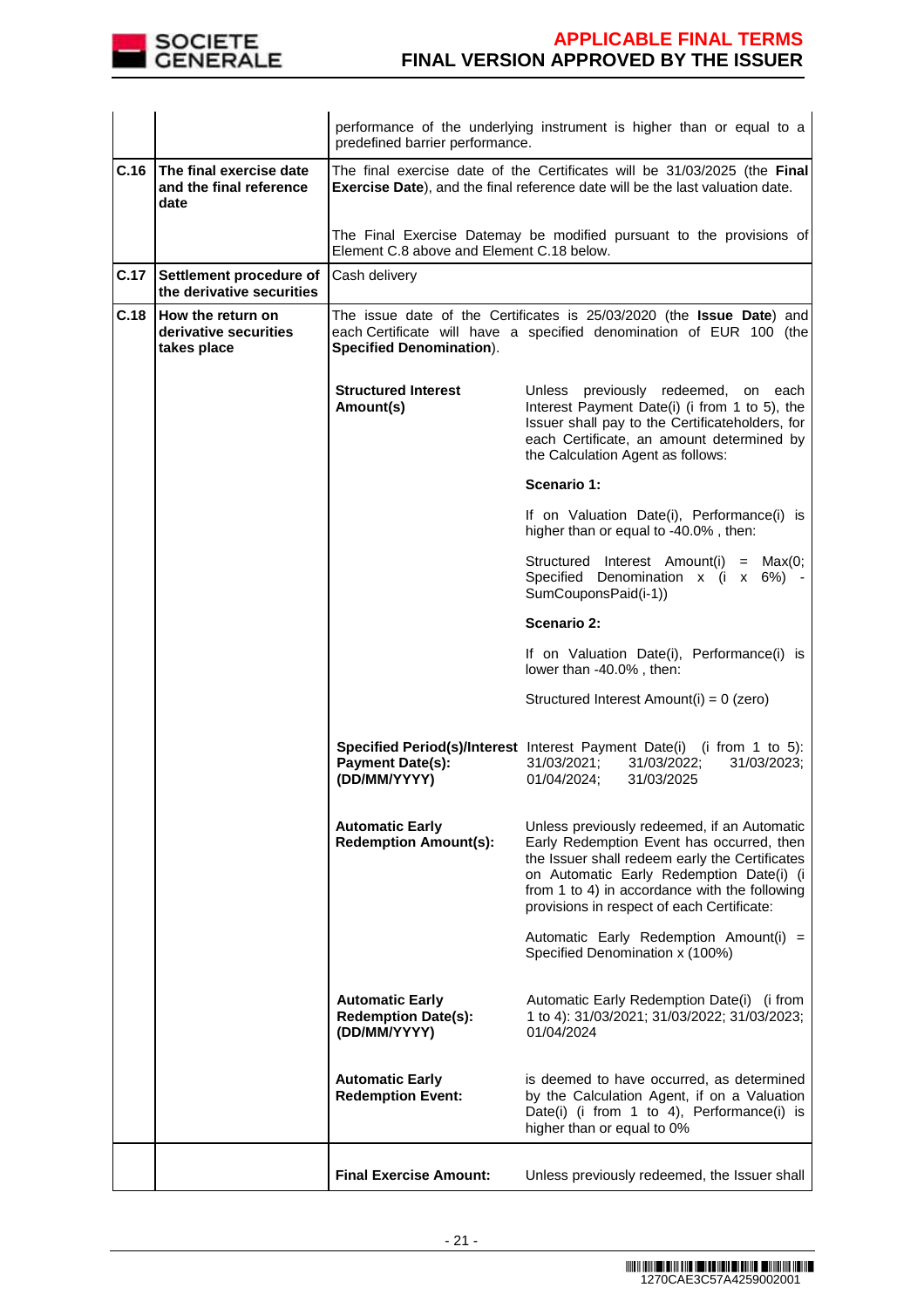

|      |                                                            | performance of the underlying instrument is higher than or equal to a<br>predefined barrier performance.                                                                                                                                                                                                                                        |                                                                                                                                                                                                                           |  |  |
|------|------------------------------------------------------------|-------------------------------------------------------------------------------------------------------------------------------------------------------------------------------------------------------------------------------------------------------------------------------------------------------------------------------------------------|---------------------------------------------------------------------------------------------------------------------------------------------------------------------------------------------------------------------------|--|--|
| C.16 | The final exercise date<br>and the final reference<br>date | The final exercise date of the Certificates will be 31/03/2025 (the Final<br>Exercise Date), and the final reference date will be the last valuation date.                                                                                                                                                                                      |                                                                                                                                                                                                                           |  |  |
|      |                                                            | The Final Exercise Datemay be modified pursuant to the provisions of<br>Element C.8 above and Element C.18 below.                                                                                                                                                                                                                               |                                                                                                                                                                                                                           |  |  |
| C.17 | Settlement procedure of<br>the derivative securities       | Cash delivery                                                                                                                                                                                                                                                                                                                                   |                                                                                                                                                                                                                           |  |  |
| C.18 | How the return on<br>derivative securities<br>takes place  | The issue date of the Certificates is 25/03/2020 (the Issue Date) and<br>each Certificate will have a specified denomination of EUR 100 (the<br><b>Specified Denomination).</b>                                                                                                                                                                 |                                                                                                                                                                                                                           |  |  |
|      |                                                            | <b>Structured Interest</b><br>Amount(s)                                                                                                                                                                                                                                                                                                         | Unless previously redeemed, on each<br>Interest Payment Date(i) (i from 1 to 5), the<br>Issuer shall pay to the Certificateholders, for<br>each Certificate, an amount determined by<br>the Calculation Agent as follows: |  |  |
|      |                                                            |                                                                                                                                                                                                                                                                                                                                                 | Scenario 1:                                                                                                                                                                                                               |  |  |
|      |                                                            |                                                                                                                                                                                                                                                                                                                                                 | If on Valuation Date(i), Performance(i) is<br>higher than or equal to -40.0%, then:                                                                                                                                       |  |  |
|      |                                                            |                                                                                                                                                                                                                                                                                                                                                 | Structured Interest Amount(i) = Max(0;<br>Specified Denomination x (i x 6%)<br>SumCouponsPaid(i-1))                                                                                                                       |  |  |
|      |                                                            | Scenario 2:                                                                                                                                                                                                                                                                                                                                     |                                                                                                                                                                                                                           |  |  |
|      |                                                            | If on Valuation Date(i), Performance(i) is<br>lower than -40.0%, then:                                                                                                                                                                                                                                                                          |                                                                                                                                                                                                                           |  |  |
|      |                                                            |                                                                                                                                                                                                                                                                                                                                                 | Structured Interest Amount(i) = 0 (zero)                                                                                                                                                                                  |  |  |
|      |                                                            | Specified Period(s)/Interest Interest Payment Date(i) (i from 1 to 5):<br><b>Payment Date(s):</b><br>31/03/2021;<br>31/03/2022;<br>31/03/2023;<br>(DD/MM/YYYY)<br>01/04/2024;<br>31/03/2025                                                                                                                                                     |                                                                                                                                                                                                                           |  |  |
|      |                                                            | <b>Automatic Early</b><br>Unless previously redeemed, if an Automatic<br><b>Redemption Amount(s):</b><br>Early Redemption Event has occurred, then<br>the Issuer shall redeem early the Certificates<br>on Automatic Early Redemption Date(i) (i<br>from 1 to 4) in accordance with the following<br>provisions in respect of each Certificate: |                                                                                                                                                                                                                           |  |  |
|      |                                                            | Automatic Early Redemption Amount(i) =<br>Specified Denomination x (100%)                                                                                                                                                                                                                                                                       |                                                                                                                                                                                                                           |  |  |
|      |                                                            | <b>Automatic Early</b><br><b>Redemption Date(s):</b><br>(DD/MM/YYYY)                                                                                                                                                                                                                                                                            | Automatic Early Redemption Date(i) (i from<br>1 to 4): 31/03/2021; 31/03/2022; 31/03/2023;<br>01/04/2024                                                                                                                  |  |  |
|      |                                                            | <b>Automatic Early</b><br><b>Redemption Event:</b>                                                                                                                                                                                                                                                                                              | is deemed to have occurred, as determined<br>by the Calculation Agent, if on a Valuation<br>Date(i) (i from 1 to 4), Performance(i) is<br>higher than or equal to 0%                                                      |  |  |
|      |                                                            | <b>Final Exercise Amount:</b>                                                                                                                                                                                                                                                                                                                   | Unless previously redeemed, the Issuer shall                                                                                                                                                                              |  |  |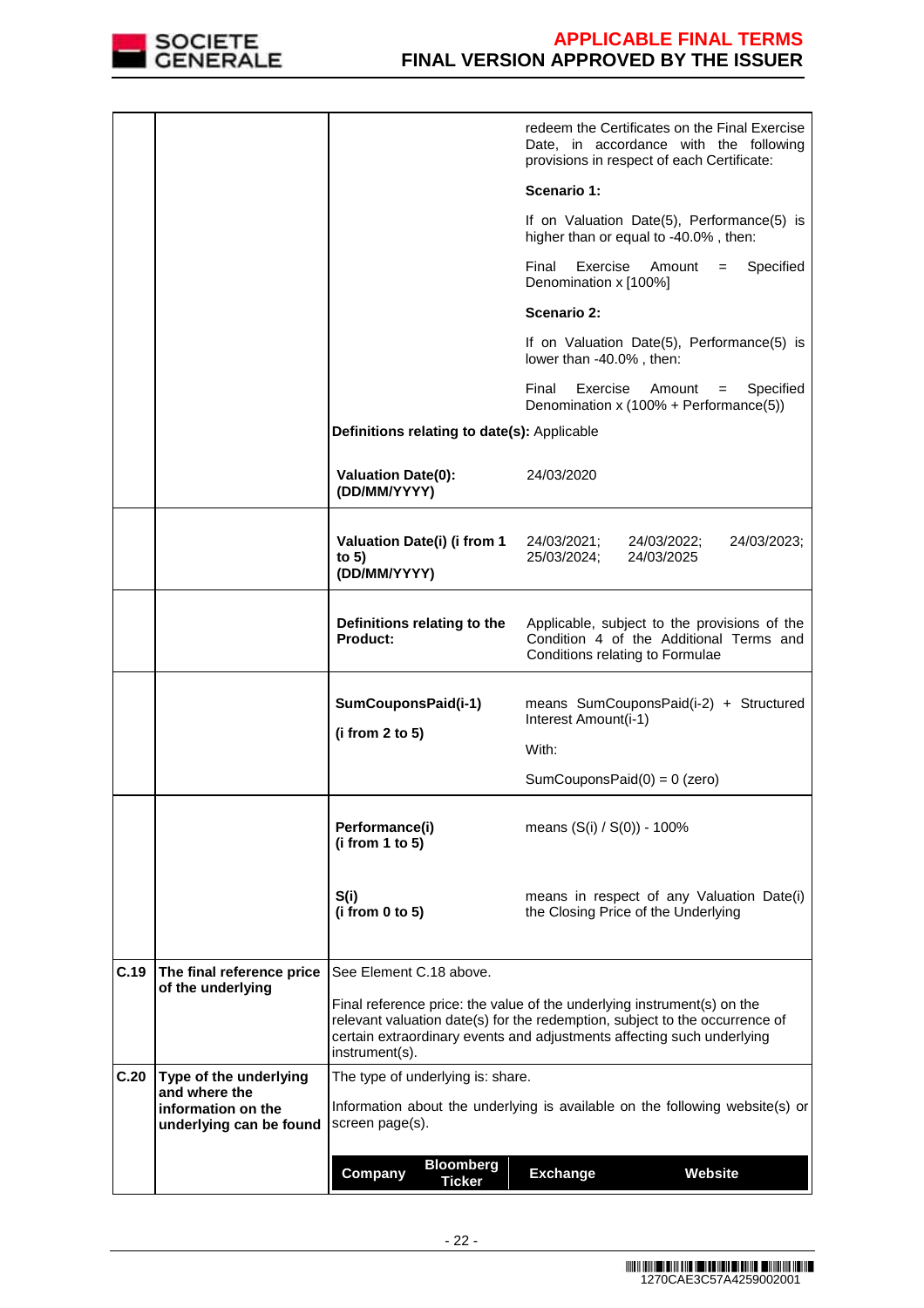

|      |                                               |                                                                                                 | redeem the Certificates on the Final Exercise<br>Date, in accordance with the following<br>provisions in respect of each Certificate:                                                                                            |  |
|------|-----------------------------------------------|-------------------------------------------------------------------------------------------------|----------------------------------------------------------------------------------------------------------------------------------------------------------------------------------------------------------------------------------|--|
|      |                                               |                                                                                                 | Scenario 1:                                                                                                                                                                                                                      |  |
|      |                                               |                                                                                                 | If on Valuation Date(5), Performance(5) is<br>higher than or equal to -40.0%, then:                                                                                                                                              |  |
|      |                                               |                                                                                                 | Final<br>Exercise<br>Specified<br>Amount<br>$=$<br>Denomination x [100%]                                                                                                                                                         |  |
|      |                                               |                                                                                                 | Scenario 2:                                                                                                                                                                                                                      |  |
|      |                                               |                                                                                                 | If on Valuation Date(5), Performance(5) is<br>lower than -40.0%, then:                                                                                                                                                           |  |
|      |                                               |                                                                                                 | Final<br>Exercise<br>Specified<br>Amount<br>$=$<br>Denomination x (100% + Performance(5))                                                                                                                                        |  |
|      |                                               | Definitions relating to date(s): Applicable                                                     |                                                                                                                                                                                                                                  |  |
|      |                                               | <b>Valuation Date(0):</b><br>(DD/MM/YYYY)                                                       | 24/03/2020                                                                                                                                                                                                                       |  |
|      |                                               | Valuation Date(i) (i from 1<br>to $5)$<br>(DD/MM/YYYY)                                          | 24/03/2021;<br>24/03/2023;<br>24/03/2022;<br>25/03/2024;<br>24/03/2025                                                                                                                                                           |  |
|      |                                               | Definitions relating to the<br>Product:                                                         | Applicable, subject to the provisions of the<br>Condition 4 of the Additional Terms and<br>Conditions relating to Formulae                                                                                                       |  |
|      |                                               | SumCouponsPaid(i-1)                                                                             | means SumCouponsPaid(i-2) + Structured<br>Interest Amount(i-1)                                                                                                                                                                   |  |
|      |                                               | (i from 2 to 5)                                                                                 | With:                                                                                                                                                                                                                            |  |
|      |                                               |                                                                                                 | SumCouponsPaid $(0) = 0$ (zero)                                                                                                                                                                                                  |  |
|      |                                               | Performance(i)<br>(i from 1 to 5)                                                               | means $(S(i) / S(0)) - 100\%$                                                                                                                                                                                                    |  |
|      |                                               | S(i)<br>(i from 0 to 5)                                                                         | means in respect of any Valuation Date(i)<br>the Closing Price of the Underlying                                                                                                                                                 |  |
| C.19 | The final reference price                     | See Element C.18 above.                                                                         |                                                                                                                                                                                                                                  |  |
|      | of the underlying                             | instrument(s).                                                                                  | Final reference price: the value of the underlying instrument(s) on the<br>relevant valuation date(s) for the redemption, subject to the occurrence of<br>certain extraordinary events and adjustments affecting such underlying |  |
| C.20 | Type of the underlying<br>and where the       | The type of underlying is: share.                                                               |                                                                                                                                                                                                                                  |  |
|      | information on the<br>underlying can be found | Information about the underlying is available on the following website(s) or<br>screen page(s). |                                                                                                                                                                                                                                  |  |
|      |                                               | <b>Bloomberg</b><br>Company                                                                     | <b>Exchange</b><br>Website                                                                                                                                                                                                       |  |
|      |                                               | <b>Ticker</b>                                                                                   |                                                                                                                                                                                                                                  |  |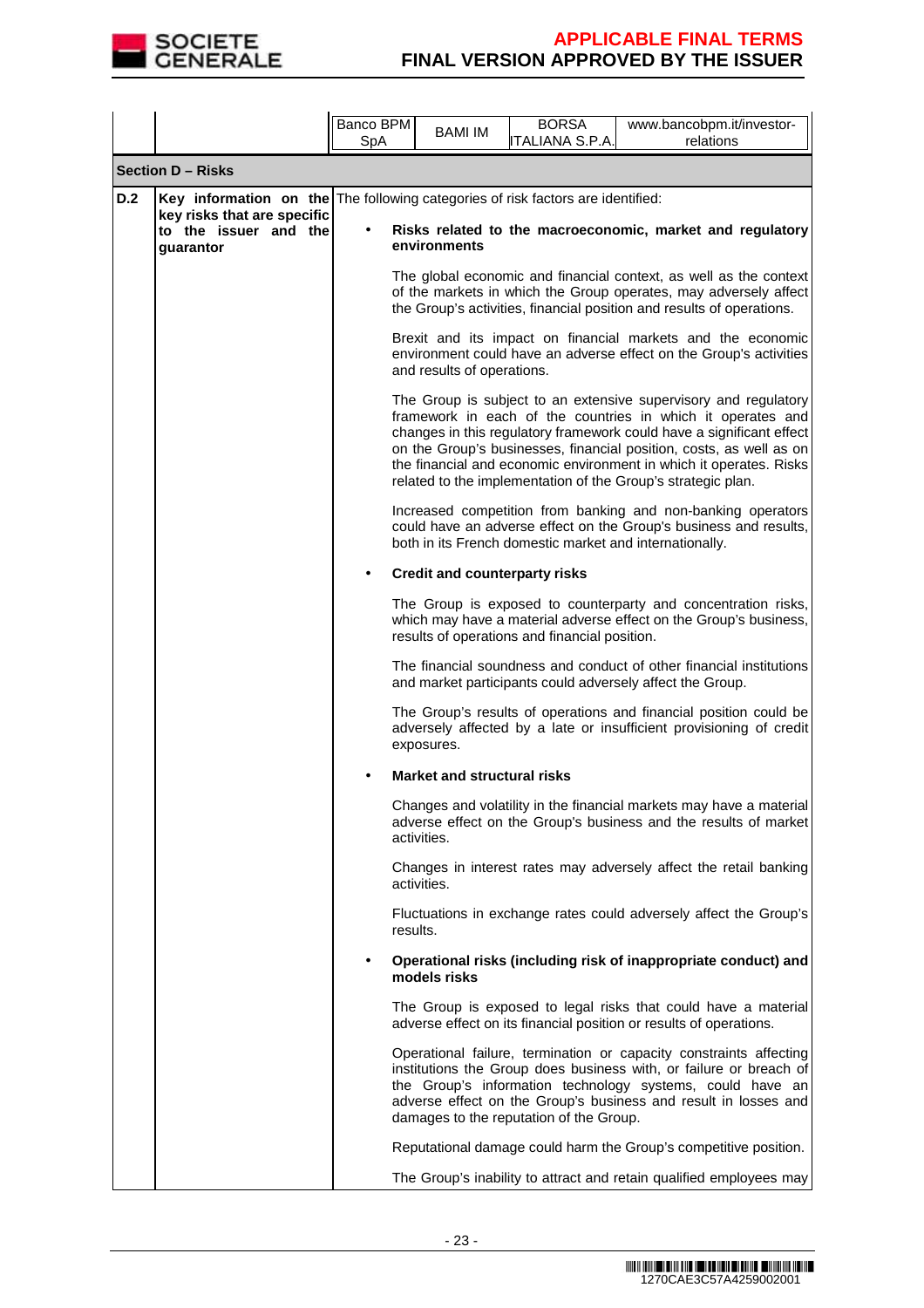

|     |                                                                                                                                                      | Banco BPM<br>SpA | <b>BAMI IM</b>                       | <b>BORSA</b><br><b>ITALIANA S.P.A.</b>        | www.bancobpm.it/investor-<br>relations                                                                                                                                                                                                                                                                                                                                                                              |
|-----|------------------------------------------------------------------------------------------------------------------------------------------------------|------------------|--------------------------------------|-----------------------------------------------|---------------------------------------------------------------------------------------------------------------------------------------------------------------------------------------------------------------------------------------------------------------------------------------------------------------------------------------------------------------------------------------------------------------------|
|     | <b>Section D - Risks</b>                                                                                                                             |                  |                                      |                                               |                                                                                                                                                                                                                                                                                                                                                                                                                     |
| D.2 | Key information on the The following categories of risk factors are identified:<br>key risks that are specific<br>to the issuer and the<br>quarantor |                  | environments                         |                                               | Risks related to the macroeconomic, market and regulatory                                                                                                                                                                                                                                                                                                                                                           |
|     |                                                                                                                                                      |                  |                                      |                                               | The global economic and financial context, as well as the context<br>of the markets in which the Group operates, may adversely affect<br>the Group's activities, financial position and results of operations.                                                                                                                                                                                                      |
|     |                                                                                                                                                      |                  | and results of operations.           |                                               | Brexit and its impact on financial markets and the economic<br>environment could have an adverse effect on the Group's activities                                                                                                                                                                                                                                                                                   |
|     |                                                                                                                                                      |                  |                                      |                                               | The Group is subject to an extensive supervisory and regulatory<br>framework in each of the countries in which it operates and<br>changes in this regulatory framework could have a significant effect<br>on the Group's businesses, financial position, costs, as well as on<br>the financial and economic environment in which it operates. Risks<br>related to the implementation of the Group's strategic plan. |
|     |                                                                                                                                                      |                  |                                      |                                               | Increased competition from banking and non-banking operators<br>could have an adverse effect on the Group's business and results,<br>both in its French domestic market and internationally.                                                                                                                                                                                                                        |
|     |                                                                                                                                                      |                  | <b>Credit and counterparty risks</b> |                                               |                                                                                                                                                                                                                                                                                                                                                                                                                     |
|     |                                                                                                                                                      |                  |                                      | results of operations and financial position. | The Group is exposed to counterparty and concentration risks,<br>which may have a material adverse effect on the Group's business,                                                                                                                                                                                                                                                                                  |
|     |                                                                                                                                                      |                  |                                      |                                               | The financial soundness and conduct of other financial institutions<br>and market participants could adversely affect the Group.                                                                                                                                                                                                                                                                                    |
|     |                                                                                                                                                      |                  | exposures.                           |                                               | The Group's results of operations and financial position could be<br>adversely affected by a late or insufficient provisioning of credit                                                                                                                                                                                                                                                                            |
|     |                                                                                                                                                      |                  | <b>Market and structural risks</b>   |                                               |                                                                                                                                                                                                                                                                                                                                                                                                                     |
|     |                                                                                                                                                      |                  | activities.                          |                                               | Changes and volatility in the financial markets may have a material<br>adverse effect on the Group's business and the results of market                                                                                                                                                                                                                                                                             |
|     |                                                                                                                                                      |                  | activities.                          |                                               | Changes in interest rates may adversely affect the retail banking                                                                                                                                                                                                                                                                                                                                                   |
|     |                                                                                                                                                      |                  | results.                             |                                               | Fluctuations in exchange rates could adversely affect the Group's                                                                                                                                                                                                                                                                                                                                                   |
|     |                                                                                                                                                      |                  | models risks                         |                                               | Operational risks (including risk of inappropriate conduct) and                                                                                                                                                                                                                                                                                                                                                     |
|     |                                                                                                                                                      |                  |                                      |                                               | The Group is exposed to legal risks that could have a material<br>adverse effect on its financial position or results of operations.                                                                                                                                                                                                                                                                                |
|     |                                                                                                                                                      |                  |                                      | damages to the reputation of the Group.       | Operational failure, termination or capacity constraints affecting<br>institutions the Group does business with, or failure or breach of<br>the Group's information technology systems, could have an<br>adverse effect on the Group's business and result in losses and                                                                                                                                            |
|     |                                                                                                                                                      |                  |                                      |                                               | Reputational damage could harm the Group's competitive position.                                                                                                                                                                                                                                                                                                                                                    |
|     |                                                                                                                                                      |                  |                                      |                                               | The Group's inability to attract and retain qualified employees may                                                                                                                                                                                                                                                                                                                                                 |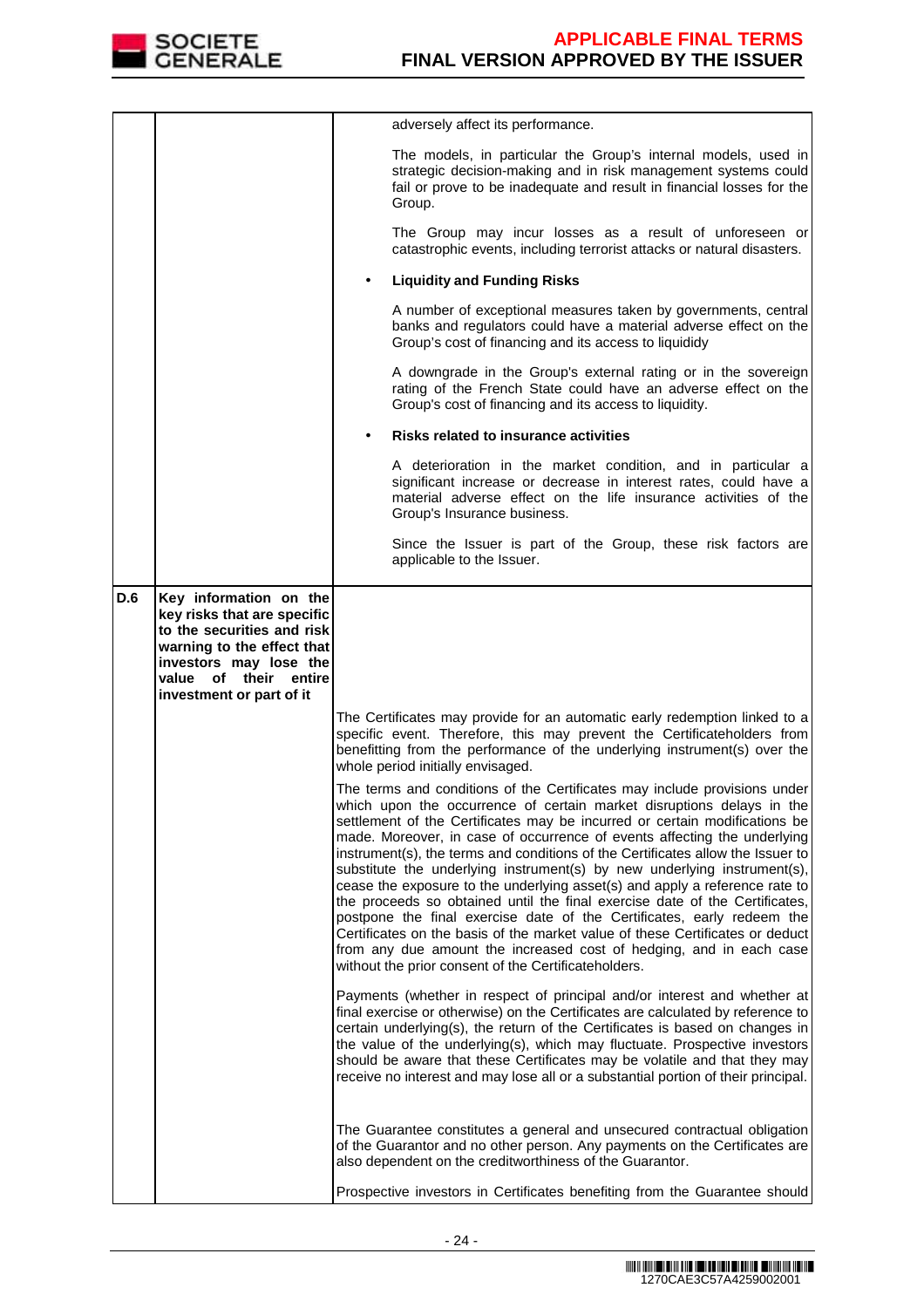

|            |                                                                                                                                                                                                     | adversely affect its performance.                                                                                                                                                                                                                                                                                                                                                                                                                                                                                                                                                                                                                                                                                                                                                                                                                                                                                                   |
|------------|-----------------------------------------------------------------------------------------------------------------------------------------------------------------------------------------------------|-------------------------------------------------------------------------------------------------------------------------------------------------------------------------------------------------------------------------------------------------------------------------------------------------------------------------------------------------------------------------------------------------------------------------------------------------------------------------------------------------------------------------------------------------------------------------------------------------------------------------------------------------------------------------------------------------------------------------------------------------------------------------------------------------------------------------------------------------------------------------------------------------------------------------------------|
|            |                                                                                                                                                                                                     | The models, in particular the Group's internal models, used in<br>strategic decision-making and in risk management systems could<br>fail or prove to be inadequate and result in financial losses for the<br>Group.                                                                                                                                                                                                                                                                                                                                                                                                                                                                                                                                                                                                                                                                                                                 |
|            |                                                                                                                                                                                                     | The Group may incur losses as a result of unforeseen or<br>catastrophic events, including terrorist attacks or natural disasters.                                                                                                                                                                                                                                                                                                                                                                                                                                                                                                                                                                                                                                                                                                                                                                                                   |
|            |                                                                                                                                                                                                     | <b>Liquidity and Funding Risks</b>                                                                                                                                                                                                                                                                                                                                                                                                                                                                                                                                                                                                                                                                                                                                                                                                                                                                                                  |
|            |                                                                                                                                                                                                     | A number of exceptional measures taken by governments, central<br>banks and regulators could have a material adverse effect on the<br>Group's cost of financing and its access to liquididy                                                                                                                                                                                                                                                                                                                                                                                                                                                                                                                                                                                                                                                                                                                                         |
|            |                                                                                                                                                                                                     | A downgrade in the Group's external rating or in the sovereign<br>rating of the French State could have an adverse effect on the<br>Group's cost of financing and its access to liquidity.                                                                                                                                                                                                                                                                                                                                                                                                                                                                                                                                                                                                                                                                                                                                          |
|            |                                                                                                                                                                                                     | Risks related to insurance activities                                                                                                                                                                                                                                                                                                                                                                                                                                                                                                                                                                                                                                                                                                                                                                                                                                                                                               |
|            |                                                                                                                                                                                                     | A deterioration in the market condition, and in particular a<br>significant increase or decrease in interest rates, could have a<br>material adverse effect on the life insurance activities of the<br>Group's Insurance business.                                                                                                                                                                                                                                                                                                                                                                                                                                                                                                                                                                                                                                                                                                  |
|            |                                                                                                                                                                                                     | Since the Issuer is part of the Group, these risk factors are<br>applicable to the Issuer.                                                                                                                                                                                                                                                                                                                                                                                                                                                                                                                                                                                                                                                                                                                                                                                                                                          |
| <b>D.6</b> | Key information on the<br>key risks that are specific<br>to the securities and risk<br>warning to the effect that<br>investors may lose the<br>value of their<br>entire<br>investment or part of it |                                                                                                                                                                                                                                                                                                                                                                                                                                                                                                                                                                                                                                                                                                                                                                                                                                                                                                                                     |
|            |                                                                                                                                                                                                     | The Certificates may provide for an automatic early redemption linked to a<br>specific event. Therefore, this may prevent the Certificateholders from<br>benefitting from the performance of the underlying instrument(s) over the<br>whole period initially envisaged.                                                                                                                                                                                                                                                                                                                                                                                                                                                                                                                                                                                                                                                             |
|            |                                                                                                                                                                                                     | The terms and conditions of the Certificates may include provisions under<br>which upon the occurrence of certain market disruptions delays in the<br>settlement of the Certificates may be incurred or certain modifications be<br>made. Moreover, in case of occurrence of events affecting the underlying<br>instrument(s), the terms and conditions of the Certificates allow the Issuer to<br>substitute the underlying instrument(s) by new underlying instrument(s),<br>cease the exposure to the underlying asset(s) and apply a reference rate to<br>the proceeds so obtained until the final exercise date of the Certificates,<br>postpone the final exercise date of the Certificates, early redeem the<br>Certificates on the basis of the market value of these Certificates or deduct<br>from any due amount the increased cost of hedging, and in each case<br>without the prior consent of the Certificateholders. |
|            |                                                                                                                                                                                                     | Payments (whether in respect of principal and/or interest and whether at<br>final exercise or otherwise) on the Certificates are calculated by reference to<br>certain underlying(s), the return of the Certificates is based on changes in<br>the value of the underlying(s), which may fluctuate. Prospective investors<br>should be aware that these Certificates may be volatile and that they may<br>receive no interest and may lose all or a substantial portion of their principal.                                                                                                                                                                                                                                                                                                                                                                                                                                         |
|            |                                                                                                                                                                                                     | The Guarantee constitutes a general and unsecured contractual obligation<br>of the Guarantor and no other person. Any payments on the Certificates are<br>also dependent on the creditworthiness of the Guarantor.                                                                                                                                                                                                                                                                                                                                                                                                                                                                                                                                                                                                                                                                                                                  |
|            |                                                                                                                                                                                                     | Prospective investors in Certificates benefiting from the Guarantee should                                                                                                                                                                                                                                                                                                                                                                                                                                                                                                                                                                                                                                                                                                                                                                                                                                                          |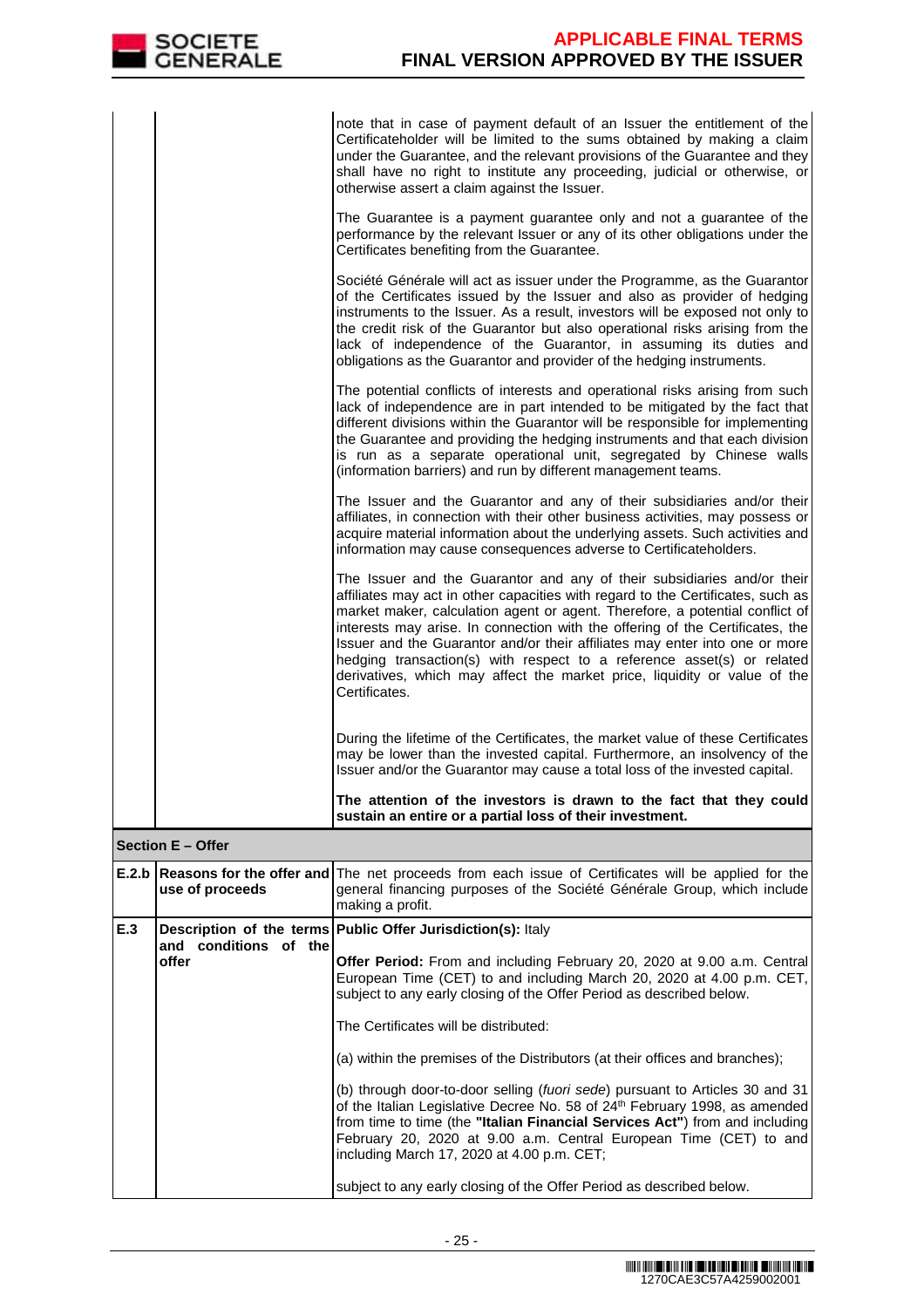|     |                                | note that in case of payment default of an Issuer the entitlement of the<br>Certificateholder will be limited to the sums obtained by making a claim<br>under the Guarantee, and the relevant provisions of the Guarantee and they<br>shall have no right to institute any proceeding, judicial or otherwise, or<br>otherwise assert a claim against the Issuer.                                                                                                                                                                                                                   |
|-----|--------------------------------|------------------------------------------------------------------------------------------------------------------------------------------------------------------------------------------------------------------------------------------------------------------------------------------------------------------------------------------------------------------------------------------------------------------------------------------------------------------------------------------------------------------------------------------------------------------------------------|
|     |                                | The Guarantee is a payment guarantee only and not a guarantee of the<br>performance by the relevant Issuer or any of its other obligations under the<br>Certificates benefiting from the Guarantee.                                                                                                                                                                                                                                                                                                                                                                                |
|     |                                | Société Générale will act as issuer under the Programme, as the Guarantor<br>of the Certificates issued by the Issuer and also as provider of hedging<br>instruments to the Issuer. As a result, investors will be exposed not only to<br>the credit risk of the Guarantor but also operational risks arising from the<br>lack of independence of the Guarantor, in assuming its duties and<br>obligations as the Guarantor and provider of the hedging instruments.                                                                                                               |
|     |                                | The potential conflicts of interests and operational risks arising from such<br>lack of independence are in part intended to be mitigated by the fact that<br>different divisions within the Guarantor will be responsible for implementing<br>the Guarantee and providing the hedging instruments and that each division<br>is run as a separate operational unit, segregated by Chinese walls<br>(information barriers) and run by different management teams.                                                                                                                   |
|     |                                | The Issuer and the Guarantor and any of their subsidiaries and/or their<br>affiliates, in connection with their other business activities, may possess or<br>acquire material information about the underlying assets. Such activities and<br>information may cause consequences adverse to Certificateholders.                                                                                                                                                                                                                                                                    |
|     |                                | The Issuer and the Guarantor and any of their subsidiaries and/or their<br>affiliates may act in other capacities with regard to the Certificates, such as<br>market maker, calculation agent or agent. Therefore, a potential conflict of<br>interests may arise. In connection with the offering of the Certificates, the<br>Issuer and the Guarantor and/or their affiliates may enter into one or more<br>hedging transaction(s) with respect to a reference asset(s) or related<br>derivatives, which may affect the market price, liquidity or value of the<br>Certificates. |
|     |                                | During the lifetime of the Certificates, the market value of these Certificates<br>may be lower than the invested capital. Furthermore, an insolvency of the<br>Issuer and/or the Guarantor may cause a total loss of the invested capital.                                                                                                                                                                                                                                                                                                                                        |
|     |                                | The attention of the investors is drawn to the fact that they could<br>sustain an entire or a partial loss of their investment.                                                                                                                                                                                                                                                                                                                                                                                                                                                    |
|     | <b>Section E - Offer</b>       |                                                                                                                                                                                                                                                                                                                                                                                                                                                                                                                                                                                    |
|     | use of proceeds                | <b>E.2.b Reasons for the offer and The net proceeds from each issue of Certificates will be applied for the</b><br>general financing purposes of the Société Générale Group, which include<br>making a profit.                                                                                                                                                                                                                                                                                                                                                                     |
| E.3 |                                | Description of the terms Public Offer Jurisdiction(s): Italy                                                                                                                                                                                                                                                                                                                                                                                                                                                                                                                       |
|     | and conditions of the<br>offer | Offer Period: From and including February 20, 2020 at 9.00 a.m. Central<br>European Time (CET) to and including March 20, 2020 at 4.00 p.m. CET,<br>subject to any early closing of the Offer Period as described below.                                                                                                                                                                                                                                                                                                                                                           |
|     |                                | The Certificates will be distributed:                                                                                                                                                                                                                                                                                                                                                                                                                                                                                                                                              |
|     |                                | (a) within the premises of the Distributors (at their offices and branches);                                                                                                                                                                                                                                                                                                                                                                                                                                                                                                       |
|     |                                | (b) through door-to-door selling (fuori sede) pursuant to Articles 30 and 31<br>of the Italian Legislative Decree No. 58 of 24th February 1998, as amended<br>from time to time (the "Italian Financial Services Act") from and including                                                                                                                                                                                                                                                                                                                                          |

February 20, 2020 at 9.00 a.m. Central European Time (CET) to and

including March 17, 2020 at 4.00 p.m. CET;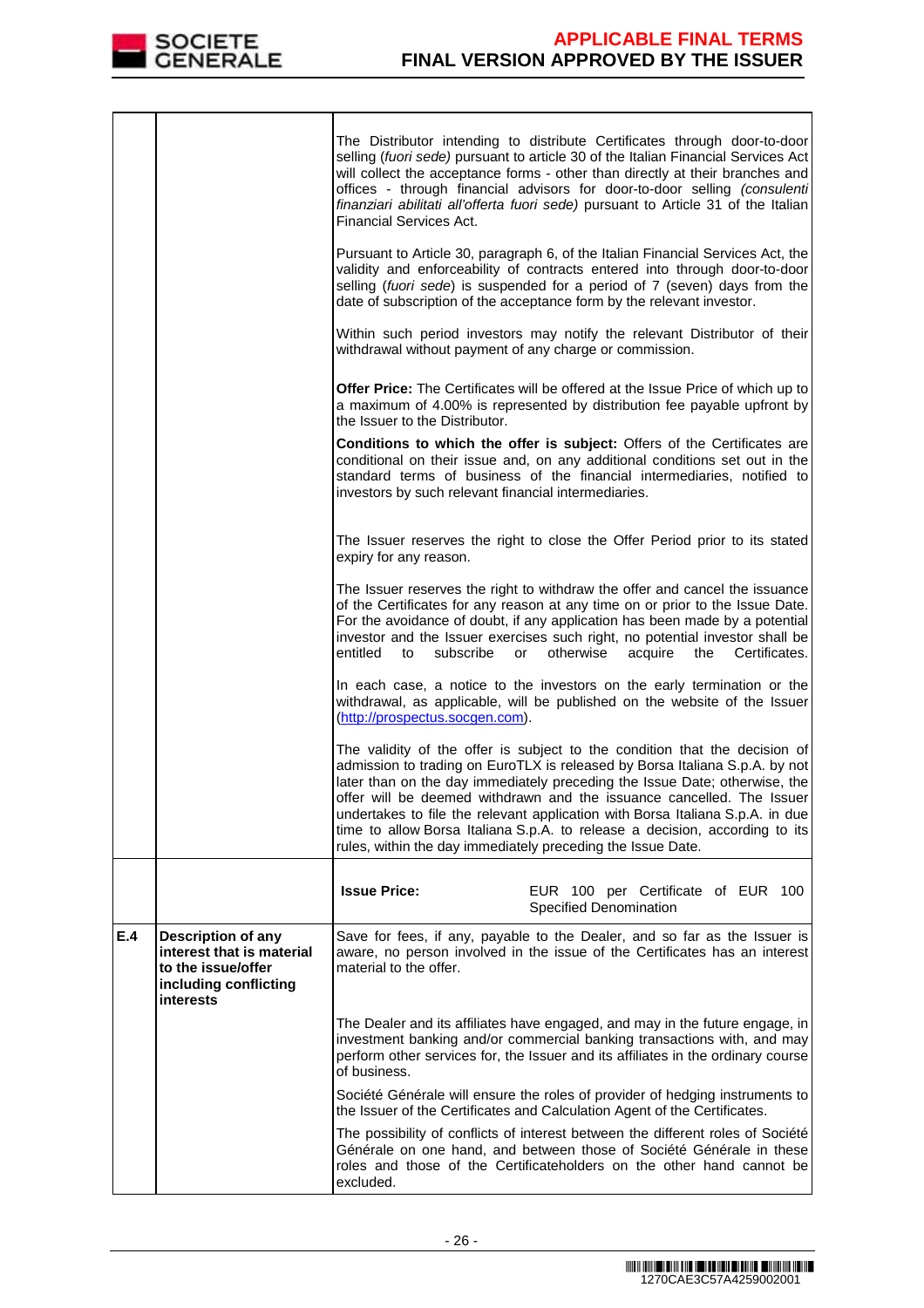

|     |                                                                                                             | The Distributor intending to distribute Certificates through door-to-door<br>selling (fuori sede) pursuant to article 30 of the Italian Financial Services Act<br>will collect the acceptance forms - other than directly at their branches and<br>offices - through financial advisors for door-to-door selling (consulenti<br>finanziari abilitati all'offerta fuori sede) pursuant to Article 31 of the Italian<br>Financial Services Act.                                                                                                   |
|-----|-------------------------------------------------------------------------------------------------------------|-------------------------------------------------------------------------------------------------------------------------------------------------------------------------------------------------------------------------------------------------------------------------------------------------------------------------------------------------------------------------------------------------------------------------------------------------------------------------------------------------------------------------------------------------|
|     |                                                                                                             | Pursuant to Article 30, paragraph 6, of the Italian Financial Services Act, the<br>validity and enforceability of contracts entered into through door-to-door<br>selling (fuori sede) is suspended for a period of 7 (seven) days from the<br>date of subscription of the acceptance form by the relevant investor.                                                                                                                                                                                                                             |
|     |                                                                                                             | Within such period investors may notify the relevant Distributor of their<br>withdrawal without payment of any charge or commission.                                                                                                                                                                                                                                                                                                                                                                                                            |
|     |                                                                                                             | Offer Price: The Certificates will be offered at the Issue Price of which up to<br>a maximum of 4.00% is represented by distribution fee payable upfront by<br>the Issuer to the Distributor.                                                                                                                                                                                                                                                                                                                                                   |
|     |                                                                                                             | Conditions to which the offer is subject: Offers of the Certificates are<br>conditional on their issue and, on any additional conditions set out in the<br>standard terms of business of the financial intermediaries, notified to<br>investors by such relevant financial intermediaries.                                                                                                                                                                                                                                                      |
|     |                                                                                                             | The Issuer reserves the right to close the Offer Period prior to its stated<br>expiry for any reason.                                                                                                                                                                                                                                                                                                                                                                                                                                           |
|     |                                                                                                             | The Issuer reserves the right to withdraw the offer and cancel the issuance<br>of the Certificates for any reason at any time on or prior to the Issue Date.<br>For the avoidance of doubt, if any application has been made by a potential<br>investor and the Issuer exercises such right, no potential investor shall be<br>entitled<br>subscribe<br>otherwise<br>acquire<br>Certificates.<br>to<br>or<br>the                                                                                                                                |
|     |                                                                                                             | In each case, a notice to the investors on the early termination or the<br>withdrawal, as applicable, will be published on the website of the Issuer<br>(http://prospectus.socgen.com).                                                                                                                                                                                                                                                                                                                                                         |
|     |                                                                                                             | The validity of the offer is subject to the condition that the decision of<br>admission to trading on EuroTLX is released by Borsa Italiana S.p.A. by not<br>later than on the day immediately preceding the Issue Date; otherwise, the<br>offer will be deemed withdrawn and the issuance cancelled. The Issuer<br>undertakes to file the relevant application with Borsa Italiana S.p.A. in due<br>time to allow Borsa Italiana S.p.A. to release a decision, according to its<br>rules, within the day immediately preceding the Issue Date. |
|     |                                                                                                             | <b>Issue Price:</b><br>EUR 100 per Certificate of EUR 100<br>Specified Denomination                                                                                                                                                                                                                                                                                                                                                                                                                                                             |
| E.4 | Description of any<br>interest that is material<br>to the issue/offer<br>including conflicting<br>interests | Save for fees, if any, payable to the Dealer, and so far as the Issuer is<br>aware, no person involved in the issue of the Certificates has an interest<br>material to the offer.                                                                                                                                                                                                                                                                                                                                                               |
|     |                                                                                                             | The Dealer and its affiliates have engaged, and may in the future engage, in<br>investment banking and/or commercial banking transactions with, and may<br>perform other services for, the Issuer and its affiliates in the ordinary course<br>of business.                                                                                                                                                                                                                                                                                     |
|     |                                                                                                             | Société Générale will ensure the roles of provider of hedging instruments to<br>the Issuer of the Certificates and Calculation Agent of the Certificates.                                                                                                                                                                                                                                                                                                                                                                                       |
|     |                                                                                                             | The possibility of conflicts of interest between the different roles of Société<br>Générale on one hand, and between those of Société Générale in these<br>roles and those of the Certificateholders on the other hand cannot be<br>excluded.                                                                                                                                                                                                                                                                                                   |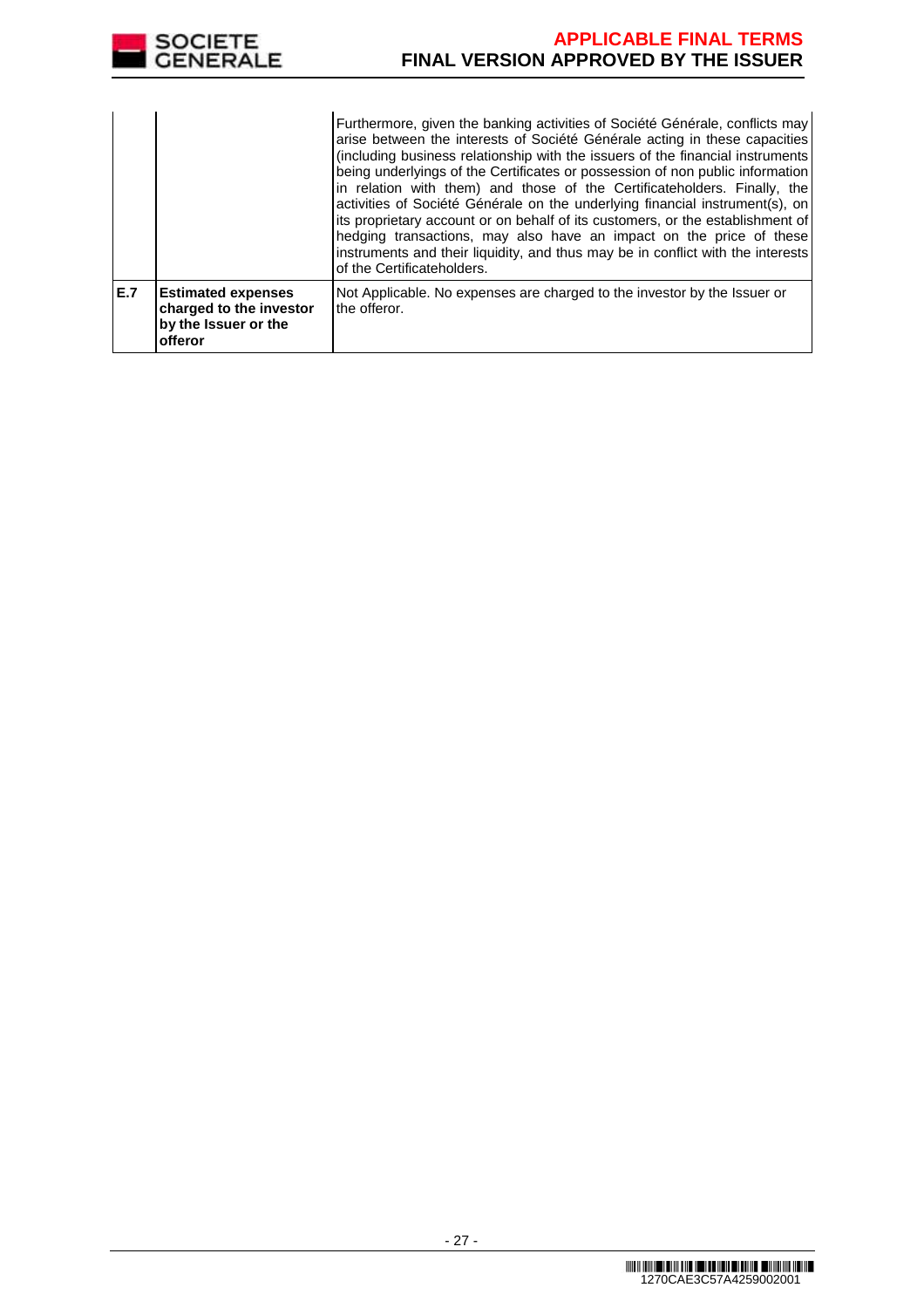

|     |                                                                                         | Furthermore, given the banking activities of Société Générale, conflicts may<br>arise between the interests of Société Générale acting in these capacities<br>(including business relationship with the issuers of the financial instruments<br>being underlyings of the Certificates or possession of non public information<br>in relation with them) and those of the Certificateholders. Finally, the<br>activities of Société Générale on the underlying financial instrument(s), on<br>its proprietary account or on behalf of its customers, or the establishment of<br>hedging transactions, may also have an impact on the price of these<br>instruments and their liquidity, and thus may be in conflict with the interests<br>of the Certificateholders. |
|-----|-----------------------------------------------------------------------------------------|---------------------------------------------------------------------------------------------------------------------------------------------------------------------------------------------------------------------------------------------------------------------------------------------------------------------------------------------------------------------------------------------------------------------------------------------------------------------------------------------------------------------------------------------------------------------------------------------------------------------------------------------------------------------------------------------------------------------------------------------------------------------|
| E.7 | <b>Estimated expenses</b><br>charged to the investor<br>by the Issuer or the<br>offeror | Not Applicable. No expenses are charged to the investor by the Issuer or<br>the offeror.                                                                                                                                                                                                                                                                                                                                                                                                                                                                                                                                                                                                                                                                            |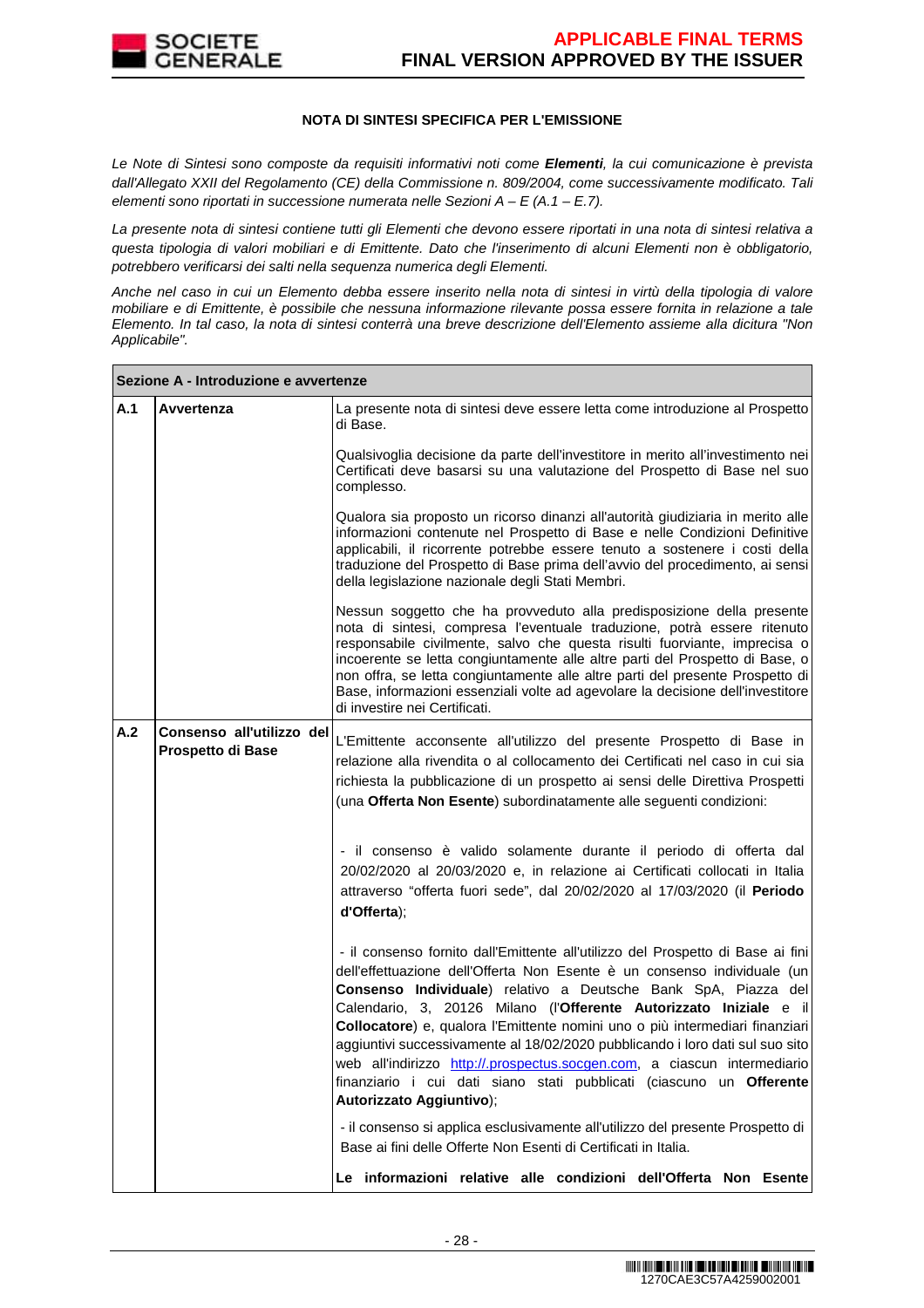

### **NOTA DI SINTESI SPECIFICA PER L'EMISSIONE**

Le Note di Sintesi sono composte da requisiti informativi noti come **Elementi**, la cui comunicazione è prevista dall'Allegato XXII del Regolamento (CE) della Commissione n. 809/2004, come successivamente modificato. Tali elementi sono riportati in successione numerata nelle Sezioni  $A - E(A.1 - E.7)$ .

La presente nota di sintesi contiene tutti gli Elementi che devono essere riportati in una nota di sintesi relativa a questa tipologia di valori mobiliari e di Emittente. Dato che l'inserimento di alcuni Elementi non è obbligatorio, potrebbero verificarsi dei salti nella sequenza numerica degli Elementi.

Anche nel caso in cui un Elemento debba essere inserito nella nota di sintesi in virtù della tipologia di valore mobiliare e di Emittente, è possibile che nessuna informazione rilevante possa essere fornita in relazione a tale Elemento. In tal caso, la nota di sintesi conterrà una breve descrizione dell'Elemento assieme alla dicitura "Non Applicabile".

|     | Sezione A - Introduzione e avvertenze          |                                                                                                                                                                                                                                                                                                                                                                                                                                                                                                                                                                                                                                                      |  |  |
|-----|------------------------------------------------|------------------------------------------------------------------------------------------------------------------------------------------------------------------------------------------------------------------------------------------------------------------------------------------------------------------------------------------------------------------------------------------------------------------------------------------------------------------------------------------------------------------------------------------------------------------------------------------------------------------------------------------------------|--|--|
| A.1 | Avvertenza                                     | La presente nota di sintesi deve essere letta come introduzione al Prospetto<br>di Base.                                                                                                                                                                                                                                                                                                                                                                                                                                                                                                                                                             |  |  |
|     |                                                | Qualsivoglia decisione da parte dell'investitore in merito all'investimento nei  <br>Certificati deve basarsi su una valutazione del Prospetto di Base nel suo<br>complesso.                                                                                                                                                                                                                                                                                                                                                                                                                                                                         |  |  |
|     |                                                | Qualora sia proposto un ricorso dinanzi all'autorità giudiziaria in merito alle<br>informazioni contenute nel Prospetto di Base e nelle Condizioni Definitive<br>applicabili, il ricorrente potrebbe essere tenuto a sostenere i costi della<br>traduzione del Prospetto di Base prima dell'avvio del procedimento, ai sensi<br>della legislazione nazionale degli Stati Membri.                                                                                                                                                                                                                                                                     |  |  |
|     |                                                | Nessun soggetto che ha provveduto alla predisposizione della presente<br>nota di sintesi, compresa l'eventuale traduzione, potrà essere ritenuto<br>responsabile civilmente, salvo che questa risulti fuorviante, imprecisa o<br>incoerente se letta congiuntamente alle altre parti del Prospetto di Base, o<br>non offra, se letta congiuntamente alle altre parti del presente Prospetto di<br>Base, informazioni essenziali volte ad agevolare la decisione dell'investitore<br>di investire nei Certificati.                                                                                                                                    |  |  |
| A.2 | Consenso all'utilizzo del<br>Prospetto di Base | L'Emittente acconsente all'utilizzo del presente Prospetto di Base in<br>relazione alla rivendita o al collocamento dei Certificati nel caso in cui sia<br>richiesta la pubblicazione di un prospetto ai sensi delle Direttiva Prospetti<br>(una Offerta Non Esente) subordinatamente alle seguenti condizioni:                                                                                                                                                                                                                                                                                                                                      |  |  |
|     | d'Offerta);                                    | - il consenso è valido solamente durante il periodo di offerta dal<br>20/02/2020 al 20/03/2020 e, in relazione ai Certificati collocati in Italia<br>attraverso "offerta fuori sede", dal 20/02/2020 al 17/03/2020 (il Periodo                                                                                                                                                                                                                                                                                                                                                                                                                       |  |  |
|     |                                                | - il consenso fornito dall'Emittente all'utilizzo del Prospetto di Base ai fini<br>dell'effettuazione dell'Offerta Non Esente è un consenso individuale (un<br>Consenso Individuale) relativo a Deutsche Bank SpA, Piazza del<br>Calendario, 3, 20126 Milano (l'Offerente Autorizzato Iniziale e il<br>Collocatore) e, qualora l'Emittente nomini uno o più intermediari finanziari<br>aggiuntivi successivamente al 18/02/2020 pubblicando i loro dati sul suo sito<br>web all'indirizzo http://.prospectus.socgen.com, a ciascun intermediario<br>finanziario i cui dati siano stati pubblicati (ciascuno un Offerente<br>Autorizzato Aggiuntivo); |  |  |
|     |                                                | - il consenso si applica esclusivamente all'utilizzo del presente Prospetto di<br>Base ai fini delle Offerte Non Esenti di Certificati in Italia.                                                                                                                                                                                                                                                                                                                                                                                                                                                                                                    |  |  |
|     |                                                | Le informazioni relative alle condizioni dell'Offerta Non Esente                                                                                                                                                                                                                                                                                                                                                                                                                                                                                                                                                                                     |  |  |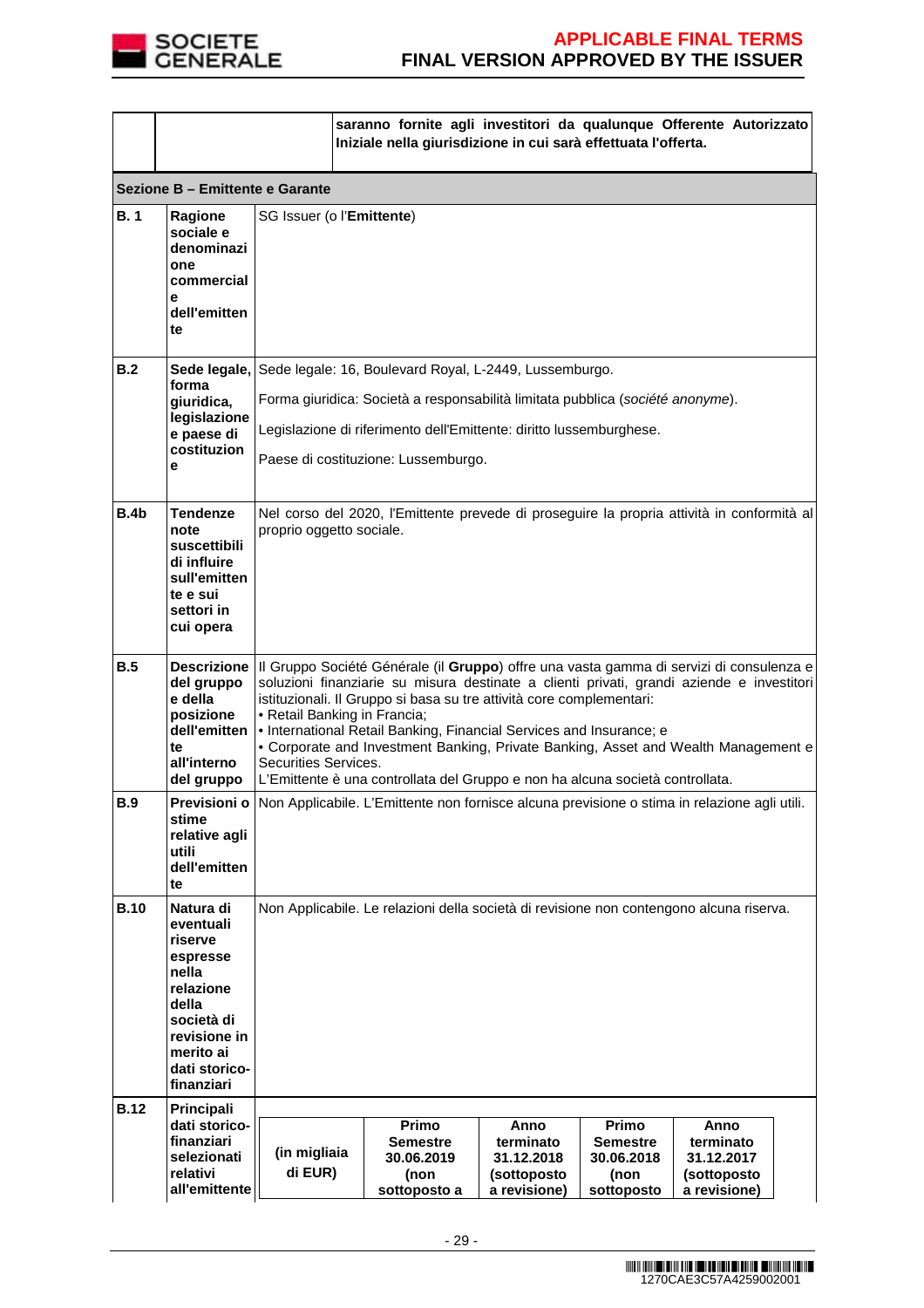

|             |                                                                                                                                                        |                                                                                                                                                                                                                                                                                                                                                                                                                                                                                                                                                                                  | saranno fornite agli investitori da qualunque Offerente Autorizzato<br>Iniziale nella giurisdizione in cui sarà effettuata l'offerta. |                                                                |                                                              |                                                                |  |
|-------------|--------------------------------------------------------------------------------------------------------------------------------------------------------|----------------------------------------------------------------------------------------------------------------------------------------------------------------------------------------------------------------------------------------------------------------------------------------------------------------------------------------------------------------------------------------------------------------------------------------------------------------------------------------------------------------------------------------------------------------------------------|---------------------------------------------------------------------------------------------------------------------------------------|----------------------------------------------------------------|--------------------------------------------------------------|----------------------------------------------------------------|--|
|             | Sezione B - Emittente e Garante                                                                                                                        |                                                                                                                                                                                                                                                                                                                                                                                                                                                                                                                                                                                  |                                                                                                                                       |                                                                |                                                              |                                                                |  |
| <b>B.1</b>  | Ragione<br>sociale e<br>denominazi<br>one<br>commercial<br>е<br>dell'emitten<br>te                                                                     |                                                                                                                                                                                                                                                                                                                                                                                                                                                                                                                                                                                  | SG Issuer (o l'Emittente)                                                                                                             |                                                                |                                                              |                                                                |  |
| B.2         | forma                                                                                                                                                  |                                                                                                                                                                                                                                                                                                                                                                                                                                                                                                                                                                                  | Sede legale, Sede legale: 16, Boulevard Royal, L-2449, Lussemburgo.                                                                   |                                                                |                                                              |                                                                |  |
|             | giuridica,<br>legislazione                                                                                                                             |                                                                                                                                                                                                                                                                                                                                                                                                                                                                                                                                                                                  | Forma giuridica: Società a responsabilità limitata pubblica (société anonyme).                                                        |                                                                |                                                              |                                                                |  |
|             | e paese di<br>costituzion                                                                                                                              |                                                                                                                                                                                                                                                                                                                                                                                                                                                                                                                                                                                  | Legislazione di riferimento dell'Emittente: diritto lussemburghese.                                                                   |                                                                |                                                              |                                                                |  |
|             | е                                                                                                                                                      |                                                                                                                                                                                                                                                                                                                                                                                                                                                                                                                                                                                  | Paese di costituzione: Lussemburgo.                                                                                                   |                                                                |                                                              |                                                                |  |
| B.4b        | Tendenze<br>note<br>suscettibili<br>di influire<br>sull'emitten<br>te e sui<br>settori in<br>cui opera                                                 | Nel corso del 2020, l'Emittente prevede di proseguire la propria attività in conformità al<br>proprio oggetto sociale.                                                                                                                                                                                                                                                                                                                                                                                                                                                           |                                                                                                                                       |                                                                |                                                              |                                                                |  |
| B.5         | del gruppo<br>e della<br>posizione<br>dell'emitten<br>te<br>all'interno<br>del gruppo                                                                  | Descrizione   Il Gruppo Société Générale (il Gruppo) offre una vasta gamma di servizi di consulenza e<br>soluzioni finanziarie su misura destinate a clienti privati, grandi aziende e investitori<br>istituzionali. Il Gruppo si basa su tre attività core complementari:<br>• Retail Banking in Francia;<br>• International Retail Banking, Financial Services and Insurance; e<br>• Corporate and Investment Banking, Private Banking, Asset and Wealth Management e<br>Securities Services.<br>L'Emittente è una controllata del Gruppo e non ha alcuna società controllata. |                                                                                                                                       |                                                                |                                                              |                                                                |  |
| <b>B.9</b>  | stime<br>relative agli<br>utili<br>dell'emitten<br>te                                                                                                  | Previsioni o Non Applicabile. L'Emittente non fornisce alcuna previsione o stima in relazione agli utili.                                                                                                                                                                                                                                                                                                                                                                                                                                                                        |                                                                                                                                       |                                                                |                                                              |                                                                |  |
| <b>B.10</b> | Natura di<br>eventuali<br>riserve<br>espresse<br>nella<br>relazione<br>della<br>società di<br>revisione in<br>merito ai<br>dati storico-<br>finanziari | Non Applicabile. Le relazioni della società di revisione non contengono alcuna riserva.                                                                                                                                                                                                                                                                                                                                                                                                                                                                                          |                                                                                                                                       |                                                                |                                                              |                                                                |  |
| <b>B.12</b> | Principali                                                                                                                                             |                                                                                                                                                                                                                                                                                                                                                                                                                                                                                                                                                                                  |                                                                                                                                       |                                                                |                                                              |                                                                |  |
|             | dati storico-<br>finanziari<br>selezionati<br>relativi<br>all'emittente                                                                                | (in migliaia<br>di EUR)                                                                                                                                                                                                                                                                                                                                                                                                                                                                                                                                                          | Primo<br><b>Semestre</b><br>30.06.2019<br>(non<br>sottoposto a                                                                        | Anno<br>terminato<br>31.12.2018<br>(sottoposto<br>a revisione) | Primo<br><b>Semestre</b><br>30.06.2018<br>(non<br>sottoposto | Anno<br>terminato<br>31.12.2017<br>(sottoposto<br>a revisione) |  |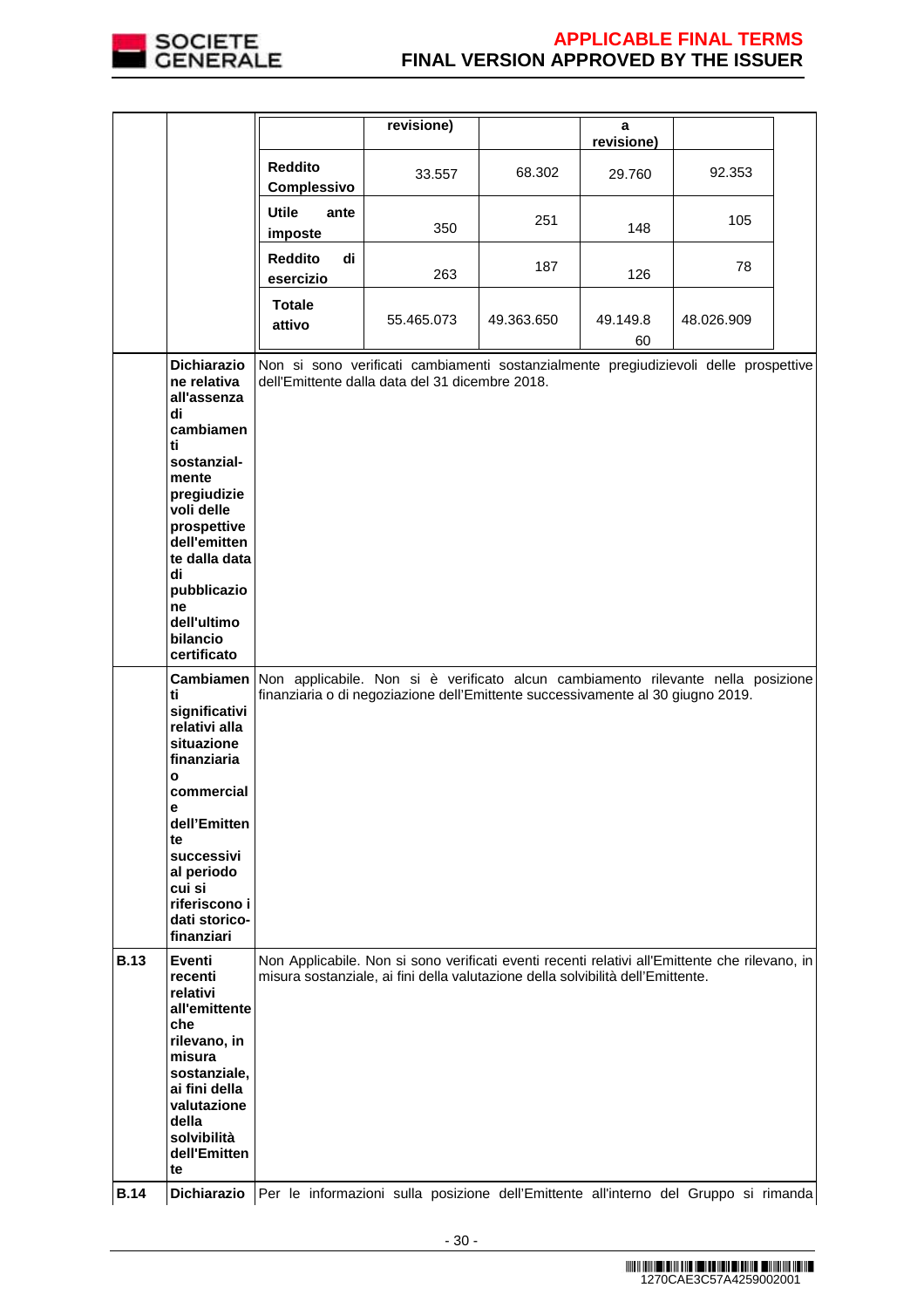

|             |                                                                                                                             |                                                                                                                                                                     | revisione)                                                                                                                                                                        |            | a              |            |  |
|-------------|-----------------------------------------------------------------------------------------------------------------------------|---------------------------------------------------------------------------------------------------------------------------------------------------------------------|-----------------------------------------------------------------------------------------------------------------------------------------------------------------------------------|------------|----------------|------------|--|
|             |                                                                                                                             |                                                                                                                                                                     |                                                                                                                                                                                   |            | revisione)     |            |  |
|             |                                                                                                                             | <b>Reddito</b><br>Complessivo                                                                                                                                       | 33.557                                                                                                                                                                            | 68.302     | 29.760         | 92.353     |  |
|             |                                                                                                                             | <b>Utile</b><br>ante<br>imposte                                                                                                                                     | 350                                                                                                                                                                               | 251        | 148            | 105        |  |
|             |                                                                                                                             | <b>Reddito</b><br>di<br>esercizio                                                                                                                                   | 263                                                                                                                                                                               | 187        | 126            | 78         |  |
|             |                                                                                                                             | <b>Totale</b><br>attivo                                                                                                                                             | 55.465.073                                                                                                                                                                        | 49.363.650 | 49.149.8<br>60 | 48.026.909 |  |
|             | <b>Dichiarazio</b><br>ne relativa<br>all'assenza<br>di                                                                      |                                                                                                                                                                     | Non si sono verificati cambiamenti sostanzialmente pregiudizievoli delle prospettive<br>dell'Emittente dalla data del 31 dicembre 2018.                                           |            |                |            |  |
|             | cambiamen<br>ti<br>sostanzial-                                                                                              |                                                                                                                                                                     |                                                                                                                                                                                   |            |                |            |  |
|             | mente<br>pregiudizie<br>voli delle<br>prospettive<br>dell'emitten<br>te dalla data                                          |                                                                                                                                                                     |                                                                                                                                                                                   |            |                |            |  |
|             | di<br>pubblicazio<br>ne                                                                                                     |                                                                                                                                                                     |                                                                                                                                                                                   |            |                |            |  |
|             | dell'ultimo<br>bilancio<br>certificato                                                                                      |                                                                                                                                                                     |                                                                                                                                                                                   |            |                |            |  |
|             | <b>Cambiamen</b><br>ti<br>significativi<br>relativi alla<br>situazione<br>finanziaria<br>$\mathbf{o}$                       | Non applicabile. Non si è verificato alcun cambiamento rilevante nella posizione<br>finanziaria o di negoziazione dell'Emittente successivamente al 30 giugno 2019. |                                                                                                                                                                                   |            |                |            |  |
|             | commercial<br>е<br>dell'Emitten                                                                                             |                                                                                                                                                                     |                                                                                                                                                                                   |            |                |            |  |
|             | te<br>successivi<br>al periodo<br>cui si<br>riferiscono i<br>dati storico-<br>finanziari                                    |                                                                                                                                                                     |                                                                                                                                                                                   |            |                |            |  |
| <b>B.13</b> | Eventi<br>recenti<br>relativi<br>all'emittente                                                                              |                                                                                                                                                                     | Non Applicabile. Non si sono verificati eventi recenti relativi all'Emittente che rilevano, in<br>misura sostanziale, ai fini della valutazione della solvibilità dell'Emittente. |            |                |            |  |
|             | che<br>rilevano, in<br>misura<br>sostanziale,<br>ai fini della<br>valutazione<br>della<br>solvibilità<br>dell'Emitten<br>te |                                                                                                                                                                     |                                                                                                                                                                                   |            |                |            |  |
| <b>B.14</b> | Dichiarazio                                                                                                                 |                                                                                                                                                                     | Per le informazioni sulla posizione dell'Emittente all'interno del Gruppo si rimanda                                                                                              |            |                |            |  |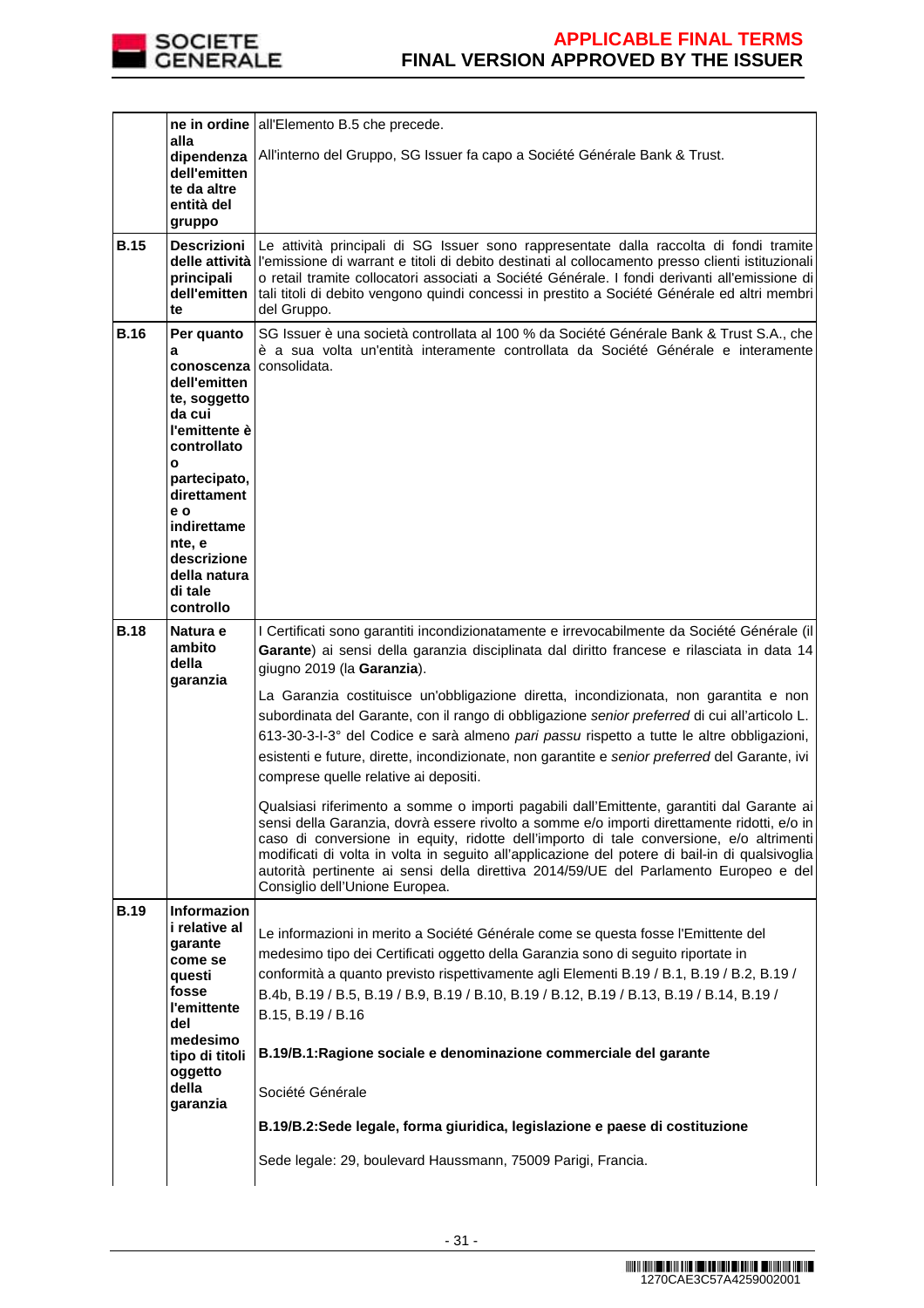

|             | alla<br>dipendenza<br>dell'emitten<br>te da altre<br>entità del<br>gruppo                                                                                        | ne in ordine all'Elemento B.5 che precede.<br>All'interno del Gruppo, SG Issuer fa capo a Société Générale Bank & Trust.                                                                                                                                                                                                                                                                                                                                                                                                                                                                                                                                                                                                                                                                                                                                                                                                                                                                                                                                                                                                                                                    |
|-------------|------------------------------------------------------------------------------------------------------------------------------------------------------------------|-----------------------------------------------------------------------------------------------------------------------------------------------------------------------------------------------------------------------------------------------------------------------------------------------------------------------------------------------------------------------------------------------------------------------------------------------------------------------------------------------------------------------------------------------------------------------------------------------------------------------------------------------------------------------------------------------------------------------------------------------------------------------------------------------------------------------------------------------------------------------------------------------------------------------------------------------------------------------------------------------------------------------------------------------------------------------------------------------------------------------------------------------------------------------------|
| <b>B.15</b> | <b>Descrizioni</b><br>principali<br>dell'emitten<br>te                                                                                                           | Le attività principali di SG Issuer sono rappresentate dalla raccolta di fondi tramite<br>delle attività l'emissione di warrant e titoli di debito destinati al collocamento presso clienti istituzionali<br>o retail tramite collocatori associati a Société Générale. I fondi derivanti all'emissione di<br>tali titoli di debito vengono quindi concessi in prestito a Société Générale ed altri membri<br>del Gruppo.                                                                                                                                                                                                                                                                                                                                                                                                                                                                                                                                                                                                                                                                                                                                                   |
| <b>B.16</b> | Per quanto<br>a<br>conoscenza<br>dell'emitten<br>te, soggetto<br>da cui<br>l'emittente è<br>controllato<br>O<br>partecipato,<br>direttament<br>e o               | SG Issuer è una società controllata al 100 % da Société Générale Bank & Trust S.A., che<br>è a sua volta un'entità interamente controllata da Société Générale e interamente<br>consolidata.                                                                                                                                                                                                                                                                                                                                                                                                                                                                                                                                                                                                                                                                                                                                                                                                                                                                                                                                                                                |
|             | indirettame<br>nte, e<br>descrizione<br>della natura<br>di tale<br>controllo                                                                                     |                                                                                                                                                                                                                                                                                                                                                                                                                                                                                                                                                                                                                                                                                                                                                                                                                                                                                                                                                                                                                                                                                                                                                                             |
| <b>B.18</b> | Natura e<br>ambito<br>della<br>garanzia                                                                                                                          | I Certificati sono garantiti incondizionatamente e irrevocabilmente da Société Générale (il<br>Garante) ai sensi della garanzia disciplinata dal diritto francese e rilasciata in data 14<br>giugno 2019 (la Garanzia).<br>La Garanzia costituisce un'obbligazione diretta, incondizionata, non garantita e non<br>subordinata del Garante, con il rango di obbligazione senior preferred di cui all'articolo L.<br>613-30-3-l-3° del Codice e sarà almeno pari passu rispetto a tutte le altre obbligazioni,<br>esistenti e future, dirette, incondizionate, non garantite e senior preferred del Garante, ivi<br>comprese quelle relative ai depositi.<br>Qualsiasi riferimento a somme o importi pagabili dall'Emittente, garantiti dal Garante ai<br>sensi della Garanzia, dovrà essere rivolto a somme e/o importi direttamente ridotti, e/o in<br>caso di conversione in equity, ridotte dell'importo di tale conversione, e/o altrimenti<br>modificati di volta in volta in seguito all'applicazione del potere di bail-in di qualsivoglia<br>autorità pertinente ai sensi della direttiva 2014/59/UE del Parlamento Europeo e del<br>Consiglio dell'Unione Europea. |
| <b>B.19</b> | <b>Informazion</b><br>i relative al<br>garante<br>come se<br>questi<br>fosse<br>l'emittente<br>del<br>medesimo<br>tipo di titoli<br>oggetto<br>della<br>garanzia | Le informazioni in merito a Société Générale come se questa fosse l'Emittente del<br>medesimo tipo dei Certificati oggetto della Garanzia sono di seguito riportate in<br>conformità a quanto previsto rispettivamente agli Elementi B.19 / B.1, B.19 / B.2, B.19 /<br>B.4b, B.19 / B.5, B.19 / B.9, B.19 / B.10, B.19 / B.12, B.19 / B.13, B.19 / B.14, B.19 /<br>B.15, B.19 / B.16<br>B.19/B.1: Ragione sociale e denominazione commerciale del garante<br>Société Générale<br>B.19/B.2:Sede legale, forma giuridica, legislazione e paese di costituzione<br>Sede legale: 29, boulevard Haussmann, 75009 Parigi, Francia.                                                                                                                                                                                                                                                                                                                                                                                                                                                                                                                                                |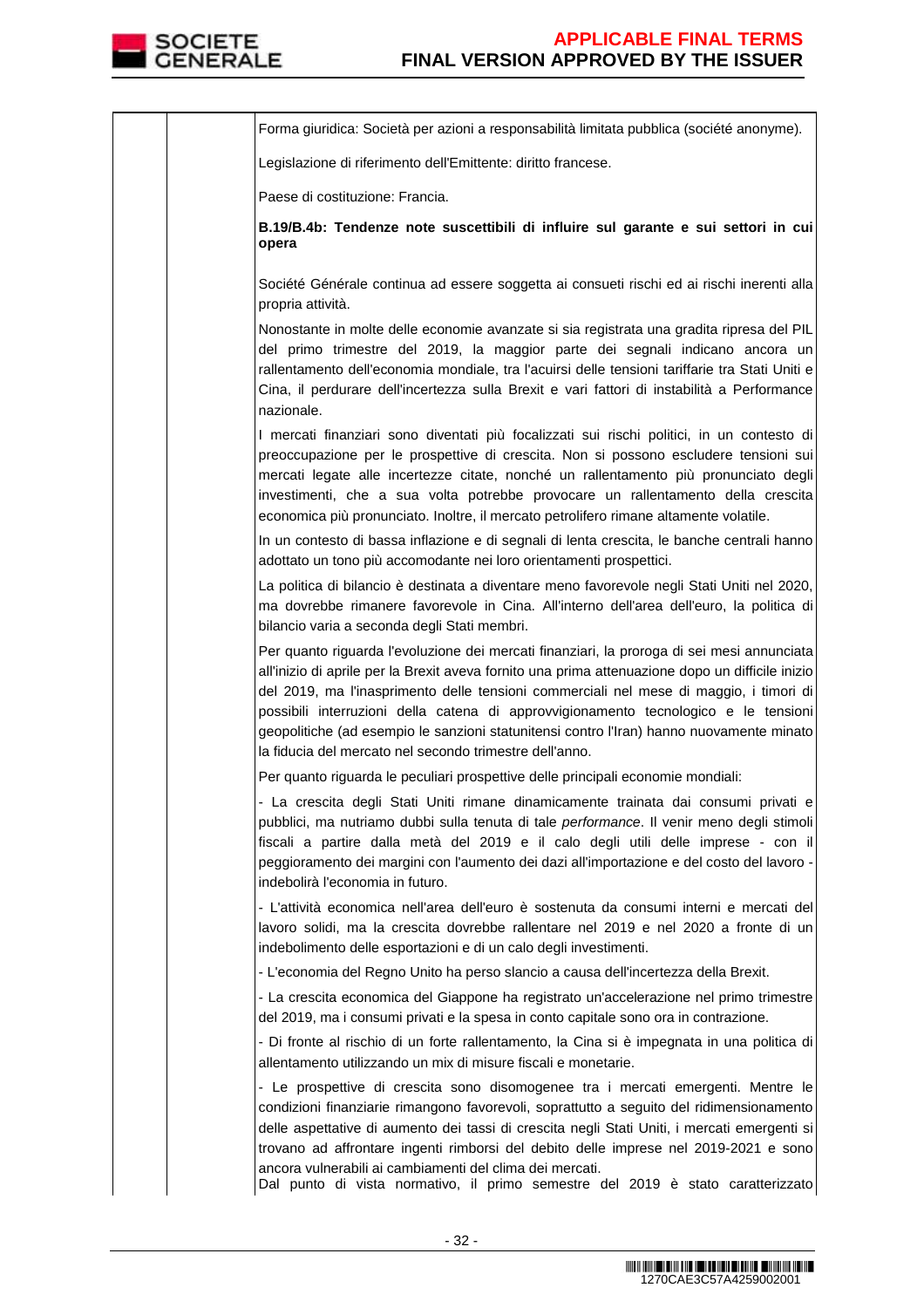

Forma giuridica: Società per azioni a responsabilità limitata pubblica (société anonyme). Legislazione di riferimento dell'Emittente: diritto francese. Paese di costituzione: Francia. **B.19/B.4b: Tendenze note suscettibili di influire sul garante e sui settori in cui opera**  Société Générale continua ad essere soggetta ai consueti rischi ed ai rischi inerenti alla propria attività. Nonostante in molte delle economie avanzate si sia registrata una gradita ripresa del PIL del primo trimestre del 2019, la maggior parte dei segnali indicano ancora un rallentamento dell'economia mondiale, tra l'acuirsi delle tensioni tariffarie tra Stati Uniti e Cina, il perdurare dell'incertezza sulla Brexit e vari fattori di instabilità a Performance nazionale. I mercati finanziari sono diventati più focalizzati sui rischi politici, in un contesto di preoccupazione per le prospettive di crescita. Non si possono escludere tensioni sui mercati legate alle incertezze citate, nonché un rallentamento più pronunciato degli investimenti, che a sua volta potrebbe provocare un rallentamento della crescita economica più pronunciato. Inoltre, il mercato petrolifero rimane altamente volatile. In un contesto di bassa inflazione e di segnali di lenta crescita, le banche centrali hanno adottato un tono più accomodante nei loro orientamenti prospettici. La politica di bilancio è destinata a diventare meno favorevole negli Stati Uniti nel 2020, ma dovrebbe rimanere favorevole in Cina. All'interno dell'area dell'euro, la politica di bilancio varia a seconda degli Stati membri. Per quanto riguarda l'evoluzione dei mercati finanziari, la proroga di sei mesi annunciata all'inizio di aprile per la Brexit aveva fornito una prima attenuazione dopo un difficile inizio del 2019, ma l'inasprimento delle tensioni commerciali nel mese di maggio, i timori di possibili interruzioni della catena di approvvigionamento tecnologico e le tensioni geopolitiche (ad esempio le sanzioni statunitensi contro l'Iran) hanno nuovamente minato la fiducia del mercato nel secondo trimestre dell'anno. Per quanto riguarda le peculiari prospettive delle principali economie mondiali: - La crescita degli Stati Uniti rimane dinamicamente trainata dai consumi privati e pubblici, ma nutriamo dubbi sulla tenuta di tale performance. Il venir meno degli stimoli fiscali a partire dalla metà del 2019 e il calo degli utili delle imprese - con il peggioramento dei margini con l'aumento dei dazi all'importazione e del costo del lavoro indebolirà l'economia in futuro. - L'attività economica nell'area dell'euro è sostenuta da consumi interni e mercati del lavoro solidi, ma la crescita dovrebbe rallentare nel 2019 e nel 2020 a fronte di un indebolimento delle esportazioni e di un calo degli investimenti. - L'economia del Regno Unito ha perso slancio a causa dell'incertezza della Brexit. - La crescita economica del Giappone ha registrato un'accelerazione nel primo trimestre del 2019, ma i consumi privati e la spesa in conto capitale sono ora in contrazione. - Di fronte al rischio di un forte rallentamento, la Cina si è impegnata in una politica di allentamento utilizzando un mix di misure fiscali e monetarie. - Le prospettive di crescita sono disomogenee tra i mercati emergenti. Mentre le condizioni finanziarie rimangono favorevoli, soprattutto a seguito del ridimensionamento delle aspettative di aumento dei tassi di crescita negli Stati Uniti, i mercati emergenti si trovano ad affrontare ingenti rimborsi del debito delle imprese nel 2019-2021 e sono ancora vulnerabili ai cambiamenti del clima dei mercati. Dal punto di vista normativo, il primo semestre del 2019 è stato caratterizzato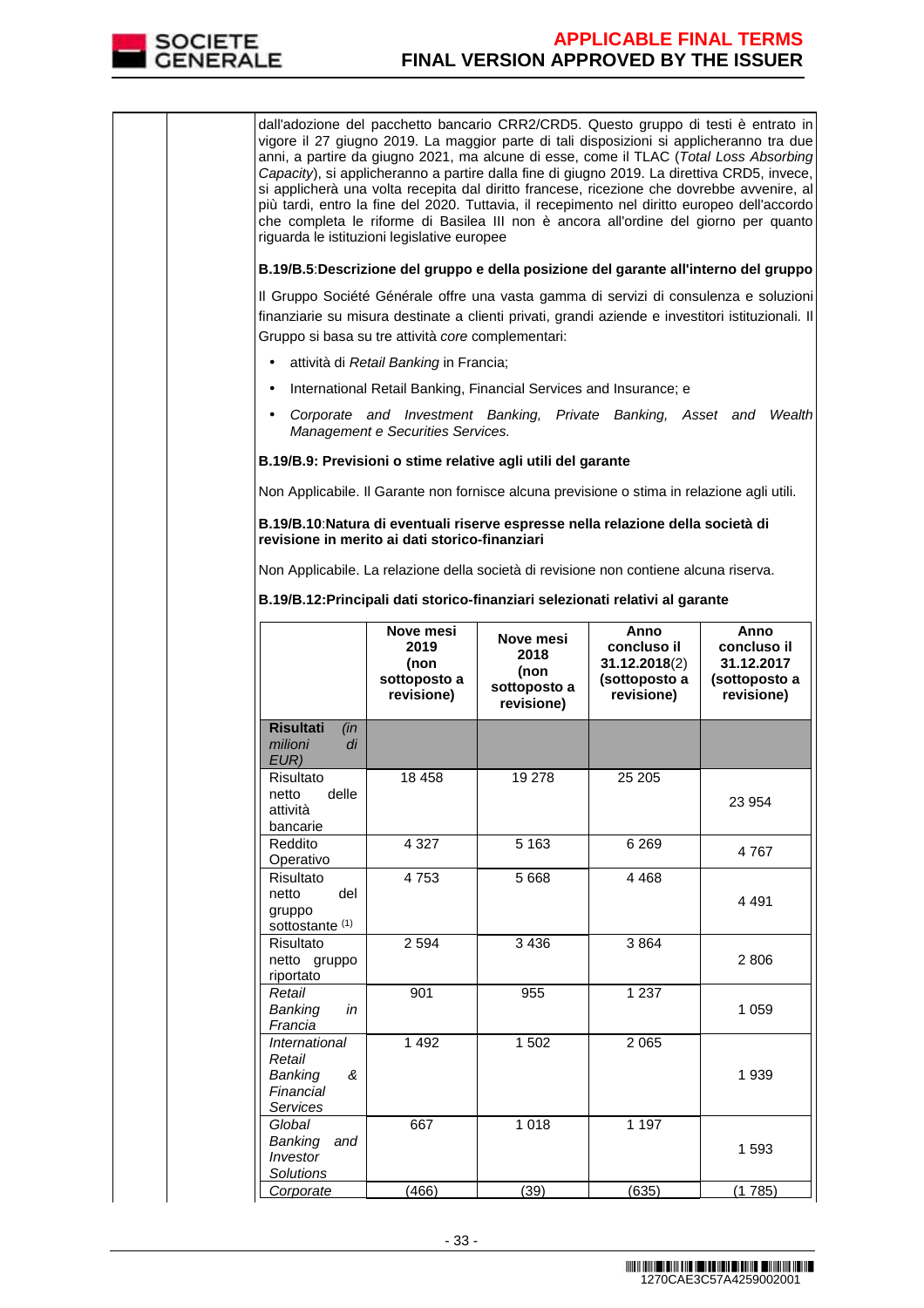

dall'adozione del pacchetto bancario CRR2/CRD5. Questo gruppo di testi è entrato in vigore il 27 giugno 2019. La maggior parte di tali disposizioni si applicheranno tra due anni, a partire da giugno 2021, ma alcune di esse, come il TLAC (Total Loss Absorbing Capacity), si applicheranno a partire dalla fine di giugno 2019. La direttiva CRD5, invece, si applicherà una volta recepita dal diritto francese, ricezione che dovrebbe avvenire, al più tardi, entro la fine del 2020. Tuttavia, il recepimento nel diritto europeo dell'accordo che completa le riforme di Basilea III non è ancora all'ordine del giorno per quanto riguarda le istituzioni legislative europee **B.19/B.5**:**Descrizione del gruppo e della posizione del garante all'interno del gruppo** Il Gruppo Société Générale offre una vasta gamma di servizi di consulenza e soluzioni finanziarie su misura destinate a clienti privati, grandi aziende e investitori istituzionali. Il Gruppo si basa su tre attività core complementari: • attività di Retail Banking in Francia; • International Retail Banking, Financial Services and Insurance; e • Corporate and Investment Banking, Private Banking, Asset and Wealth Management e Securities Services. **B.19/B.9: Previsioni o stime relative agli utili del garante**  Non Applicabile. Il Garante non fornisce alcuna previsione o stima in relazione agli utili. **B.19/B.10**:**Natura di eventuali riserve espresse nella relazione della società di revisione in merito ai dati storico-finanziari** Non Applicabile. La relazione della società di revisione non contiene alcuna riserva. **B.19/B.12:Principali dati storico-finanziari selezionati relativi al garante Nove mesi 2019 (non sottoposto a revisione) Nove mesi 2018 (non sottoposto a revisione) Anno concluso il 31.12.2018**(2) **(sottoposto a revisione) Anno concluso il 31.12.2017 (sottoposto a revisione) Risultati** (in milioni di EUR) Risultato<br>netto delle netto attività bancarie 18 458 19 278 25 205 23 954 Reddito Operativo 4 327 | 5 163 | 6 269 | 4 767 **Risultato** netto del gruppo sottostante<sup>(1)</sup> 4 753 5 668 4 468 4 491 Risultato netto gruppo riportato 2 594 3 436 3 864 2 806 Retail Banking in Francia 901 955 1 237 1 059 **International** Retail Banking & Financial Services 1 492 1 502 2 065 1 939 **Global** Banking and Investor **Solutions** 667 1 018 1 197 1 593 Corporate (466) (39) (635) (1 785)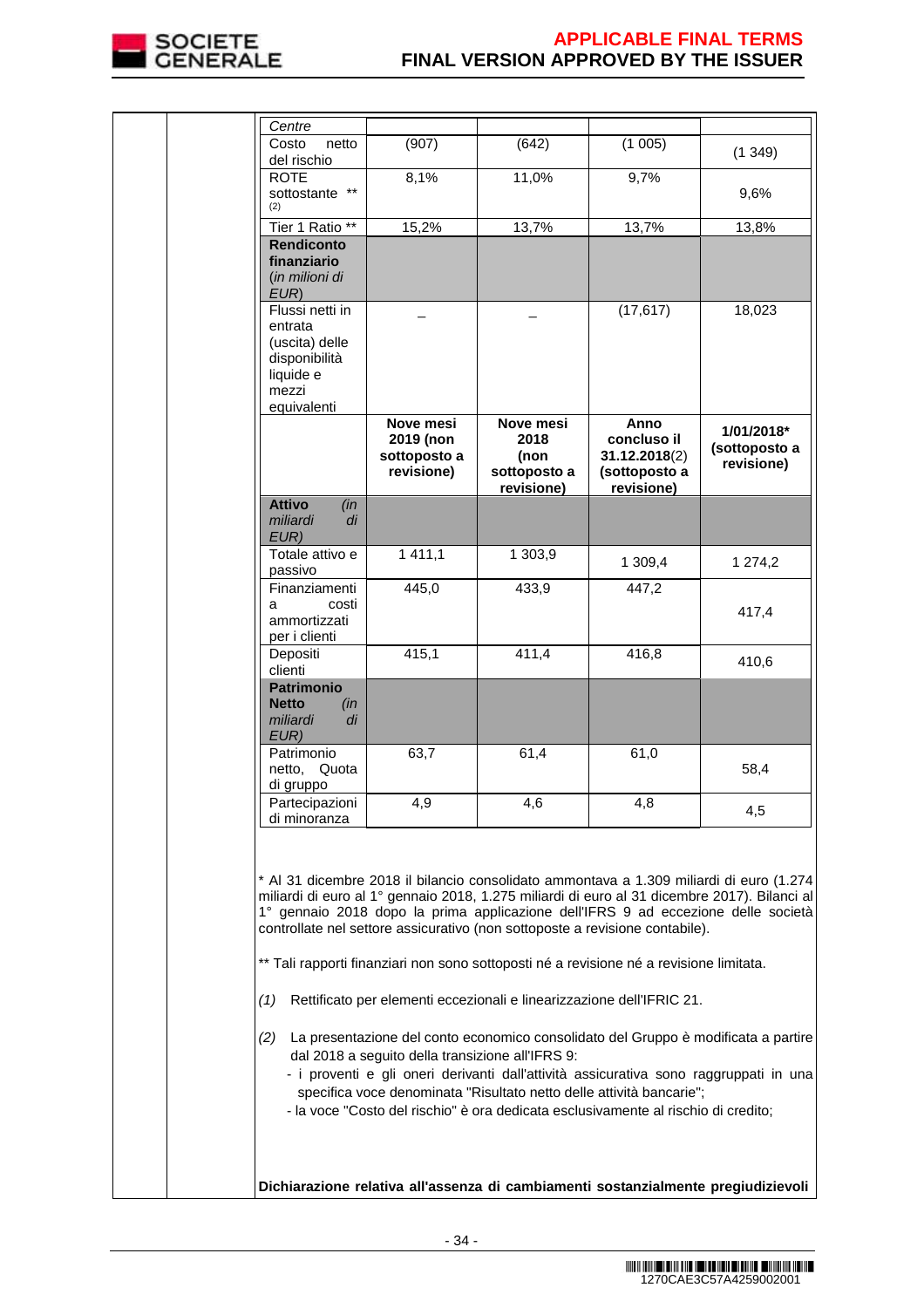

|  | Centre<br>Costo<br>netto                                                                           | (907)                                                | (642)                                                   | (1005)                                                                                                                                                                                                                                                                                                                   |                                                                                                                                                                                                                                                                                                                                                                                                                                                                 |
|--|----------------------------------------------------------------------------------------------------|------------------------------------------------------|---------------------------------------------------------|--------------------------------------------------------------------------------------------------------------------------------------------------------------------------------------------------------------------------------------------------------------------------------------------------------------------------|-----------------------------------------------------------------------------------------------------------------------------------------------------------------------------------------------------------------------------------------------------------------------------------------------------------------------------------------------------------------------------------------------------------------------------------------------------------------|
|  | del rischio                                                                                        |                                                      |                                                         |                                                                                                                                                                                                                                                                                                                          | (1349)                                                                                                                                                                                                                                                                                                                                                                                                                                                          |
|  | <b>ROTE</b><br>sottostante **<br>(2)                                                               | 8,1%                                                 | 11,0%                                                   | 9,7%                                                                                                                                                                                                                                                                                                                     | 9,6%                                                                                                                                                                                                                                                                                                                                                                                                                                                            |
|  | Tier 1 Ratio **                                                                                    | 15,2%                                                | 13,7%                                                   | 13,7%                                                                                                                                                                                                                                                                                                                    | 13,8%                                                                                                                                                                                                                                                                                                                                                                                                                                                           |
|  | <b>Rendiconto</b><br>finanziario<br>(in milioni di<br>EUR)                                         |                                                      |                                                         |                                                                                                                                                                                                                                                                                                                          |                                                                                                                                                                                                                                                                                                                                                                                                                                                                 |
|  | Flussi netti in<br>entrata<br>(uscita) delle<br>disponibilità<br>liquide e<br>mezzi<br>equivalenti |                                                      |                                                         | (17, 617)                                                                                                                                                                                                                                                                                                                | 18,023                                                                                                                                                                                                                                                                                                                                                                                                                                                          |
|  |                                                                                                    | Nove mesi<br>2019 (non<br>sottoposto a<br>revisione) | Nove mesi<br>2018<br>(non<br>sottoposto a<br>revisione) | Anno<br>concluso il<br>31.12.2018(2)<br>(sottoposto a<br>revisione)                                                                                                                                                                                                                                                      | 1/01/2018*<br>(sottoposto a<br>revisione)                                                                                                                                                                                                                                                                                                                                                                                                                       |
|  | <b>Attivo</b><br>(in<br>miliardi<br>di<br>EUR)                                                     |                                                      |                                                         |                                                                                                                                                                                                                                                                                                                          |                                                                                                                                                                                                                                                                                                                                                                                                                                                                 |
|  | Totale attivo e<br>passivo                                                                         | 1 411,1                                              | 1 303,9                                                 | 1 309,4                                                                                                                                                                                                                                                                                                                  | 1 274,2                                                                                                                                                                                                                                                                                                                                                                                                                                                         |
|  | Finanziamenti                                                                                      | 445,0                                                | 433,9                                                   | 447,2                                                                                                                                                                                                                                                                                                                    |                                                                                                                                                                                                                                                                                                                                                                                                                                                                 |
|  | costi<br>a<br>ammortizzati<br>per i clienti                                                        |                                                      |                                                         |                                                                                                                                                                                                                                                                                                                          | 417,4                                                                                                                                                                                                                                                                                                                                                                                                                                                           |
|  | Depositi<br>clienti                                                                                | 415,1                                                | 411,4                                                   | 416,8                                                                                                                                                                                                                                                                                                                    | 410,6                                                                                                                                                                                                                                                                                                                                                                                                                                                           |
|  | <b>Patrimonio</b><br><b>Netto</b><br>(in<br>miliardi<br>di<br>EUR)                                 |                                                      |                                                         |                                                                                                                                                                                                                                                                                                                          |                                                                                                                                                                                                                                                                                                                                                                                                                                                                 |
|  | Patrimonio<br>netto, Quota<br>di gruppo                                                            | 63,7                                                 | 61,4                                                    | 61,0                                                                                                                                                                                                                                                                                                                     | 58,4                                                                                                                                                                                                                                                                                                                                                                                                                                                            |
|  | Partecipazioni<br>di minoranza                                                                     | 4.9                                                  | 4.6                                                     | 4.8                                                                                                                                                                                                                                                                                                                      | 4,5                                                                                                                                                                                                                                                                                                                                                                                                                                                             |
|  | (1)                                                                                                | dal 2018 a seguito della transizione all'IFRS 9:     |                                                         | controllate nel settore assicurativo (non sottoposte a revisione contabile).<br>** Tali rapporti finanziari non sono sottoposti né a revisione né a revisione limitata.<br>Rettificato per elementi eccezionali e linearizzazione dell'IFRIC 21.<br>specifica voce denominata "Risultato netto delle attività bancarie"; | * Al 31 dicembre 2018 il bilancio consolidato ammontava a 1.309 miliardi di euro (1.274<br>miliardi di euro al 1º gennaio 2018, 1.275 miliardi di euro al 31 dicembre 2017). Bilanci al<br>1° gennaio 2018 dopo la prima applicazione dell'IFRS 9 ad eccezione delle società<br>(2) La presentazione del conto economico consolidato del Gruppo è modificata a partire<br>- i proventi e gli oneri derivanti dall'attività assicurativa sono raggruppati in una |
|  |                                                                                                    |                                                      |                                                         | - la voce "Costo del rischio" è ora dedicata esclusivamente al rischio di credito;                                                                                                                                                                                                                                       | Dichiarazione relativa all'assenza di cambiamenti sostanzialmente pregiudizievoli                                                                                                                                                                                                                                                                                                                                                                               |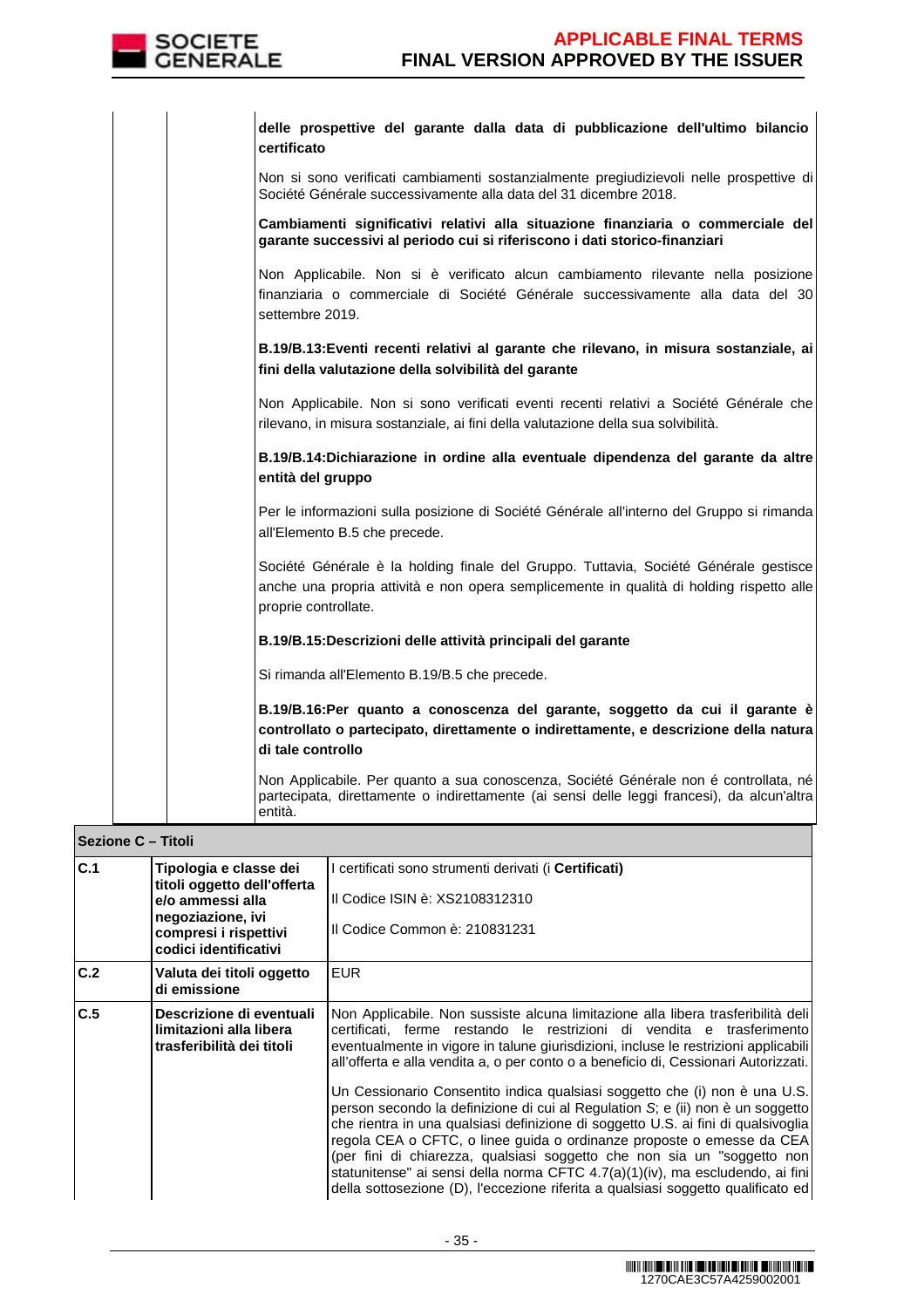

| delle prospettive del garante dalla data di pubblicazione dell'ultimo bilancio<br>certificato                                                                                                            |
|----------------------------------------------------------------------------------------------------------------------------------------------------------------------------------------------------------|
| Non si sono verificati cambiamenti sostanzialmente pregiudizievoli nelle prospettive di<br>Société Générale successivamente alla data del 31 dicembre 2018.                                              |
| Cambiamenti significativi relativi alla situazione finanziaria o commerciale del<br>garante successivi al periodo cui si riferiscono i dati storico-finanziari                                           |
| Non Applicabile. Non si è verificato alcun cambiamento rilevante nella posizione<br>finanziaria o commerciale di Société Générale successivamente alla data del 30<br>settembre 2019.                    |
| B.19/B.13: Eventi recenti relativi al garante che rilevano, in misura sostanziale, ai<br>fini della valutazione della solvibilità del garante                                                            |
| Non Applicabile. Non si sono verificati eventi recenti relativi a Société Générale che<br>rilevano, in misura sostanziale, ai fini della valutazione della sua solvibilità.                              |
| B.19/B.14: Dichiarazione in ordine alla eventuale dipendenza del garante da altre<br>entità del gruppo                                                                                                   |
| Per le informazioni sulla posizione di Société Générale all'interno del Gruppo si rimanda<br>all'Elemento B.5 che precede.                                                                               |
| Société Générale è la holding finale del Gruppo. Tuttavia, Société Générale gestisce<br>anche una propria attività e non opera semplicemente in qualità di holding rispetto alle<br>proprie controllate. |
| B.19/B.15:Descrizioni delle attività principali del garante                                                                                                                                              |
| Si rimanda all'Elemento B.19/B.5 che precede.                                                                                                                                                            |
| B.19/B.16:Per quanto a conoscenza del garante, soggetto da cui il garante è<br>controllato o partecipato, direttamente o indirettamente, e descrizione della natura<br>di tale controllo                 |
| Non Applicabile. Per quanto a sua conoscenza, Société Générale non é controllata, né<br>partecipata, direttamente o indirettamente (ai sensi delle leggi francesi), da alcun'altra<br>entità.            |

|     | Sezione C - Titoli                                                                                                                               |                                                                                                                                                                                                                                                                                                                                                                                                                                                                                                                                                                                                                                                                                                                                                                                                                                                                                                                       |  |  |  |
|-----|--------------------------------------------------------------------------------------------------------------------------------------------------|-----------------------------------------------------------------------------------------------------------------------------------------------------------------------------------------------------------------------------------------------------------------------------------------------------------------------------------------------------------------------------------------------------------------------------------------------------------------------------------------------------------------------------------------------------------------------------------------------------------------------------------------------------------------------------------------------------------------------------------------------------------------------------------------------------------------------------------------------------------------------------------------------------------------------|--|--|--|
| C.1 | Tipologia e classe dei<br>titoli oggetto dell'offerta<br>e/o ammessi alla<br>negoziazione, ivi<br>compresi i rispettivi<br>codici identificativi | I certificati sono strumenti derivati (i <b>Certificati)</b><br>Il Codice ISIN è: XS2108312310<br>Il Codice Common è: 210831231                                                                                                                                                                                                                                                                                                                                                                                                                                                                                                                                                                                                                                                                                                                                                                                       |  |  |  |
| C.2 | Valuta dei titoli oggetto<br>di emissione                                                                                                        | <b>EUR</b>                                                                                                                                                                                                                                                                                                                                                                                                                                                                                                                                                                                                                                                                                                                                                                                                                                                                                                            |  |  |  |
| C.5 | Descrizione di eventuali<br>limitazioni alla libera<br>trasferibilità dei titoli                                                                 | Non Applicabile. Non sussiste alcuna limitazione alla libera trasferibilità deli<br>certificati, ferme restando le restrizioni di vendita e trasferimento<br>eventualmente in vigore in talune giurisdizioni, incluse le restrizioni applicabili<br>all'offerta e alla vendita a, o per conto o a beneficio di, Cessionari Autorizzati.<br>Un Cessionario Consentito indica qualsiasi soggetto che (i) non è una U.S.<br>person secondo la definizione di cui al Regulation S; e (ii) non è un soggetto<br>che rientra in una qualsiasi definizione di soggetto U.S. ai fini di qualsivoglia<br>regola CEA o CFTC, o linee guida o ordinanze proposte o emesse da CEA<br>(per fini di chiarezza, qualsiasi soggetto che non sia un "soggetto non<br>statunitense" ai sensi della norma CFTC 4.7(a)(1)(iv), ma escludendo, ai fini<br>della sottosezione (D), l'eccezione riferita a qualsiasi soggetto qualificato ed |  |  |  |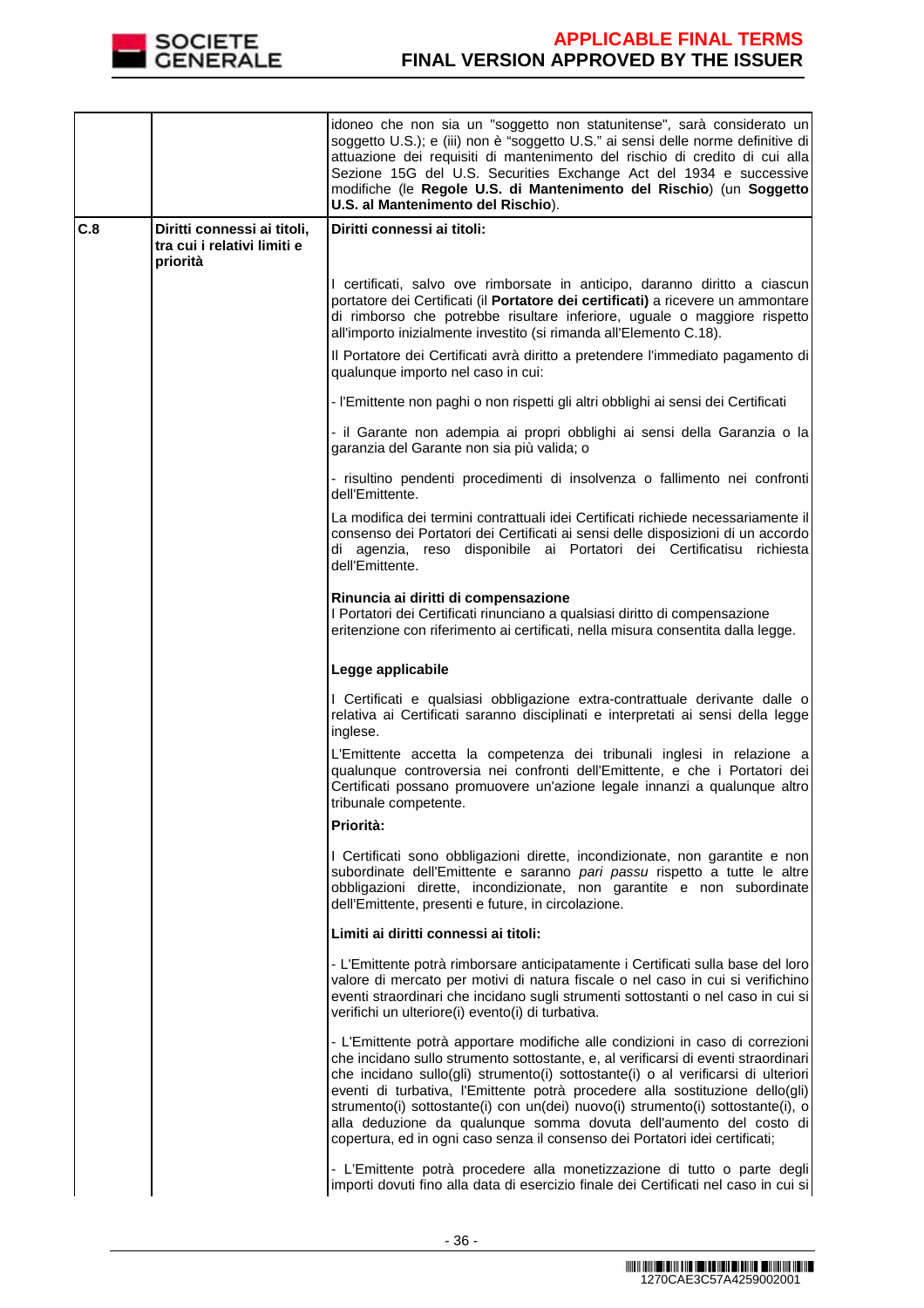

|     |                                                            | idoneo che non sia un "soggetto non statunitense", sarà considerato un<br>soggetto U.S.); e (iii) non è "soggetto U.S." ai sensi delle norme definitive di<br>attuazione dei requisiti di mantenimento del rischio di credito di cui alla<br>Sezione 15G del U.S. Securities Exchange Act del 1934 e successive<br>modifiche (le Regole U.S. di Mantenimento del Rischio) (un Soggetto<br>U.S. al Mantenimento del Rischio).                                                                                                                                                       |
|-----|------------------------------------------------------------|------------------------------------------------------------------------------------------------------------------------------------------------------------------------------------------------------------------------------------------------------------------------------------------------------------------------------------------------------------------------------------------------------------------------------------------------------------------------------------------------------------------------------------------------------------------------------------|
| C.8 | Diritti connessi ai titoli,<br>tra cui i relativi limiti e | Diritti connessi ai titoli:                                                                                                                                                                                                                                                                                                                                                                                                                                                                                                                                                        |
|     | priorità                                                   |                                                                                                                                                                                                                                                                                                                                                                                                                                                                                                                                                                                    |
|     |                                                            | I certificati, salvo ove rimborsate in anticipo, daranno diritto a ciascun<br>portatore dei Certificati (il Portatore dei certificati) a ricevere un ammontare<br>di rimborso che potrebbe risultare inferiore, uguale o maggiore rispetto<br>all'importo inizialmente investito (si rimanda all'Elemento C.18).                                                                                                                                                                                                                                                                   |
|     |                                                            | Il Portatore dei Certificati avrà diritto a pretendere l'immediato pagamento di<br>qualunque importo nel caso in cui:                                                                                                                                                                                                                                                                                                                                                                                                                                                              |
|     |                                                            | - l'Emittente non paghi o non rispetti gli altri obblighi ai sensi dei Certificati                                                                                                                                                                                                                                                                                                                                                                                                                                                                                                 |
|     |                                                            | - il Garante non adempia ai propri obblighi ai sensi della Garanzia o la<br>garanzia del Garante non sia più valida; o                                                                                                                                                                                                                                                                                                                                                                                                                                                             |
|     |                                                            | - risultino pendenti procedimenti di insolvenza o fallimento nei confronti<br>dell'Emittente.                                                                                                                                                                                                                                                                                                                                                                                                                                                                                      |
|     |                                                            | La modifica dei termini contrattuali idei Certificati richiede necessariamente il<br>consenso dei Portatori dei Certificati ai sensi delle disposizioni di un accordo<br>di agenzia, reso disponibile ai Portatori dei Certificatisu richiesta<br>dell'Emittente.                                                                                                                                                                                                                                                                                                                  |
|     |                                                            | Rinuncia ai diritti di compensazione<br>I Portatori dei Certificati rinunciano a qualsiasi diritto di compensazione<br>eritenzione con riferimento ai certificati, nella misura consentita dalla legge.                                                                                                                                                                                                                                                                                                                                                                            |
|     |                                                            | Legge applicabile                                                                                                                                                                                                                                                                                                                                                                                                                                                                                                                                                                  |
|     |                                                            | I Certificati e qualsiasi obbligazione extra-contrattuale derivante dalle o<br>relativa ai Certificati saranno disciplinati e interpretati ai sensi della legge<br>inglese.                                                                                                                                                                                                                                                                                                                                                                                                        |
|     |                                                            | L'Emittente accetta la competenza dei tribunali inglesi in relazione a<br>qualunque controversia nei confronti dell'Emittente, e che i Portatori dei<br>Certificati possano promuovere un'azione legale innanzi a qualunque altro<br>tribunale competente.                                                                                                                                                                                                                                                                                                                         |
|     |                                                            | Priorità:                                                                                                                                                                                                                                                                                                                                                                                                                                                                                                                                                                          |
|     |                                                            | I Certificati sono obbligazioni dirette, incondizionate, non garantite e non<br>subordinate dell'Emittente e saranno pari passu rispetto a tutte le altre<br>obbligazioni dirette, incondizionate, non garantite e non subordinate<br>dell'Emittente, presenti e future, in circolazione.                                                                                                                                                                                                                                                                                          |
|     |                                                            | Limiti ai diritti connessi ai titoli:                                                                                                                                                                                                                                                                                                                                                                                                                                                                                                                                              |
|     |                                                            | - L'Emittente potrà rimborsare anticipatamente i Certificati sulla base del loro<br>valore di mercato per motivi di natura fiscale o nel caso in cui si verifichino<br>eventi straordinari che incidano sugli strumenti sottostanti o nel caso in cui si<br>verifichi un ulteriore(i) evento(i) di turbativa.                                                                                                                                                                                                                                                                      |
|     |                                                            | - L'Emittente potrà apportare modifiche alle condizioni in caso di correzioni<br>che incidano sullo strumento sottostante, e, al verificarsi di eventi straordinari<br>che incidano sullo(gli) strumento(i) sottostante(i) o al verificarsi di ulteriori<br>eventi di turbativa, l'Emittente potrà procedere alla sostituzione dello(gli)<br>strumento(i) sottostante(i) con un(dei) nuovo(i) strumento(i) sottostante(i), o<br>alla deduzione da qualunque somma dovuta dell'aumento del costo di<br>copertura, ed in ogni caso senza il consenso dei Portatori idei certificati; |
|     |                                                            | - L'Emittente potrà procedere alla monetizzazione di tutto o parte degli<br>importi dovuti fino alla data di esercizio finale dei Certificati nel caso in cui si                                                                                                                                                                                                                                                                                                                                                                                                                   |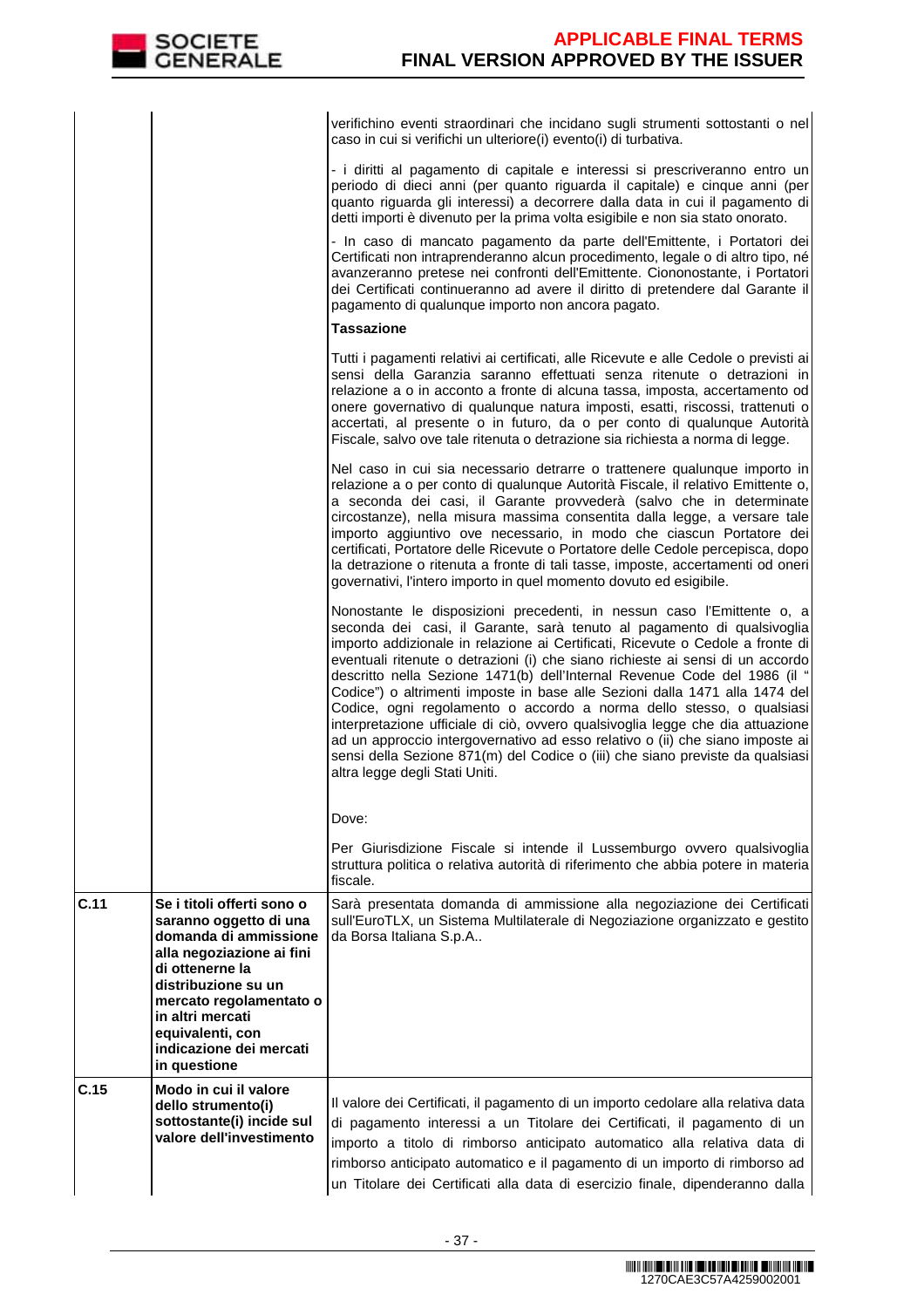|                                                                                                                                                      | verifichino eventi straordinari che incidano sugli strumenti sottostanti o nel<br>caso in cui si verifichi un ulteriore(i) evento(i) di turbativa.                                                                                                                                                                                                                                                                                                                                                                                                                                                                                                                                                                                                                                                                                             |
|------------------------------------------------------------------------------------------------------------------------------------------------------|------------------------------------------------------------------------------------------------------------------------------------------------------------------------------------------------------------------------------------------------------------------------------------------------------------------------------------------------------------------------------------------------------------------------------------------------------------------------------------------------------------------------------------------------------------------------------------------------------------------------------------------------------------------------------------------------------------------------------------------------------------------------------------------------------------------------------------------------|
|                                                                                                                                                      | - i diritti al pagamento di capitale e interessi si prescriveranno entro un<br>periodo di dieci anni (per quanto riguarda il capitale) e cinque anni (per<br>quanto riguarda gli interessi) a decorrere dalla data in cui il pagamento di<br>detti importi è divenuto per la prima volta esigibile e non sia stato onorato.                                                                                                                                                                                                                                                                                                                                                                                                                                                                                                                    |
|                                                                                                                                                      | - In caso di mancato pagamento da parte dell'Emittente, i Portatori dei<br>Certificati non intraprenderanno alcun procedimento, legale o di altro tipo, né<br>avanzeranno pretese nei confronti dell'Emittente. Ciononostante, i Portatori<br>dei Certificati continueranno ad avere il diritto di pretendere dal Garante il<br>pagamento di qualunque importo non ancora pagato.                                                                                                                                                                                                                                                                                                                                                                                                                                                              |
|                                                                                                                                                      | <b>Tassazione</b>                                                                                                                                                                                                                                                                                                                                                                                                                                                                                                                                                                                                                                                                                                                                                                                                                              |
|                                                                                                                                                      | Tutti i pagamenti relativi ai certificati, alle Ricevute e alle Cedole o previsti ai<br>sensi della Garanzia saranno effettuati senza ritenute o detrazioni in<br>relazione a o in acconto a fronte di alcuna tassa, imposta, accertamento od<br>onere governativo di qualunque natura imposti, esatti, riscossi, trattenuti o<br>accertati, al presente o in futuro, da o per conto di qualunque Autorità<br>Fiscale, salvo ove tale ritenuta o detrazione sia richiesta a norma di legge.                                                                                                                                                                                                                                                                                                                                                    |
|                                                                                                                                                      | Nel caso in cui sia necessario detrarre o trattenere qualunque importo in<br>relazione a o per conto di qualunque Autorità Fiscale, il relativo Emittente o,<br>a seconda dei casi, il Garante provvederà (salvo che in determinate<br>circostanze), nella misura massima consentita dalla legge, a versare tale<br>importo aggiuntivo ove necessario, in modo che ciascun Portatore dei<br>certificati, Portatore delle Ricevute o Portatore delle Cedole percepisca, dopo<br>la detrazione o ritenuta a fronte di tali tasse, imposte, accertamenti od oneri<br>governativi, l'intero importo in quel momento dovuto ed esigibile.                                                                                                                                                                                                           |
|                                                                                                                                                      | Nonostante le disposizioni precedenti, in nessun caso l'Emittente o, a<br>seconda dei casi, il Garante, sarà tenuto al pagamento di qualsivoglia<br>importo addizionale in relazione ai Certificati, Ricevute o Cedole a fronte di<br>eventuali ritenute o detrazioni (i) che siano richieste ai sensi di un accordo<br>descritto nella Sezione 1471(b) dell'Internal Revenue Code del 1986 (il "<br>Codice") o altrimenti imposte in base alle Sezioni dalla 1471 alla 1474 del<br>Codice, ogni regolamento o accordo a norma dello stesso, o qualsiasi<br>interpretazione ufficiale di ciò, ovvero qualsivoglia legge che dia attuazione<br>ad un approccio intergovernativo ad esso relativo o (ii) che siano imposte ai<br>sensi della Sezione 871(m) del Codice o (iii) che siano previste da qualsiasi<br>altra legge degli Stati Uniti. |
|                                                                                                                                                      | Dove:                                                                                                                                                                                                                                                                                                                                                                                                                                                                                                                                                                                                                                                                                                                                                                                                                                          |
|                                                                                                                                                      | Per Giurisdizione Fiscale si intende il Lussemburgo ovvero qualsivoglia<br>struttura politica o relativa autorità di riferimento che abbia potere in materia<br>fiscale.                                                                                                                                                                                                                                                                                                                                                                                                                                                                                                                                                                                                                                                                       |
| Se i titoli offerti sono o<br>saranno oggetto di una<br>domanda di ammissione<br>alla negoziazione ai fini<br>di ottenerne la<br>distribuzione su un | Sarà presentata domanda di ammissione alla negoziazione dei Certificati<br>sull'EuroTLX, un Sistema Multilaterale di Negoziazione organizzato e gestito<br>da Borsa Italiana S.p.A                                                                                                                                                                                                                                                                                                                                                                                                                                                                                                                                                                                                                                                             |
| mercato regolamentato o<br>in altri mercati<br>equivalenti, con<br>indicazione dei mercati<br>in questione                                           |                                                                                                                                                                                                                                                                                                                                                                                                                                                                                                                                                                                                                                                                                                                                                                                                                                                |
| Modo in cui il valore<br>dello strumento(i)<br>sottostante(i) incide sul<br>valore dell'investimento                                                 | Il valore dei Certificati, il pagamento di un importo cedolare alla relativa data<br>di pagamento interessi a un Titolare dei Certificati, il pagamento di un<br>importo a titolo di rimborso anticipato automatico alla relativa data di<br>rimborso anticipato automatico e il pagamento di un importo di rimborso ad<br>un Titolare dei Certificati alla data di esercizio finale, dipenderanno dalla                                                                                                                                                                                                                                                                                                                                                                                                                                       |
|                                                                                                                                                      |                                                                                                                                                                                                                                                                                                                                                                                                                                                                                                                                                                                                                                                                                                                                                                                                                                                |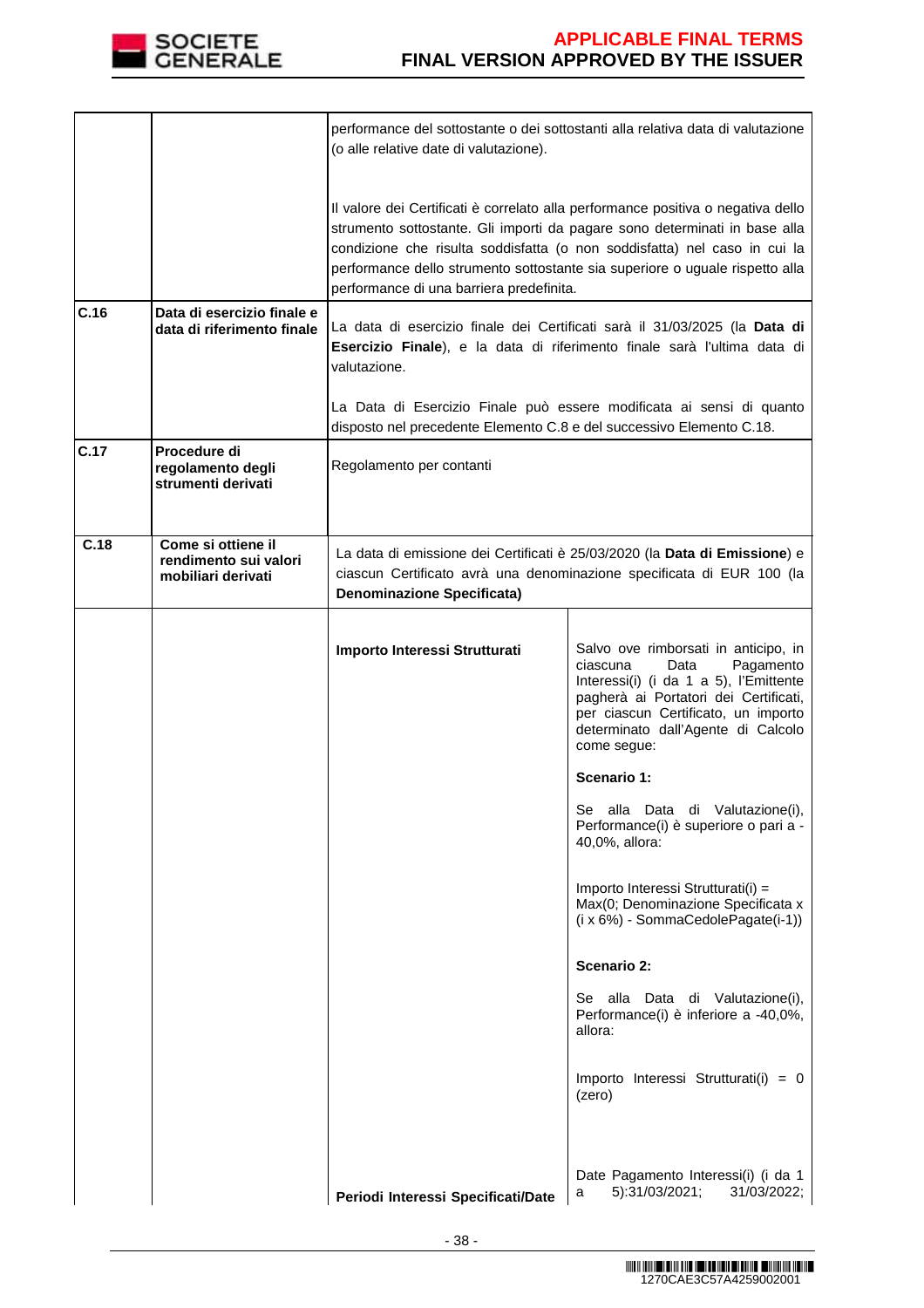

|      |                                                                   | performance del sottostante o dei sottostanti alla relativa data di valutazione<br>(o alle relative date di valutazione).                                                                                                                                                                                                                                               |                                                                                                                                                                                                                                                                                                        |  |  |
|------|-------------------------------------------------------------------|-------------------------------------------------------------------------------------------------------------------------------------------------------------------------------------------------------------------------------------------------------------------------------------------------------------------------------------------------------------------------|--------------------------------------------------------------------------------------------------------------------------------------------------------------------------------------------------------------------------------------------------------------------------------------------------------|--|--|
|      |                                                                   | Il valore dei Certificati è correlato alla performance positiva o negativa dello<br>strumento sottostante. Gli importi da pagare sono determinati in base alla<br>condizione che risulta soddisfatta (o non soddisfatta) nel caso in cui la<br>performance dello strumento sottostante sia superiore o uguale rispetto alla<br>performance di una barriera predefinita. |                                                                                                                                                                                                                                                                                                        |  |  |
| C.16 | Data di esercizio finale e<br>data di riferimento finale          | La data di esercizio finale dei Certificati sarà il 31/03/2025 (la Data di<br>Esercizio Finale), e la data di riferimento finale sarà l'ultima data di<br>valutazione.                                                                                                                                                                                                  |                                                                                                                                                                                                                                                                                                        |  |  |
|      |                                                                   | disposto nel precedente Elemento C.8 e del successivo Elemento C.18.                                                                                                                                                                                                                                                                                                    | La Data di Esercizio Finale può essere modificata ai sensi di quanto                                                                                                                                                                                                                                   |  |  |
| C.17 | Procedure di<br>regolamento degli<br>strumenti derivati           | Regolamento per contanti                                                                                                                                                                                                                                                                                                                                                |                                                                                                                                                                                                                                                                                                        |  |  |
| C.18 | Come si ottiene il<br>rendimento sui valori<br>mobiliari derivati | <b>Denominazione Specificata)</b>                                                                                                                                                                                                                                                                                                                                       | La data di emissione dei Certificati è 25/03/2020 (la Data di Emissione) e<br>ciascun Certificato avrà una denominazione specificata di EUR 100 (la                                                                                                                                                    |  |  |
|      |                                                                   | Importo Interessi Strutturati                                                                                                                                                                                                                                                                                                                                           | Salvo ove rimborsati in anticipo, in<br>ciascuna<br>Data<br>Pagamento<br>Interessi(i) (i da 1 a 5), l'Emittente<br>pagherà ai Portatori dei Certificati,<br>per ciascun Certificato, un importo<br>determinato dall'Agente di Calcolo<br>come segue:<br>Scenario 1:<br>Se alla Data di Valutazione(i), |  |  |
|      |                                                                   |                                                                                                                                                                                                                                                                                                                                                                         | Performance(i) è superiore o pari a -<br>40,0%, allora:                                                                                                                                                                                                                                                |  |  |
|      |                                                                   |                                                                                                                                                                                                                                                                                                                                                                         | Importo Interessi Strutturati(i) =<br>Max(0; Denominazione Specificata x<br>(i x 6%) - SommaCedolePagate(i-1))                                                                                                                                                                                         |  |  |
|      |                                                                   |                                                                                                                                                                                                                                                                                                                                                                         | <b>Scenario 2:</b>                                                                                                                                                                                                                                                                                     |  |  |
|      |                                                                   |                                                                                                                                                                                                                                                                                                                                                                         | Se alla Data di Valutazione(i),<br>Performance(i) è inferiore a -40,0%,<br>allora:                                                                                                                                                                                                                     |  |  |
|      |                                                                   |                                                                                                                                                                                                                                                                                                                                                                         | Importo Interessi Strutturati(i) = 0<br>(zero)                                                                                                                                                                                                                                                         |  |  |
|      |                                                                   | Periodi Interessi Specificati/Date                                                                                                                                                                                                                                                                                                                                      | Date Pagamento Interessi(i) (i da 1<br>5):31/03/2021;<br>31/03/2022;<br>a                                                                                                                                                                                                                              |  |  |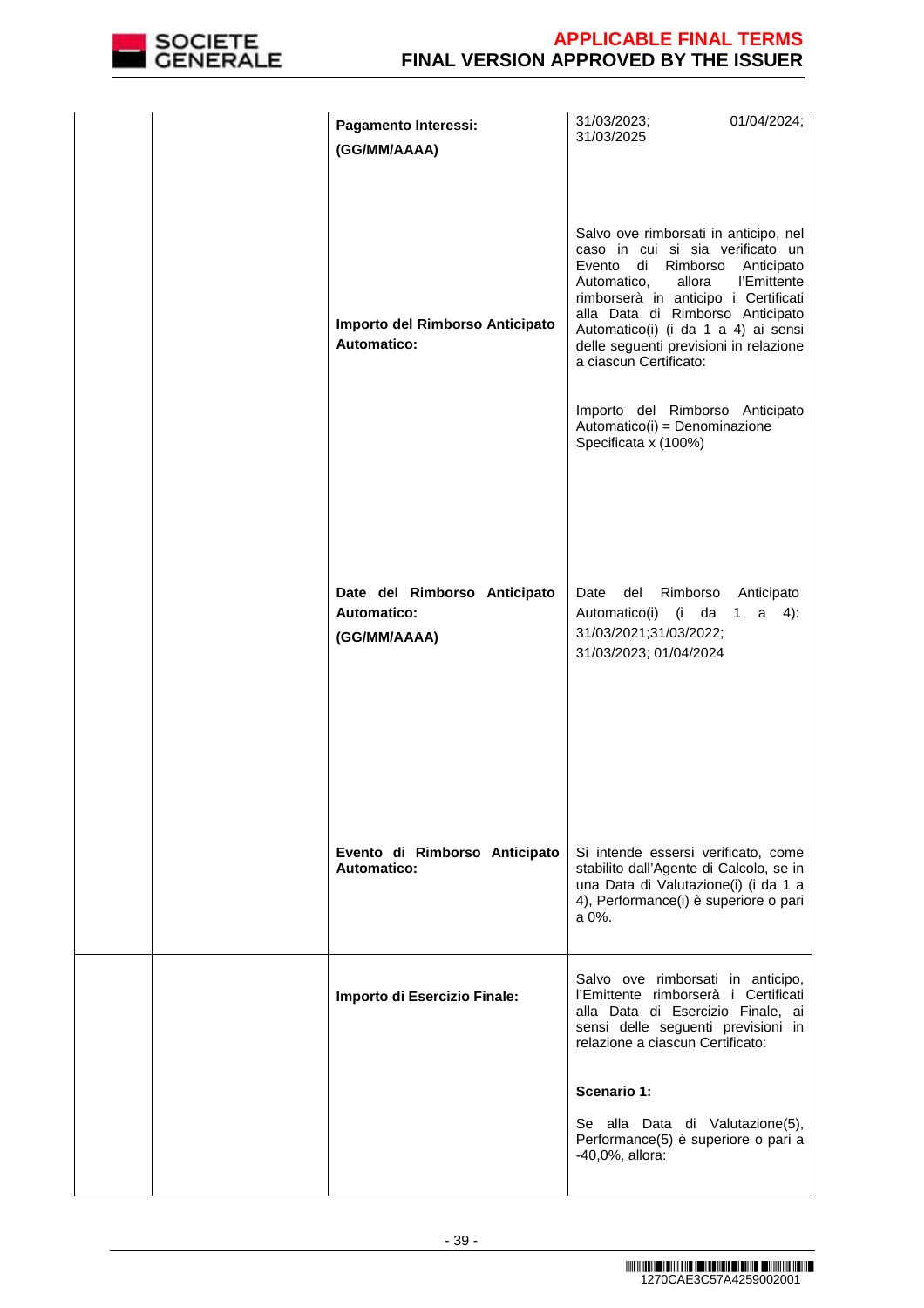

|  | Pagamento Interessi:                                               | 31/03/2023;<br>01/04/2024;                                                                                                                                                                                                                                                                                                                                                                                                                  |
|--|--------------------------------------------------------------------|---------------------------------------------------------------------------------------------------------------------------------------------------------------------------------------------------------------------------------------------------------------------------------------------------------------------------------------------------------------------------------------------------------------------------------------------|
|  | (GG/MM/AAAA)                                                       | 31/03/2025                                                                                                                                                                                                                                                                                                                                                                                                                                  |
|  | Importo del Rimborso Anticipato<br><b>Automatico:</b>              | Salvo ove rimborsati in anticipo, nel<br>caso in cui si sia verificato un<br>Evento di<br>Rimborso<br>Anticipato<br>Automatico,<br>allora<br>l'Emittente<br>rimborserà in anticipo i Certificati<br>alla Data di Rimborso Anticipato<br>Automatico(i) (i da 1 a 4) ai sensi<br>delle seguenti previsioni in relazione<br>a ciascun Certificato:<br>Importo del Rimborso Anticipato<br>Automatico(i) = Denominazione<br>Specificata x (100%) |
|  | Date del Rimborso Anticipato<br><b>Automatico:</b><br>(GG/MM/AAAA) | Date<br>del<br>Rimborso<br>Anticipato<br>Automatico(i)<br>da<br>$4)$ :<br>$(i -$<br>1<br>a<br>31/03/2021;31/03/2022;<br>31/03/2023; 01/04/2024                                                                                                                                                                                                                                                                                              |
|  | Evento di Rimborso Anticipato<br>Automatico:                       | Si intende essersi verificato, come<br>stabilito dall'Agente di Calcolo, se in<br>una Data di Valutazione(i) (i da 1 a<br>4), Performance(i) è superiore o pari<br>a 0%.                                                                                                                                                                                                                                                                    |
|  | Importo di Esercizio Finale:                                       | Salvo ove rimborsati in anticipo,<br>l'Emittente rimborserà i Certificati<br>alla Data di Esercizio Finale, ai<br>sensi delle seguenti previsioni in<br>relazione a ciascun Certificato:                                                                                                                                                                                                                                                    |
|  |                                                                    | Scenario 1:                                                                                                                                                                                                                                                                                                                                                                                                                                 |
|  |                                                                    | Se alla Data di Valutazione(5),<br>Performance(5) è superiore o pari a<br>-40,0%, allora:                                                                                                                                                                                                                                                                                                                                                   |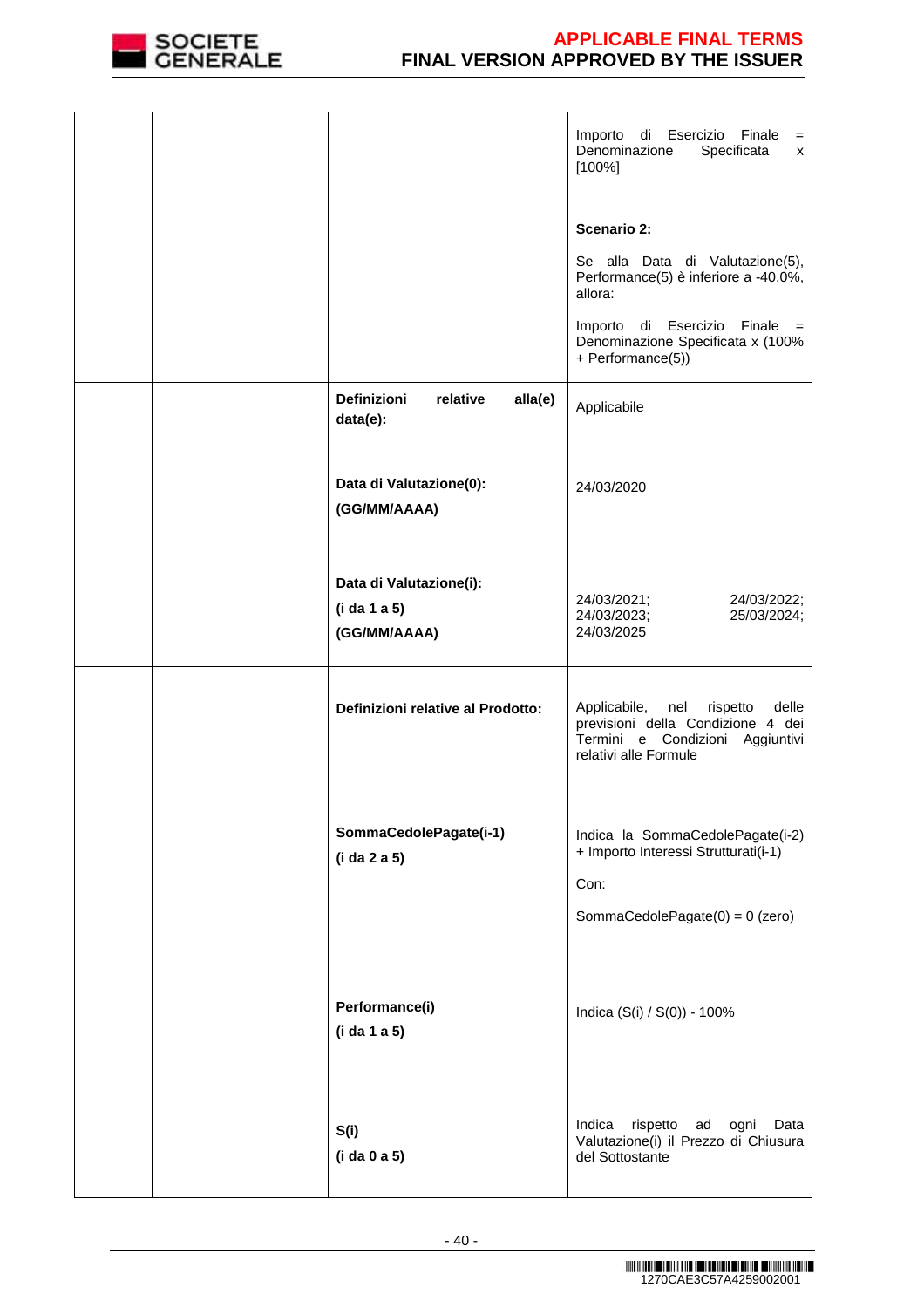

|  |                                                         | Importo<br>di Esercizio<br>Finale<br>$=$<br>Denominazione<br>Specificata<br>x<br>$[100\%]$                                                |
|--|---------------------------------------------------------|-------------------------------------------------------------------------------------------------------------------------------------------|
|  |                                                         | Scenario 2:                                                                                                                               |
|  |                                                         | Se alla Data di Valutazione(5),<br>Performance(5) è inferiore a -40,0%,<br>allora:                                                        |
|  |                                                         | Importo di Esercizio Finale =<br>Denominazione Specificata x (100%<br>+ Performance(5))                                                   |
|  | Definizioni<br>relative<br>alla(e)<br>data(e):          | Applicabile                                                                                                                               |
|  | Data di Valutazione(0):<br>(GG/MM/AAAA)                 | 24/03/2020                                                                                                                                |
|  | Data di Valutazione(i):<br>(i da 1 a 5)<br>(GG/MM/AAAA) | 24/03/2021;<br>24/03/2022;<br>24/03/2023;<br>25/03/2024;<br>24/03/2025                                                                    |
|  | Definizioni relative al Prodotto:                       | Applicabile,<br>nel<br>rispetto<br>delle<br>previsioni della Condizione 4 dei<br>Termini e Condizioni Aggiuntivi<br>relativi alle Formule |
|  | SommaCedolePagate(i-1)<br>(i da 2 a 5)                  | Indica la SommaCedolePagate(i-2)<br>+ Importo Interessi Strutturati(i-1)<br>Con:<br>SommaCedolePagate(0) = 0 (zero)                       |
|  | Performance(i)<br>(i da 1 a 5)                          | Indica (S(i) / S(0)) - 100%                                                                                                               |
|  | S(i)<br>(i da 0 a 5)                                    | Indica<br>rispetto ad<br>ogni<br>Data<br>Valutazione(i) il Prezzo di Chiusura<br>del Sottostante                                          |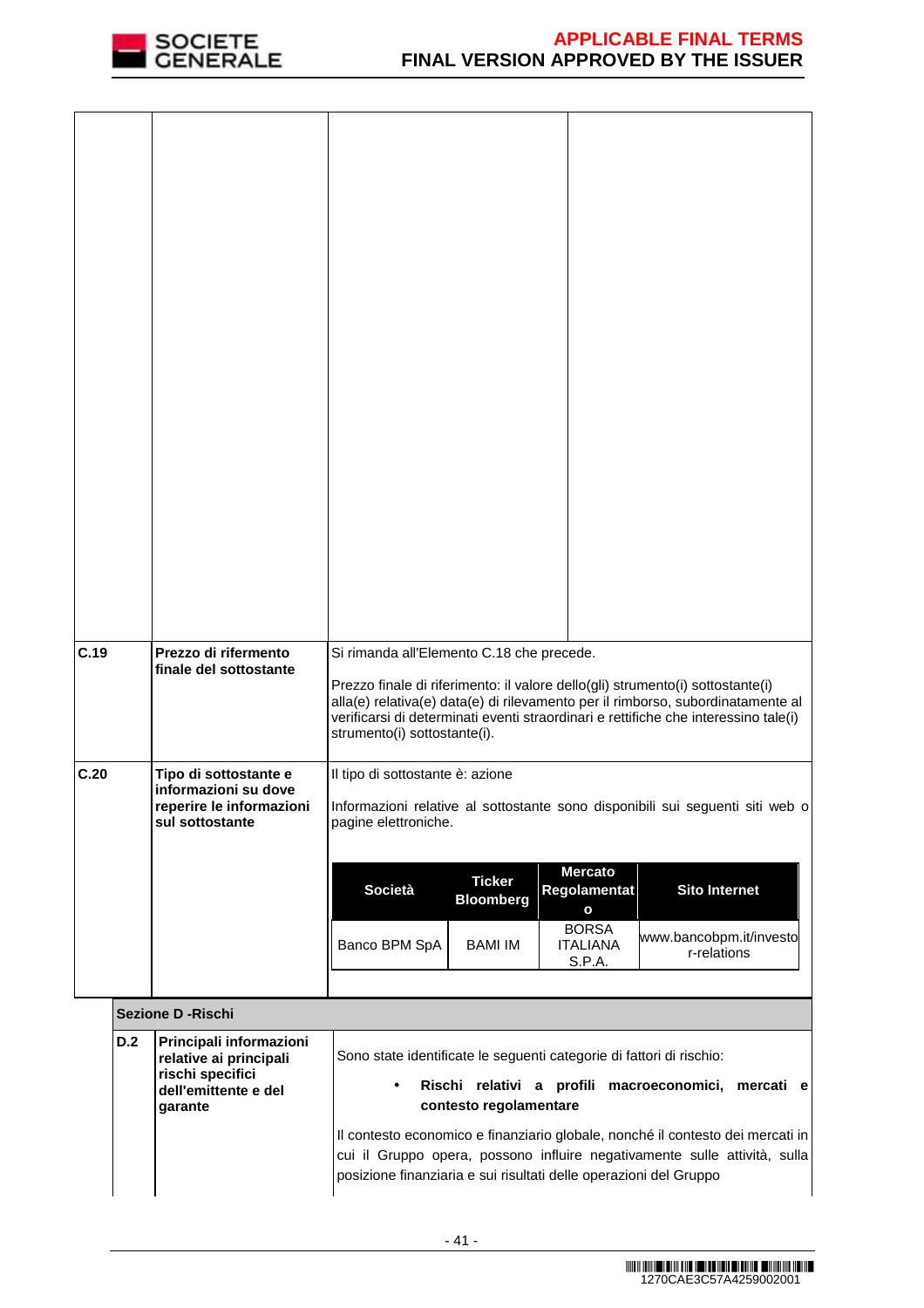

| C.19 |     | Prezzo di rifermento<br>finale del sottostante      | Si rimanda all'Elemento C.18 che precede.<br>Prezzo finale di riferimento: il valore dello(gli) strumento(i) sottostante(i)                                                                            |
|------|-----|-----------------------------------------------------|--------------------------------------------------------------------------------------------------------------------------------------------------------------------------------------------------------|
|      |     |                                                     | alla(e) relativa(e) data(e) di rilevamento per il rimborso, subordinatamente al<br>verificarsi di determinati eventi straordinari e rettifiche che interessino tale(i)<br>strumento(i) sottostante(i). |
| C.20 |     | Tipo di sottostante e<br>informazioni su dove       | Il tipo di sottostante è: azione                                                                                                                                                                       |
|      |     | reperire le informazioni<br>sul sottostante         | Informazioni relative al sottostante sono disponibili sui seguenti siti web o<br>pagine elettroniche.                                                                                                  |
|      |     |                                                     | <b>Mercato</b><br><b>Ticker</b><br>Società<br><b>Sito Internet</b><br>Regolamentat                                                                                                                     |
|      |     |                                                     | <b>Bloomberg</b><br>$\mathbf{o}$<br><b>BORSA</b><br>www.bancobpm.it/investo                                                                                                                            |
|      |     |                                                     | Banco BPM SpA<br><b>BAMI IM</b><br><b>ITALIANA</b><br>r-relations<br>S.P.A.                                                                                                                            |
|      |     | <b>Sezione D - Rischi</b>                           |                                                                                                                                                                                                        |
|      | D.2 | Principali informazioni<br>relative ai principali   | Sono state identificate le seguenti categorie di fattori di rischio:                                                                                                                                   |
|      |     | rischi specifici<br>dell'emittente e del<br>garante | Rischi relativi a profili macroeconomici, mercati e<br>$\bullet$<br>contesto regolamentare                                                                                                             |
|      |     |                                                     | Il contesto economico e finanziario globale, nonché il contesto dei mercati in<br>cui il Gruppo opera, possono influire negativamente sulle attività, sulla                                            |
|      |     |                                                     | posizione finanziaria e sui risultati delle operazioni del Gruppo                                                                                                                                      |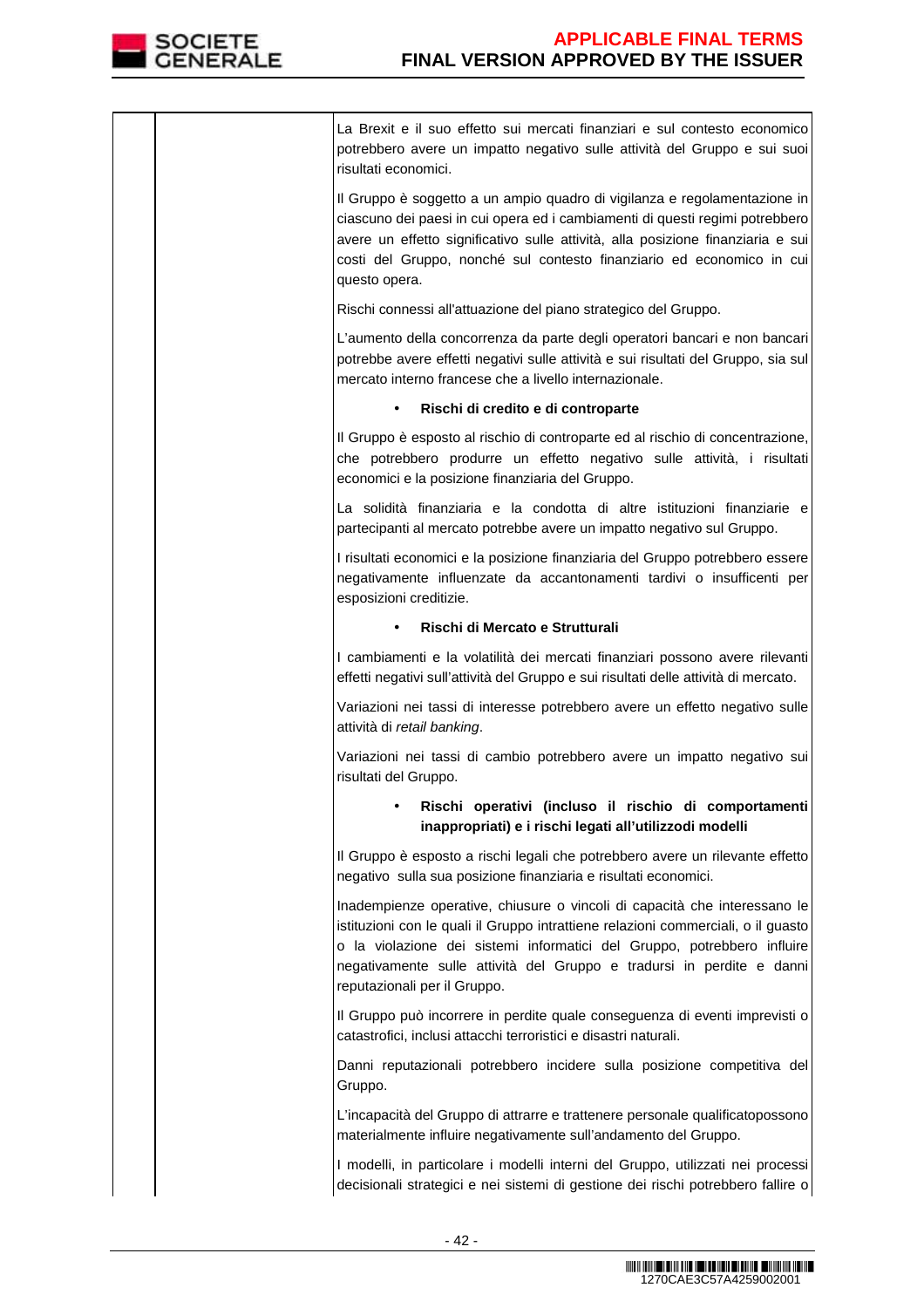

La Brexit e il suo effetto sui mercati finanziari e sul contesto economico potrebbero avere un impatto negativo sulle attività del Gruppo e sui suoi risultati economici.

Il Gruppo è soggetto a un ampio quadro di vigilanza e regolamentazione in ciascuno dei paesi in cui opera ed i cambiamenti di questi regimi potrebbero avere un effetto significativo sulle attività, alla posizione finanziaria e sui costi del Gruppo, nonché sul contesto finanziario ed economico in cui questo opera.

Rischi connessi all'attuazione del piano strategico del Gruppo.

L'aumento della concorrenza da parte degli operatori bancari e non bancari potrebbe avere effetti negativi sulle attività e sui risultati del Gruppo, sia sul mercato interno francese che a livello internazionale.

## • **Rischi di credito e di controparte**

Il Gruppo è esposto al rischio di controparte ed al rischio di concentrazione, che potrebbero produrre un effetto negativo sulle attività, i risultati economici e la posizione finanziaria del Gruppo.

La solidità finanziaria e la condotta di altre istituzioni finanziarie e partecipanti al mercato potrebbe avere un impatto negativo sul Gruppo.

I risultati economici e la posizione finanziaria del Gruppo potrebbero essere negativamente influenzate da accantonamenti tardivi o insufficenti per esposizioni creditizie.

## • **Rischi di Mercato e Strutturali**

I cambiamenti e la volatilità dei mercati finanziari possono avere rilevanti effetti negativi sull'attività del Gruppo e sui risultati delle attività di mercato.

Variazioni nei tassi di interesse potrebbero avere un effetto negativo sulle attività di retail banking.

Variazioni nei tassi di cambio potrebbero avere un impatto negativo sui risultati del Gruppo.

# • **Rischi operativi (incluso il rischio di comportamenti inappropriati) e i rischi legati all'utilizzodi modelli**

Il Gruppo è esposto a rischi legali che potrebbero avere un rilevante effetto negativo sulla sua posizione finanziaria e risultati economici.

Inadempienze operative, chiusure o vincoli di capacità che interessano le istituzioni con le quali il Gruppo intrattiene relazioni commerciali, o il guasto o la violazione dei sistemi informatici del Gruppo, potrebbero influire negativamente sulle attività del Gruppo e tradursi in perdite e danni reputazionali per il Gruppo.

Il Gruppo può incorrere in perdite quale conseguenza di eventi imprevisti o catastrofici, inclusi attacchi terroristici e disastri naturali.

Danni reputazionali potrebbero incidere sulla posizione competitiva del Gruppo.

L'incapacità del Gruppo di attrarre e trattenere personale qualificatopossono materialmente influire negativamente sull'andamento del Gruppo.

I modelli, in particolare i modelli interni del Gruppo, utilizzati nei processi decisionali strategici e nei sistemi di gestione dei rischi potrebbero fallire o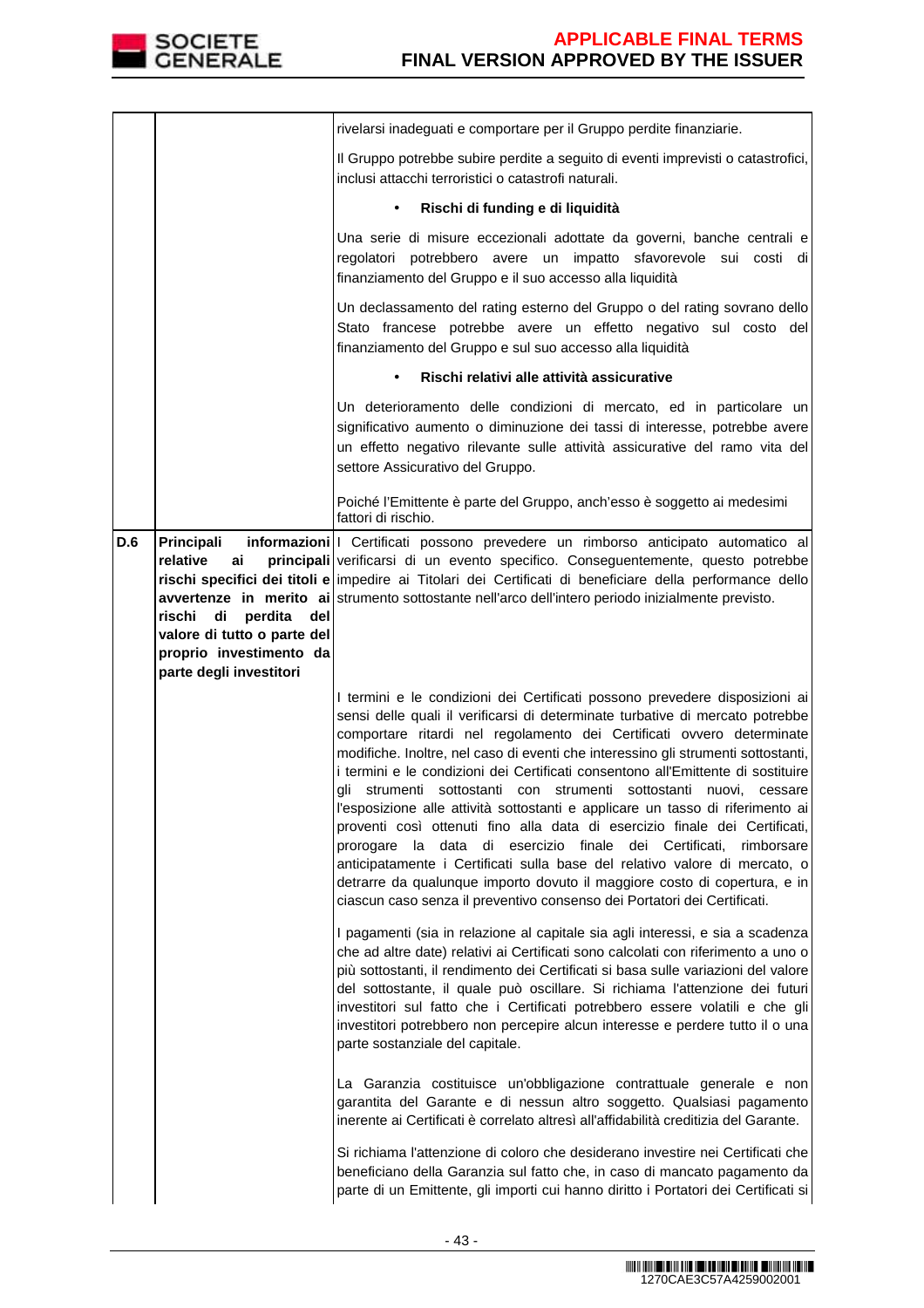

|     |                                                                                                                                                     | rivelarsi inadeguati e comportare per il Gruppo perdite finanziarie.                                                                                                                                                                                                                                                                                                                                                                                                                                                                                                                                                                                                                                                                                                                                                                                                                                                                                                |
|-----|-----------------------------------------------------------------------------------------------------------------------------------------------------|---------------------------------------------------------------------------------------------------------------------------------------------------------------------------------------------------------------------------------------------------------------------------------------------------------------------------------------------------------------------------------------------------------------------------------------------------------------------------------------------------------------------------------------------------------------------------------------------------------------------------------------------------------------------------------------------------------------------------------------------------------------------------------------------------------------------------------------------------------------------------------------------------------------------------------------------------------------------|
|     |                                                                                                                                                     | Il Gruppo potrebbe subire perdite a seguito di eventi imprevisti o catastrofici,<br>inclusi attacchi terroristici o catastrofi naturali.                                                                                                                                                                                                                                                                                                                                                                                                                                                                                                                                                                                                                                                                                                                                                                                                                            |
|     |                                                                                                                                                     | Rischi di funding e di liquidità<br>$\bullet$                                                                                                                                                                                                                                                                                                                                                                                                                                                                                                                                                                                                                                                                                                                                                                                                                                                                                                                       |
|     |                                                                                                                                                     | Una serie di misure eccezionali adottate da governi, banche centrali e<br>regolatori potrebbero avere un impatto sfavorevole sui costi di<br>finanziamento del Gruppo e il suo accesso alla liquidità                                                                                                                                                                                                                                                                                                                                                                                                                                                                                                                                                                                                                                                                                                                                                               |
|     |                                                                                                                                                     | Un declassamento del rating esterno del Gruppo o del rating sovrano dello<br>Stato francese potrebbe avere un effetto negativo sul costo del<br>finanziamento del Gruppo e sul suo accesso alla liquidità                                                                                                                                                                                                                                                                                                                                                                                                                                                                                                                                                                                                                                                                                                                                                           |
|     |                                                                                                                                                     | Rischi relativi alle attività assicurative<br>$\bullet$                                                                                                                                                                                                                                                                                                                                                                                                                                                                                                                                                                                                                                                                                                                                                                                                                                                                                                             |
|     |                                                                                                                                                     | Un deterioramento delle condizioni di mercato, ed in particolare un<br>significativo aumento o diminuzione dei tassi di interesse, potrebbe avere<br>un effetto negativo rilevante sulle attività assicurative del ramo vita del<br>settore Assicurativo del Gruppo.                                                                                                                                                                                                                                                                                                                                                                                                                                                                                                                                                                                                                                                                                                |
|     |                                                                                                                                                     | Poiché l'Emittente è parte del Gruppo, anch'esso è soggetto ai medesimi<br>fattori di rischio.                                                                                                                                                                                                                                                                                                                                                                                                                                                                                                                                                                                                                                                                                                                                                                                                                                                                      |
| D.6 | Principali<br>relative<br>ai<br>rischi<br>di<br>perdita<br>del<br>valore di tutto o parte del<br>proprio investimento da<br>parte degli investitori | informazioni   Certificati possono prevedere un rimborso anticipato automatico al<br>principali verificarsi di un evento specifico. Conseguentemente, questo potrebbe<br>rischi specifici dei titoli e impedire ai Titolari dei Certificati di beneficiare della performance dello<br>avvertenze in merito ai strumento sottostante nell'arco dell'intero periodo inizialmente previsto.                                                                                                                                                                                                                                                                                                                                                                                                                                                                                                                                                                            |
|     |                                                                                                                                                     | I termini e le condizioni dei Certificati possono prevedere disposizioni ai<br>sensi delle quali il verificarsi di determinate turbative di mercato potrebbe<br>comportare ritardi nel regolamento dei Certificati ovvero determinate<br>modifiche. Inoltre, nel caso di eventi che interessino gli strumenti sottostanti,<br>i termini e le condizioni dei Certificati consentono all'Emittente di sostituire<br>gli strumenti sottostanti con strumenti sottostanti nuovi, cessare<br>l'esposizione alle attività sottostanti e applicare un tasso di riferimento ai<br>proventi così ottenuti fino alla data di esercizio finale dei Certificati,<br>prorogare la data di esercizio finale dei Certificati,<br>rimborsare<br>anticipatamente i Certificati sulla base del relativo valore di mercato, o<br>detrarre da qualunque importo dovuto il maggiore costo di copertura, e in<br>ciascun caso senza il preventivo consenso dei Portatori dei Certificati. |
|     |                                                                                                                                                     | I pagamenti (sia in relazione al capitale sia agli interessi, e sia a scadenza<br>che ad altre date) relativi ai Certificati sono calcolati con riferimento a uno o<br>più sottostanti, il rendimento dei Certificati si basa sulle variazioni del valore<br>del sottostante, il quale può oscillare. Si richiama l'attenzione dei futuri<br>investitori sul fatto che i Certificati potrebbero essere volatili e che gli<br>investitori potrebbero non percepire alcun interesse e perdere tutto il o una<br>parte sostanziale del capitale.                                                                                                                                                                                                                                                                                                                                                                                                                       |
|     |                                                                                                                                                     | La Garanzia costituisce un'obbligazione contrattuale generale e non<br>garantita del Garante e di nessun altro soggetto. Qualsiasi pagamento<br>inerente ai Certificati è correlato altresì all'affidabilità creditizia del Garante.                                                                                                                                                                                                                                                                                                                                                                                                                                                                                                                                                                                                                                                                                                                                |
|     |                                                                                                                                                     | Si richiama l'attenzione di coloro che desiderano investire nei Certificati che<br>beneficiano della Garanzia sul fatto che, in caso di mancato pagamento da<br>parte di un Emittente, gli importi cui hanno diritto i Portatori dei Certificati si                                                                                                                                                                                                                                                                                                                                                                                                                                                                                                                                                                                                                                                                                                                 |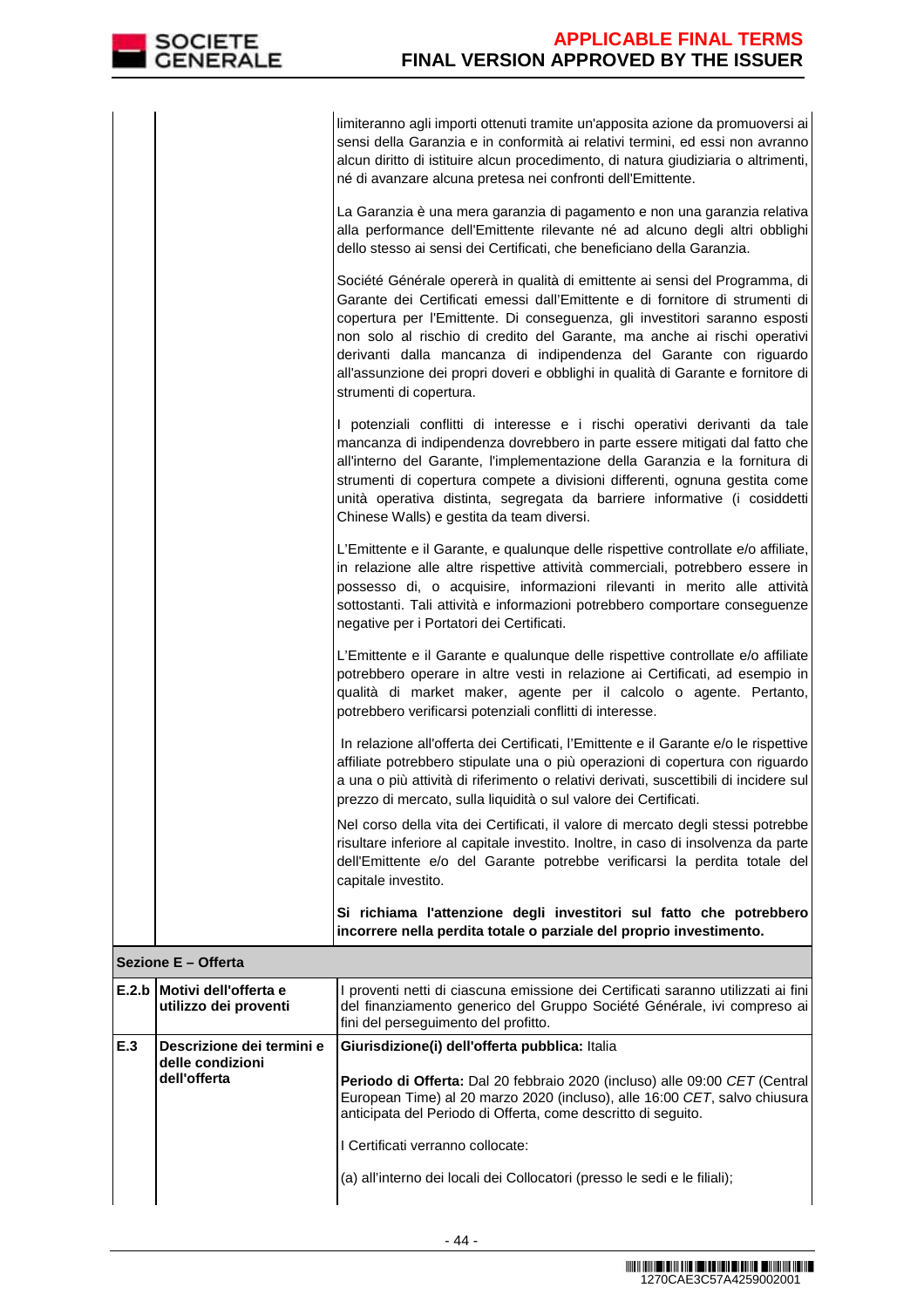limiteranno agli importi ottenuti tramite un'apposita azione da promuoversi ai sensi della Garanzia e in conformità ai relativi termini, ed essi non avranno alcun diritto di istituire alcun procedimento, di natura giudiziaria o altrimenti, né di avanzare alcuna pretesa nei confronti dell'Emittente.

La Garanzia è una mera garanzia di pagamento e non una garanzia relativa alla performance dell'Emittente rilevante né ad alcuno degli altri obblighi dello stesso ai sensi dei Certificati, che beneficiano della Garanzia.

Société Générale opererà in qualità di emittente ai sensi del Programma, di Garante dei Certificati emessi dall'Emittente e di fornitore di strumenti di copertura per l'Emittente. Di conseguenza, gli investitori saranno esposti non solo al rischio di credito del Garante, ma anche ai rischi operativi derivanti dalla mancanza di indipendenza del Garante con riguardo all'assunzione dei propri doveri e obblighi in qualità di Garante e fornitore di strumenti di copertura.

I potenziali conflitti di interesse e i rischi operativi derivanti da tale mancanza di indipendenza dovrebbero in parte essere mitigati dal fatto che all'interno del Garante, l'implementazione della Garanzia e la fornitura di strumenti di copertura compete a divisioni differenti, ognuna gestita come unità operativa distinta, segregata da barriere informative (i cosiddetti Chinese Walls) e gestita da team diversi.

L'Emittente e il Garante, e qualunque delle rispettive controllate e/o affiliate, in relazione alle altre rispettive attività commerciali, potrebbero essere in possesso di, o acquisire, informazioni rilevanti in merito alle attività sottostanti. Tali attività e informazioni potrebbero comportare conseguenze negative per i Portatori dei Certificati.

L'Emittente e il Garante e qualunque delle rispettive controllate e/o affiliate potrebbero operare in altre vesti in relazione ai Certificati, ad esempio in qualità di market maker, agente per il calcolo o agente. Pertanto, potrebbero verificarsi potenziali conflitti di interesse.

In relazione all'offerta dei Certificati, l'Emittente e il Garante e/o le rispettive affiliate potrebbero stipulate una o più operazioni di copertura con riguardo a una o più attività di riferimento o relativi derivati, suscettibili di incidere sul prezzo di mercato, sulla liquidità o sul valore dei Certificati.

 Nel corso della vita dei Certificati, il valore di mercato degli stessi potrebbe risultare inferiore al capitale investito. Inoltre, in caso di insolvenza da parte dell'Emittente e/o del Garante potrebbe verificarsi la perdita totale del capitale investito.

**Si richiama l'attenzione degli investitori sul fatto che potrebbero incorrere nella perdita totale o parziale del proprio investimento.**

# **Sezione E – Offerta**

|     | <b>IE.2.b   Motivi dell'offerta e</b><br>utilizzo dei proventi | proventi netti di ciascuna emissione dei Certificati saranno utilizzati ai fini<br>del finanziamento generico del Gruppo Société Générale, ivi compreso ai<br>fini del perseguimento del profitto.                                                                                                                                                                                                   |  |  |  |
|-----|----------------------------------------------------------------|------------------------------------------------------------------------------------------------------------------------------------------------------------------------------------------------------------------------------------------------------------------------------------------------------------------------------------------------------------------------------------------------------|--|--|--|
| E.3 | Descrizione dei termini e<br>delle condizioni<br>dell'offerta  | Giurisdizione(i) dell'offerta pubblica: Italia<br><b>Periodo di Offerta:</b> Dal 20 febbraio 2020 (incluso) alle 09:00 CET (Central)<br>European Time) al 20 marzo 2020 (incluso), alle 16:00 CET, salvo chiusura<br>anticipata del Periodo di Offerta, come descritto di seguito.<br>I Certificati verranno collocate:<br>(a) all'interno dei locali dei Collocatori (presso le sedi e le filiali); |  |  |  |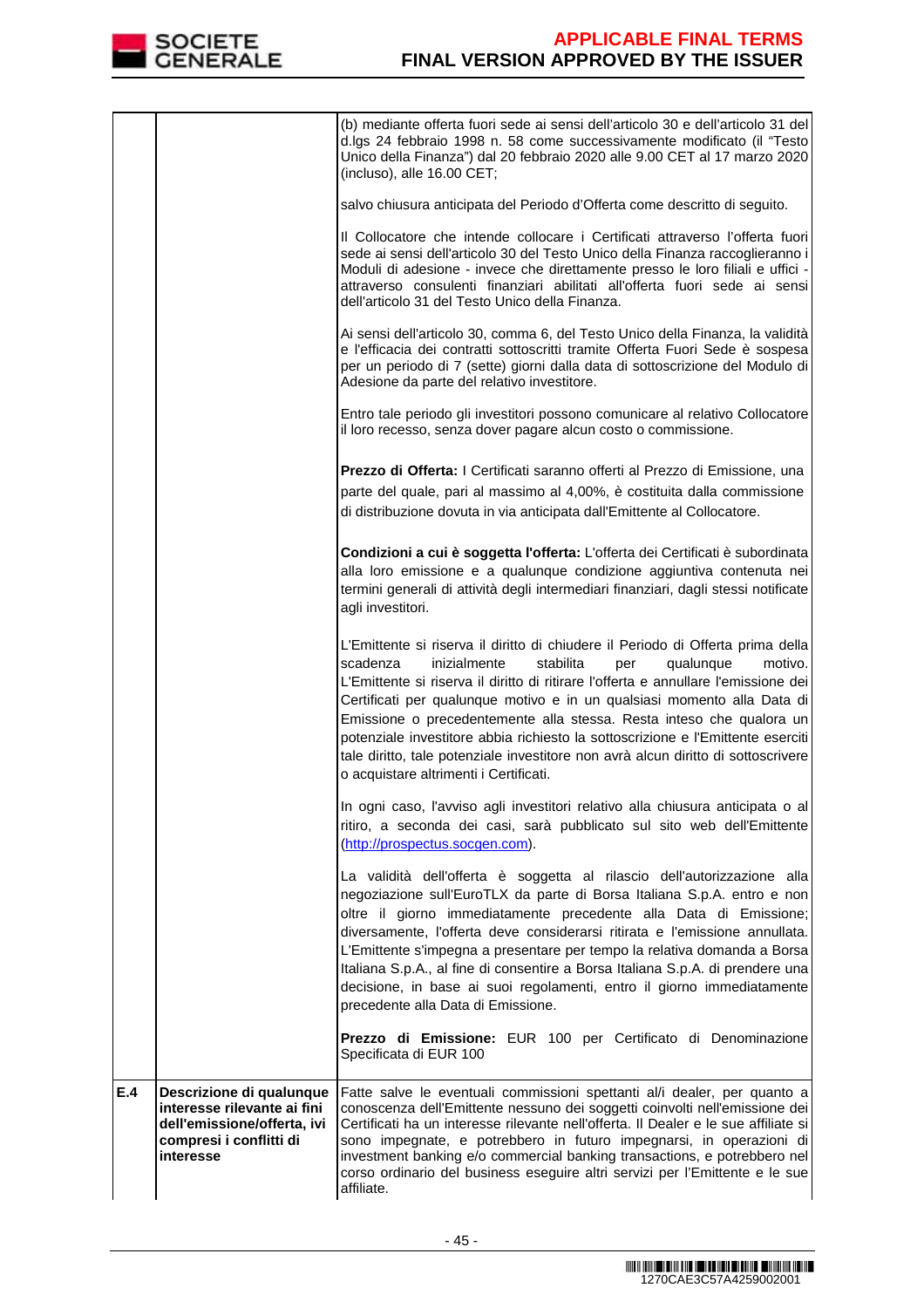

|     |                                                                                                                                | (b) mediante offerta fuori sede ai sensi dell'articolo 30 e dell'articolo 31 del<br>d.lgs 24 febbraio 1998 n. 58 come successivamente modificato (il "Testo<br>Unico della Finanza") dal 20 febbraio 2020 alle 9.00 CET al 17 marzo 2020<br>(incluso), alle 16.00 CET;                                                                                                                                                                                                                                                                                                                                              |
|-----|--------------------------------------------------------------------------------------------------------------------------------|---------------------------------------------------------------------------------------------------------------------------------------------------------------------------------------------------------------------------------------------------------------------------------------------------------------------------------------------------------------------------------------------------------------------------------------------------------------------------------------------------------------------------------------------------------------------------------------------------------------------|
|     |                                                                                                                                | salvo chiusura anticipata del Periodo d'Offerta come descritto di seguito.                                                                                                                                                                                                                                                                                                                                                                                                                                                                                                                                          |
|     |                                                                                                                                | Il Collocatore che intende collocare i Certificati attraverso l'offerta fuori<br>sede ai sensi dell'articolo 30 del Testo Unico della Finanza raccoglieranno i<br>Moduli di adesione - invece che direttamente presso le loro filiali e uffici -<br>attraverso consulenti finanziari abilitati all'offerta fuori sede ai sensi<br>dell'articolo 31 del Testo Unico della Finanza.                                                                                                                                                                                                                                   |
|     |                                                                                                                                | Ai sensi dell'articolo 30, comma 6, del Testo Unico della Finanza, la validità<br>e l'efficacia dei contratti sottoscritti tramite Offerta Fuori Sede è sospesa<br>per un periodo di 7 (sette) giorni dalla data di sottoscrizione del Modulo di<br>Adesione da parte del relativo investitore.                                                                                                                                                                                                                                                                                                                     |
|     |                                                                                                                                | Entro tale periodo gli investitori possono comunicare al relativo Collocatore<br>il loro recesso, senza dover pagare alcun costo o commissione.                                                                                                                                                                                                                                                                                                                                                                                                                                                                     |
|     |                                                                                                                                | Prezzo di Offerta: I Certificati saranno offerti al Prezzo di Emissione, una<br>parte del quale, pari al massimo al 4,00%, è costituita dalla commissione<br>di distribuzione dovuta in via anticipata dall'Emittente al Collocatore.                                                                                                                                                                                                                                                                                                                                                                               |
|     |                                                                                                                                | Condizioni a cui è soggetta l'offerta: L'offerta dei Certificati è subordinata<br>alla loro emissione e a qualunque condizione aggiuntiva contenuta nei<br>termini generali di attività degli intermediari finanziari, dagli stessi notificate<br>agli investitori.                                                                                                                                                                                                                                                                                                                                                 |
|     |                                                                                                                                | L'Emittente si riserva il diritto di chiudere il Periodo di Offerta prima della<br>scadenza<br>inizialmente<br>stabilita<br>qualunque<br>motivo.<br>per<br>L'Emittente si riserva il diritto di ritirare l'offerta e annullare l'emissione dei<br>Certificati per qualunque motivo e in un qualsiasi momento alla Data di<br>Emissione o precedentemente alla stessa. Resta inteso che qualora un<br>potenziale investitore abbia richiesto la sottoscrizione e l'Emittente eserciti<br>tale diritto, tale potenziale investitore non avrà alcun diritto di sottoscrivere<br>o acquistare altrimenti i Certificati. |
|     |                                                                                                                                | In ogni caso, l'avviso agli investitori relativo alla chiusura anticipata o al<br>ritiro, a seconda dei casi, sarà pubblicato sul sito web dell'Emittente<br>(http://prospectus.socgen.com).                                                                                                                                                                                                                                                                                                                                                                                                                        |
|     |                                                                                                                                | La validità dell'offerta è soggetta al rilascio dell'autorizzazione alla<br>negoziazione sull'EuroTLX da parte di Borsa Italiana S.p.A. entro e non<br>oltre il giorno immediatamente precedente alla Data di Emissione;<br>diversamente, l'offerta deve considerarsi ritirata e l'emissione annullata.<br>L'Emittente s'impegna a presentare per tempo la relativa domanda a Borsa<br>Italiana S.p.A., al fine di consentire a Borsa Italiana S.p.A. di prendere una<br>decisione, in base ai suoi regolamenti, entro il giorno immediatamente<br>precedente alla Data di Emissione.                               |
|     |                                                                                                                                | Prezzo di Emissione: EUR 100 per Certificato di Denominazione<br>Specificata di EUR 100                                                                                                                                                                                                                                                                                                                                                                                                                                                                                                                             |
| E.4 | Descrizione di qualunque<br>interesse rilevante ai fini<br>dell'emissione/offerta, ivi<br>compresi i conflitti di<br>interesse | Fatte salve le eventuali commissioni spettanti al/i dealer, per quanto a<br>conoscenza dell'Emittente nessuno dei soggetti coinvolti nell'emissione dei<br>Certificati ha un interesse rilevante nell'offerta. Il Dealer e le sue affiliate si<br>sono impegnate, e potrebbero in futuro impegnarsi, in operazioni di<br>investment banking e/o commercial banking transactions, e potrebbero nel<br>corso ordinario del business eseguire altri servizi per l'Emittente e le sue<br>affiliate.                                                                                                                     |